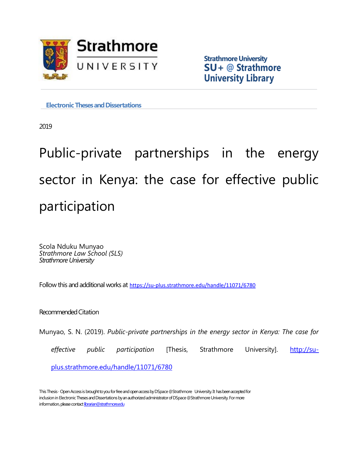

**Strathmore University SU+ @ Strathmore University Library**

**Electronic Theses and Dissertations** 

2019

Public-private partnerships in the energy sector in Kenya: the case for effective public participation

Scola Nduku Munyao *Strathmore Law School (SLS) Strathmore University*

Follow this and additional works at <https://su-plus.strathmore.edu/handle/11071/6780>

Recommended Citation

Munyao, S. N. (2019). *Public-private partnerships in the energy sector in Kenya: The case for* 

effective public participation [Thesis, Strathmore University]. [http://su-](http://su-plus.strathmore.edu/handle/11071/6780)

[plus.strathmore.edu/handle/11071/6780](http://su-plus.strathmore.edu/handle/11071/6780)

This Thesis - Open Access is brought to you for free and open access by DSpace @Strathmore University. It has been accepted for inclusion in Electronic Theses and Dissertations by an authorized administrator of DSpace @Strathmore University. For more information, please contact librarian@strathmore.edu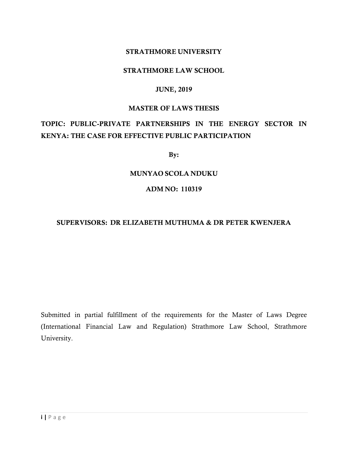#### STRATHMORE UNIVERSITY

#### STRATHMORE LAW SCHOOL

#### JUNE, 2019

#### MASTER OF LAWS THESIS

# TOPIC: PUBLIC-PRIVATE PARTNERSHIPS IN THE ENERGY SECTOR IN KENYA: THE CASE FOR EFFECTIVE PUBLIC PARTICIPATION

By:

#### MUNYAO SCOLA NDUKU

#### ADM NO: 110319

#### SUPERVISORS: DR ELIZABETH MUTHUMA & DR PETER KWENJERA

Submitted in partial fulfillment of the requirements for the Master of Laws Degree (International Financial Law and Regulation) Strathmore Law School, Strathmore University.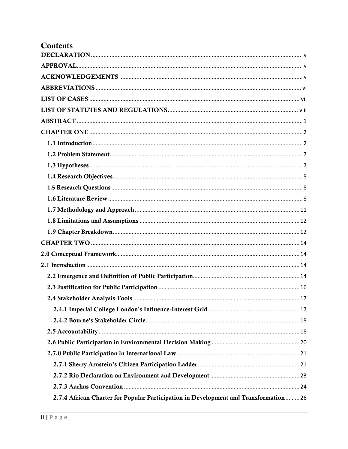| Contents                                                                             |
|--------------------------------------------------------------------------------------|
|                                                                                      |
|                                                                                      |
|                                                                                      |
|                                                                                      |
|                                                                                      |
|                                                                                      |
|                                                                                      |
|                                                                                      |
|                                                                                      |
|                                                                                      |
|                                                                                      |
|                                                                                      |
|                                                                                      |
|                                                                                      |
|                                                                                      |
|                                                                                      |
|                                                                                      |
|                                                                                      |
|                                                                                      |
|                                                                                      |
|                                                                                      |
|                                                                                      |
|                                                                                      |
|                                                                                      |
|                                                                                      |
|                                                                                      |
|                                                                                      |
|                                                                                      |
|                                                                                      |
|                                                                                      |
|                                                                                      |
| 2.7.4 African Charter for Popular Participation in Development and Transformation 26 |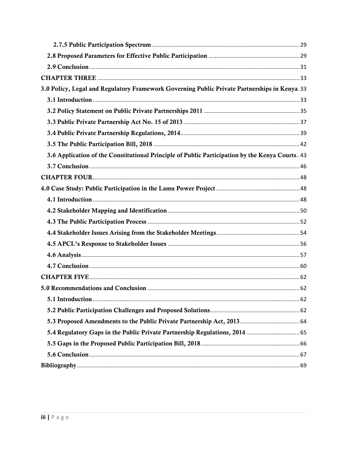| 3.0 Policy, Legal and Regulatory Framework Governing Public Private Partnerships in Kenya. 33   |  |
|-------------------------------------------------------------------------------------------------|--|
|                                                                                                 |  |
|                                                                                                 |  |
|                                                                                                 |  |
|                                                                                                 |  |
|                                                                                                 |  |
| 3.6 Application of the Constitutional Principle of Public Participation by the Kenya Courts. 43 |  |
|                                                                                                 |  |
|                                                                                                 |  |
|                                                                                                 |  |
|                                                                                                 |  |
|                                                                                                 |  |
|                                                                                                 |  |
|                                                                                                 |  |
|                                                                                                 |  |
|                                                                                                 |  |
|                                                                                                 |  |
|                                                                                                 |  |
|                                                                                                 |  |
|                                                                                                 |  |
|                                                                                                 |  |
|                                                                                                 |  |
|                                                                                                 |  |
|                                                                                                 |  |
|                                                                                                 |  |
|                                                                                                 |  |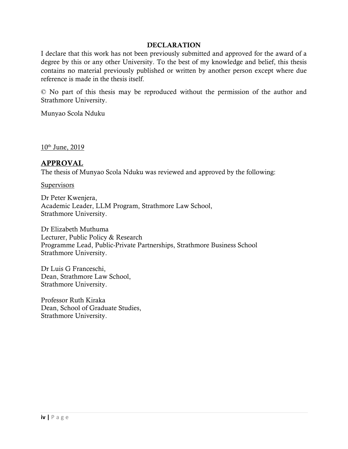#### **DECLARATION**

<span id="page-4-0"></span>I declare that this work has not been previously submitted and approved for the award of a degree by this or any other University. To the best of my knowledge and belief, this thesis contains no material previously published or written by another person except where due reference is made in the thesis itself.

© No part of this thesis may be reproduced without the permission of the author and Strathmore University.

Munyao Scola Nduku

 $10^{th}$  June, 2019

### <span id="page-4-1"></span>APPROVAL

The thesis of Munyao Scola Nduku was reviewed and approved by the following:

**Supervisors** 

Dr Peter Kwenjera, Academic Leader, LLM Program, Strathmore Law School, Strathmore University.

Dr Elizabeth Muthuma Lecturer, Public Policy & Research Programme Lead, Public-Private Partnerships, Strathmore Business School Strathmore University.

Dr Luis G Franceschi, Dean, Strathmore Law School, Strathmore University.

Professor Ruth Kiraka Dean, School of Graduate Studies, Strathmore University.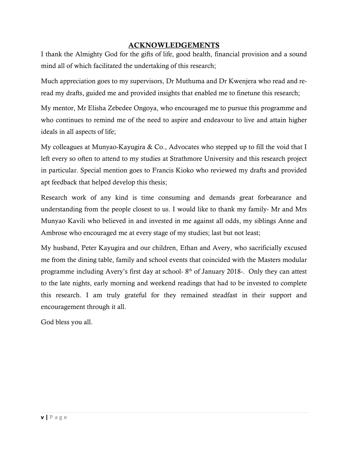### ACKNOWLEDGEMENTS

<span id="page-5-0"></span>I thank the Almighty God for the gifts of life, good health, financial provision and a sound mind all of which facilitated the undertaking of this research;

Much appreciation goes to my supervisors, Dr Muthuma and Dr Kwenjera who read and reread my drafts, guided me and provided insights that enabled me to finetune this research;

My mentor, Mr Elisha Zebedee Ongoya, who encouraged me to pursue this programme and who continues to remind me of the need to aspire and endeavour to live and attain higher ideals in all aspects of life;

My colleagues at Munyao-Kayugira & Co., Advocates who stepped up to fill the void that I left every so often to attend to my studies at Strathmore University and this research project in particular. Special mention goes to Francis Kioko who reviewed my drafts and provided apt feedback that helped develop this thesis;

Research work of any kind is time consuming and demands great forbearance and understanding from the people closest to us. I would like to thank my family- Mr and Mrs Munyao Kavili who believed in and invested in me against all odds, my siblings Anne and Ambrose who encouraged me at every stage of my studies; last but not least;

My husband, Peter Kayugira and our children, Ethan and Avery, who sacrificially excused me from the dining table, family and school events that coincided with the Masters modular programme including Avery's first day at school-8<sup>th</sup> of January 2018-. Only they can attest to the late nights, early morning and weekend readings that had to be invested to complete this research. I am truly grateful for they remained steadfast in their support and encouragement through it all.

God bless you all.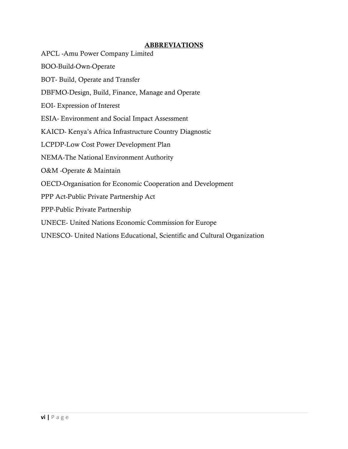#### **ABBREVIATIONS**

- <span id="page-6-0"></span>APCL -Amu Power Company Limited
- BOO-Build-Own-Operate
- BOT- Build, Operate and Transfer
- DBFMO-Design, Build, Finance, Manage and Operate
- EOI- Expression of Interest
- ESIA- Environment and Social Impact Assessment
- KAICD- Kenya's Africa Infrastructure Country Diagnostic
- LCPDP-Low Cost Power Development Plan
- NEMA-The National Environment Authority
- O&M -Operate & Maintain
- OECD-Organisation for Economic Cooperation and Development
- PPP Act-Public Private Partnership Act
- PPP-Public Private Partnership
- UNECE- United Nations Economic Commission for Europe
- UNESCO- United Nations Educational, Scientific and Cultural Organization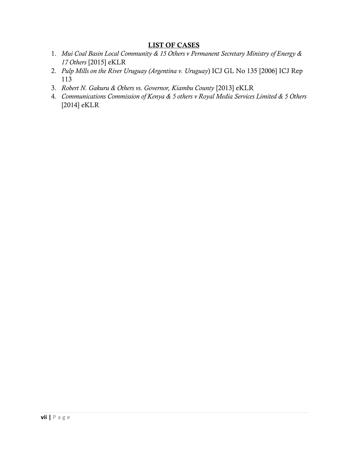#### LIST OF CASES

- <span id="page-7-0"></span>1. *Mui Coal Basin Local Community & 15 Others v Permanent Secretary Ministry of Energy & 17 Others* [2015] eKLR
- 2. *Pulp Mills on the River Uruguay (Argentina v. Uruguay*) ICJ GL No 135 [2006] ICJ Rep 113
- 3. *Robert N. Gakuru & Others vs. Governor, Kiambu County* [2013] eKLR
- 4. *Communications Commission of Kenya & 5 others v Royal Media Services Limited & 5 Others* [2014] eKLR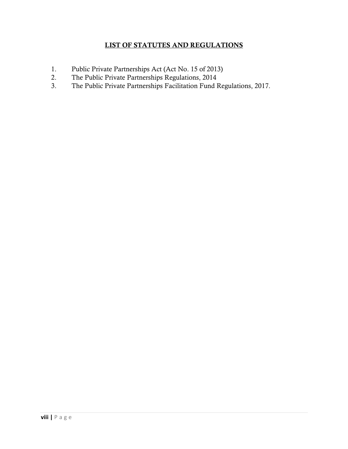## LIST OF STATUTES AND REGULATIONS

- <span id="page-8-0"></span>1. Public Private Partnerships Act (Act No. 15 of 2013)
- 2. The Public Private Partnerships Regulations, 2014
- 3. The Public Private Partnerships Facilitation Fund Regulations, 2017.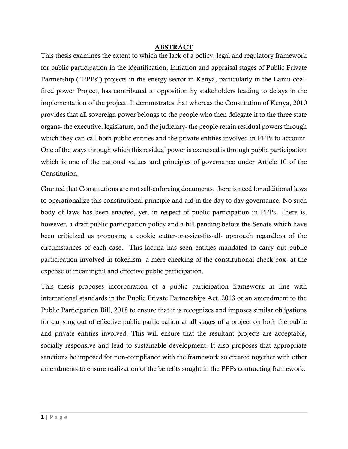#### ABSTRACT

<span id="page-9-0"></span>This thesis examines the extent to which the lack of a policy, legal and regulatory framework for public participation in the identification, initiation and appraisal stages of Public Private Partnership ("PPPs") projects in the energy sector in Kenya, particularly in the Lamu coalfired power Project, has contributed to opposition by stakeholders leading to delays in the implementation of the project. It demonstrates that whereas the Constitution of Kenya, 2010 provides that all sovereign power belongs to the people who then delegate it to the three state organs- the executive, legislature, and the judiciary- the people retain residual powers through which they can call both public entities and the private entities involved in PPPs to account. One of the ways through which this residual power is exercised is through public participation which is one of the national values and principles of governance under Article 10 of the Constitution.

Granted that Constitutions are not self-enforcing documents, there is need for additional laws to operationalize this constitutional principle and aid in the day to day governance. No such body of laws has been enacted, yet, in respect of public participation in PPPs. There is, however, a draft public participation policy and a bill pending before the Senate which have been criticized as proposing a cookie cutter-one-size-fits-all- approach regardless of the circumstances of each case. This lacuna has seen entities mandated to carry out public participation involved in tokenism- a mere checking of the constitutional check box- at the expense of meaningful and effective public participation.

This thesis proposes incorporation of a public participation framework in line with international standards in the Public Private Partnerships Act, 2013 or an amendment to the Public Participation Bill, 2018 to ensure that it is recognizes and imposes similar obligations for carrying out of effective public participation at all stages of a project on both the public and private entities involved. This will ensure that the resultant projects are acceptable, socially responsive and lead to sustainable development. It also proposes that appropriate sanctions be imposed for non-compliance with the framework so created together with other amendments to ensure realization of the benefits sought in the PPPs contracting framework.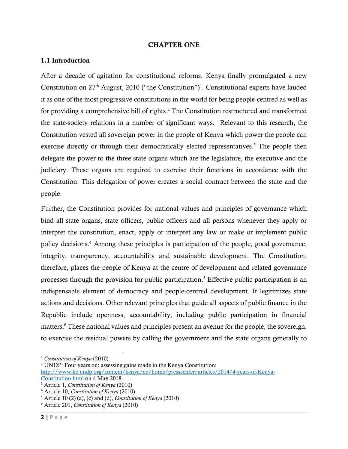#### CHAPTER ONE

#### <span id="page-10-1"></span><span id="page-10-0"></span>1.1 Introduction

After a decade of agitation for constitutional reforms, Kenya finally promulgated a new Constitution on  $27<sup>th</sup>$  August, 2010 ("the Constitution")<sup>1</sup>. Constitutional experts have lauded it as one of the most progressive constitutions in the world for being people-centred as well as for providing a comprehensive bill of rights.<sup>2</sup> The Constitution restructured and transformed the state-society relations in a number of significant ways. Relevant to this research, the Constitution vested all sovereign power in the people of Kenya which power the people can exercise directly or through their democratically elected representatives. <sup>3</sup> The people then delegate the power to the three state organs which are the legislature, the executive and the judiciary. These organs are required to exercise their functions in accordance with the Constitution. This delegation of power creates a social contract between the state and the people.

Further, the Constitution provides for national values and principles of governance which bind all state organs, state officers, public officers and all persons whenever they apply or interpret the constitution, enact, apply or interpret any law or make or implement public policy decisions. <sup>4</sup> Among these principles is participation of the people, good governance, integrity, transparency, accountability and sustainable development. The Constitution, therefore, places the people of Kenya at the centre of development and related governance processes through the provision for public participation. <sup>5</sup> Effective public participation is an indispensable element of democracy and people-centred development. It legitimizes state actions and decisions. Other relevant principles that guide all aspects of public finance in the Republic include openness, accountability, including public participation in financial matters.<sup>6</sup> These national values and principles present an avenue for the people, the sovereign, to exercise the residual powers by calling the government and the state organs generally to

<sup>1</sup> *Constitution of Kenya* (2010)

<sup>2</sup> UNDP: Four years on: assessing gains made in the Kenya Constitution:

[http://www.ke.undp.org/content/kenya/en/home/presscenter/articles/2014/4-years-of-Kenya-](http://www.ke.undp.org/content/kenya/en/home/presscenter/articles/2014/4-years-of-Kenya-Constitution.html)

[Constitution.html](http://www.ke.undp.org/content/kenya/en/home/presscenter/articles/2014/4-years-of-Kenya-Constitution.html) on 4 May 2018.

<sup>3</sup> Article 1, *Constitution of Kenya* (2010)

<sup>4</sup> Article 10, *Constitution of Kenya* (2010)

<sup>5</sup> Article 10 (2) (a), (c) and (d), *Constitution of Kenya* (2010)

<sup>6</sup> Article 201, *Constitution of Kenya* (2010)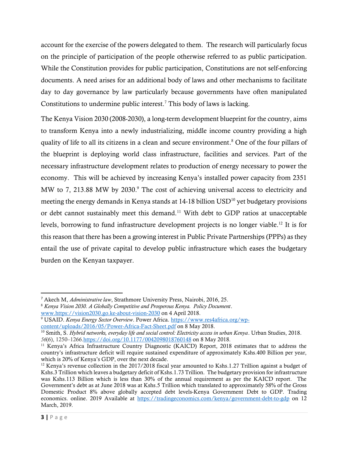account for the exercise of the powers delegated to them. The research will particularly focus on the principle of participation of the people otherwise referred to as public participation. While the Constitution provides for public participation, Constitutions are not self-enforcing documents. A need arises for an additional body of laws and other mechanisms to facilitate day to day governance by law particularly because governments have often manipulated Constitutions to undermine public interest. <sup>7</sup> This body of laws is lacking.

The Kenya Vision 2030 (2008-2030), a long-term development blueprint for the country, aims to transform Kenya into a newly industrializing, middle income country providing a high quality of life to all its citizens in a clean and secure environment. <sup>8</sup> One of the four pillars of the blueprint is deploying world class infrastructure, facilities and services. Part of the necessary infrastructure development relates to production of energy necessary to power the economy. This will be achieved by increasing Kenya's installed power capacity from 2351 MW to 7, 213.88 MW by 2030.<sup>9</sup> The cost of achieving universal access to electricity and meeting the energy demands in Kenya stands at  $14-18$  billion USD<sup>10</sup> yet budgetary provisions or debt cannot sustainably meet this demand.<sup>11</sup> With debt to GDP ratios at unacceptable levels, borrowing to fund infrastructure development projects is no longer viable. <sup>12</sup> It is for this reason that there has been a growing interest in Public Private Partnerships (PPPs) as they entail the use of private capital to develop public infrastructure which eases the budgetary burden on the Kenyan taxpayer.

<sup>7</sup> Akech M, *Administrative law*, Strathmore University Press, Nairobi, 2016, 25.

<sup>8</sup> *Kenya Vision 2030. A Globally Competitive and Prosperous Kenya. Policy Document*. [www.https://vision2030.go.ke-about-vision-2030](http://www.https/vision2030.go.ke-about-vision-2030) on 4 April 2018.

<sup>&</sup>lt;sup>9</sup> USAID. *Kenya Energy Sector Overview*. Power Africa[. https://www.res4africa.org/wp](https://www.res4africa.org/wp-content/uploads/2016/05/Power-Africa-Fact-Sheet.pdf)[content/uploads/2016/05/Power-Africa-Fact-Sheet.pdf](https://www.res4africa.org/wp-content/uploads/2016/05/Power-Africa-Fact-Sheet.pdf) on 8 May 2018.

<sup>10</sup> Smith, S. *Hybrid networks, everyday life and social control: Electricity access in urban Kenya*. Urban Studies, 2018. *56*(6), 1250–1266[.https://doi.org/10.1177/0042098018760148](https://doi.org/10.1177/0042098018760148) on 8 May 2018.

<sup>&</sup>lt;sup>11</sup> Kenya's Africa Infrastructure Country Diagnostic (KAICD) Report, 2018 estimates that to address the country's infrastructure deficit will require sustained expenditure of approximately Kshs.400 Billion per year, which is 20% of Kenya's GDP, over the next decade.

<sup>&</sup>lt;sup>12</sup> Kenya's revenue collection in the 2017/2018 fiscal year amounted to Kshs.1.27 Trillion against a budget of Kshs.3 Trillion which leaves a budgetary deficit of Kshs.1.73 Trillion. The budgetary provision for infrastructure was Kshs.113 Billion which is less than 30% of the annual requirement as per the KAICD report. The Government's debt as at June 2018 was at Kshs.5 Trillion which translated to approximately 58% of the Gross Domestic Product 8% above globally accepted debt levels-Kenya Government Debt to GDP. Trading economics. online. 2019 Available at<https://tradingeconomics.com/kenya/government-debt-to-gdp> on 12 March, 2019.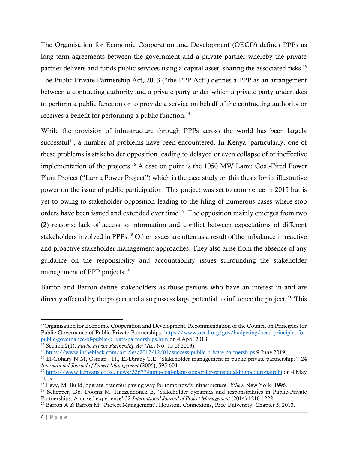The Organisation for Economic Cooperation and Development (OECD) defines PPPs as long term agreements between the government and a private partner whereby the private partner delivers and funds public services using a capital asset, sharing the associated risks.<sup>13</sup> The Public Private Partnership Act, 2013 ("the PPP Act") defines a PPP as an arrangement between a contracting authority and a private party under which a private party undertakes to perform a public function or to provide a service on behalf of the contracting authority or receives a benefit for performing a public function.<sup>14</sup>

While the provision of infrastructure through PPPs across the world has been largely successful<sup>15</sup>, a number of problems have been encountered. In Kenya, particularly, one of these problems is stakeholder opposition leading to delayed or even collapse of or ineffective implementation of the projects. <sup>16</sup> A case on point is the 1050 MW Lamu Coal-Fired Power Plant Project ("Lamu Power Project") which is the case study on this thesis for its illustrative power on the issue of public participation. This project was set to commence in 2015 but is yet to owing to stakeholder opposition leading to the filing of numerous cases where stop orders have been issued and extended over time. 17 The opposition mainly emerges from two (2) reasons: lack of access to information and conflict between expectations of different stakeholders involved in PPPs. <sup>18</sup> Other issues are often as a result of the imbalance in reactive and proactive stakeholder management approaches. They also arise from the absence of any guidance on the responsibility and accountability issues surrounding the stakeholder management of PPP projects.<sup>19</sup>

Barron and Barron define stakeholders as those persons who have an interest in and are directly affected by the project and also possess large potential to influence the project.<sup>20</sup> This

<sup>&</sup>lt;sup>13</sup>Organisation for Economic Cooperation and Development, Recommendation of the Council on Principles for Public Governance of Public Private Partnerships. [https://www.oecd.org/gov/budgeting/oecd-principles-for](https://www.oecd.org/gov/budgeting/oecd-principles-for-public-governance-of-public-private-partnerships.htm)[public-governance-of-public-private-partnerships.htm](https://www.oecd.org/gov/budgeting/oecd-principles-for-public-governance-of-public-private-partnerships.htm) on 4 April 2018.

<sup>14</sup> Section 2(1), *Public Private Partnership Act* (Act No. 15 of 2013).

<sup>15</sup> <https://www.intheblack.com/articles/2017/12/01/success-public-private-partnerships> 9 June 2019

<sup>&</sup>lt;sup>16</sup> El-Gohary N M, Osman, H., El-Diraby T.E. 'Stakeholder management in public private partnerships', 24 *International Journal of Project Management* (2006), 595-604.

<sup>17</sup> <https://www.kenyans.co.ke/news/33677-lamu-coal-plant-stop-order-reinstated-high-court-nairobi> on 4 May 2019.

<sup>18</sup> Levy, M, Build, operate, transfer: paving way for tomorrow's infrastructure. *Wiley*, New York, 1996.

<sup>&</sup>lt;sup>19</sup> Schepper, De, Dooms M, Haezendonck E, 'Stakeholder dynamics and responsibilities in Public-Private Partnerships: A mixed experience'.32 *International Journal of Project Management* (2014) 1210-1222.

<sup>20</sup> Barron A & Barron M. 'Project Management'. Houston. Connexions, Rice University. Chapter 5, 2013.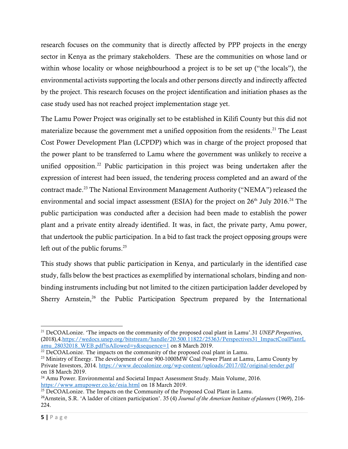research focuses on the community that is directly affected by PPP projects in the energy sector in Kenya as the primary stakeholders. These are the communities on whose land or within whose locality or whose neighbourhood a project is to be set up ("the locals"), the environmental activists supporting the locals and other persons directly and indirectly affected by the project. This research focuses on the project identification and initiation phases as the case study used has not reached project implementation stage yet.

The Lamu Power Project was originally set to be established in Kilifi County but this did not materialize because the government met a unified opposition from the residents.<sup>21</sup> The Least Cost Power Development Plan (LCPDP) which was in charge of the project proposed that the power plant to be transferred to Lamu where the government was unlikely to receive a unified opposition.<sup>22</sup> Public participation in this project was being undertaken after the expression of interest had been issued, the tendering process completed and an award of the contract made.<sup>23</sup> The National Environment Management Authority ("NEMA") released the environmental and social impact assessment (ESIA) for the project on  $26<sup>th</sup>$  July 2016.<sup>24</sup> The public participation was conducted after a decision had been made to establish the power plant and a private entity already identified. It was, in fact, the private party, Amu power, that undertook the public participation. In a bid to fast track the project opposing groups were left out of the public forums. 25

This study shows that public participation in Kenya, and particularly in the identified case study, falls below the best practices as exemplified by international scholars, binding and nonbinding instruments including but not limited to the citizen participation ladder developed by Sherry Arnstein,<sup>26</sup> the Public Participation Spectrum prepared by the International

<sup>21</sup> DeCOALonize. 'The impacts on the community of the proposed coal plant in Lamu'.31 *UNEP Perspectives*, (2018),4[.https://wedocs.unep.org/bitstream/handle/20.500.11822/25363/Perspectives31\\_ImpactCoalPlantL](https://wedocs.unep.org/bitstream/handle/20.500.11822/25363/Perspectives31_ImpactCoalPlantLamu_28032018_WEB.pdf?isAllowed=y&sequence=1) [amu\\_28032018\\_WEB.pdf?isAllowed=y&sequence=1](https://wedocs.unep.org/bitstream/handle/20.500.11822/25363/Perspectives31_ImpactCoalPlantLamu_28032018_WEB.pdf?isAllowed=y&sequence=1) on 8 March 2019.

<sup>&</sup>lt;sup>22</sup> DeCOALonize. The impacts on the community of the proposed coal plant in Lamu.

<sup>&</sup>lt;sup>23</sup> Ministry of Energy. The development of one 900-1000MW Coal Power Plant at Lamu, Lamu County by Private Investors, 2014.<https://www.decoalonize.org/wp-content/uploads/2017/02/original-tender.pdf> on 18 March 2019.

<sup>&</sup>lt;sup>24</sup> Amu Power. Environmental and Societal Impact Assessment Study. Main Volume, 2016. <https://www.amupower.co.ke/esia.html> on 18 March 2019.

<sup>&</sup>lt;sup>25</sup> DeCOALonize. The Impacts on the Community of the Proposed Coal Plant in Lamu.

<sup>26</sup>Arnstein, S.R. 'A ladder of citizen participation'. 35 (4) *Journal of the American Institute of planners* (1969), 216- 224.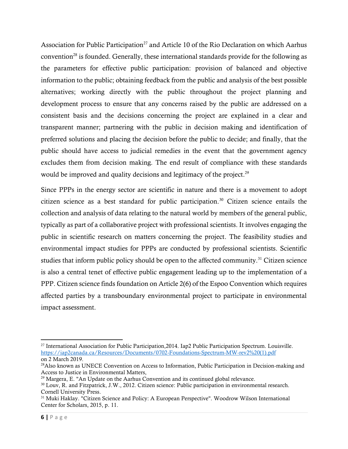Association for Public Participation<sup>27</sup> and Article 10 of the Rio Declaration on which Aarhus convention<sup>28</sup> is founded. Generally, these international standards provide for the following as the parameters for effective public participation: provision of balanced and objective information to the public; obtaining feedback from the public and analysis of the best possible alternatives; working directly with the public throughout the project planning and development process to ensure that any concerns raised by the public are addressed on a consistent basis and the decisions concerning the project are explained in a clear and transparent manner; partnering with the public in decision making and identification of preferred solutions and placing the decision before the public to decide; and finally, that the public should have access to judicial remedies in the event that the government agency excludes them from decision making. The end result of compliance with these standards would be improved and quality decisions and legitimacy of the project.<sup>29</sup>

Since PPPs in the energy sector are scientific in nature and there is a movement to adopt citizen science as a best standard for public participation.<sup>30</sup> Citizen science entails the collection and analysis of data relating to the natural world by members of the general public, typically as part of a collaborative project with professional scientists. It involves engaging the public in scientific research on matters concerning the project. The feasibility studies and environmental impact studies for PPPs are conducted by professional scientists. Scientific studies that inform public policy should be open to the affected community.<sup>31</sup> Citizen science is also a central tenet of effective public engagement leading up to the implementation of a PPP. Citizen science finds foundation on Article 2(6) of the Espoo Convention which requires affected parties by a transboundary environmental project to participate in environmental impact assessment.

<sup>27</sup> International Association for Public Participation,2014. Iap2 Public Participation Spectrum. Louisville. [https://iap2canada.ca/Resources/Documents/0702-Foundations-Spectrum-MW-rev2%20\(1\).pdf](https://iap2canada.ca/Resources/Documents/0702-Foundations-Spectrum-MW-rev2%20(1).pdf) on 2 March 2019.

<sup>&</sup>lt;sup>28</sup>Also known as UNECE Convention on Access to Information, Public Participation in Decision-making and Access to Justice in Environmental Matters,

<sup>29</sup> Margera, E. "An Update on the Aarhus Convention and its continued global relevance.

<sup>&</sup>lt;sup>30</sup> Louv, R. and Fitzpatrick, J.W., 2012. Citizen science: Public participation in environmental research. Cornell University Press.

<sup>&</sup>lt;sup>31</sup> Muki Haklay. "Citizen Science and Policy: A European Perspective". Woodrow Wilson International Center for Scholars, 2015, p. 11.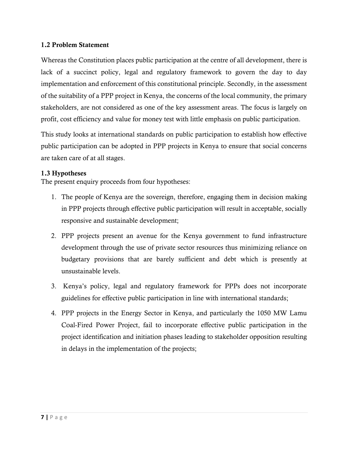### <span id="page-15-0"></span>1.2 Problem Statement

Whereas the Constitution places public participation at the centre of all development, there is lack of a succinct policy, legal and regulatory framework to govern the day to day implementation and enforcement of this constitutional principle. Secondly, in the assessment of the suitability of a PPP project in Kenya, the concerns of the local community, the primary stakeholders, are not considered as one of the key assessment areas. The focus is largely on profit, cost efficiency and value for money test with little emphasis on public participation.

This study looks at international standards on public participation to establish how effective public participation can be adopted in PPP projects in Kenya to ensure that social concerns are taken care of at all stages.

### <span id="page-15-1"></span>1.3 Hypotheses

The present enquiry proceeds from four hypotheses:

- 1. The people of Kenya are the sovereign, therefore, engaging them in decision making in PPP projects through effective public participation will result in acceptable, socially responsive and sustainable development;
- 2. PPP projects present an avenue for the Kenya government to fund infrastructure development through the use of private sector resources thus minimizing reliance on budgetary provisions that are barely sufficient and debt which is presently at unsustainable levels.
- 3. Kenya's policy, legal and regulatory framework for PPPs does not incorporate guidelines for effective public participation in line with international standards;
- 4. PPP projects in the Energy Sector in Kenya, and particularly the 1050 MW Lamu Coal-Fired Power Project, fail to incorporate effective public participation in the project identification and initiation phases leading to stakeholder opposition resulting in delays in the implementation of the projects;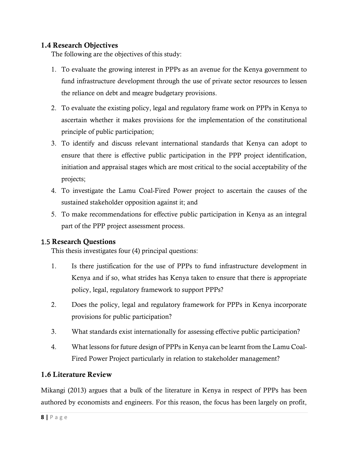# <span id="page-16-0"></span>1.4 Research Objectives

The following are the objectives of this study:

- 1. To evaluate the growing interest in PPPs as an avenue for the Kenya government to fund infrastructure development through the use of private sector resources to lessen the reliance on debt and meagre budgetary provisions.
- 2. To evaluate the existing policy, legal and regulatory frame work on PPPs in Kenya to ascertain whether it makes provisions for the implementation of the constitutional principle of public participation;
- 3. To identify and discuss relevant international standards that Kenya can adopt to ensure that there is effective public participation in the PPP project identification, initiation and appraisal stages which are most critical to the social acceptability of the projects;
- 4. To investigate the Lamu Coal-Fired Power project to ascertain the causes of the sustained stakeholder opposition against it; and
- 5. To make recommendations for effective public participation in Kenya as an integral part of the PPP project assessment process.

# <span id="page-16-1"></span>1.5 Research Questions

This thesis investigates four (4) principal questions:

- 1. Is there justification for the use of PPPs to fund infrastructure development in Kenya and if so, what strides has Kenya taken to ensure that there is appropriate policy, legal, regulatory framework to support PPPs?
- 2. Does the policy, legal and regulatory framework for PPPs in Kenya incorporate provisions for public participation?
- 3. What standards exist internationally for assessing effective public participation?
- 4. What lessons for future design of PPPs in Kenya can be learnt from the Lamu Coal-Fired Power Project particularly in relation to stakeholder management?

# <span id="page-16-2"></span>1.6 Literature Review

Mikangi (2013) argues that a bulk of the literature in Kenya in respect of PPPs has been authored by economists and engineers. For this reason, the focus has been largely on profit,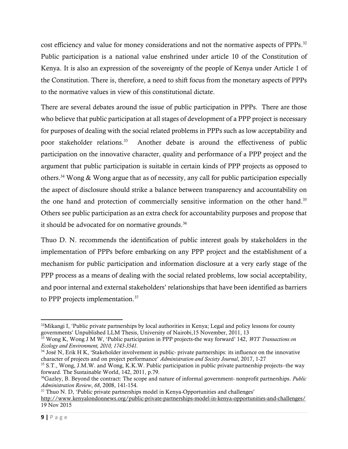cost efficiency and value for money considerations and not the normative aspects of PPPs. 32 Public participation is a national value enshrined under article 10 of the Constitution of Kenya. It is also an expression of the sovereignty of the people of Kenya under Article 1 of the Constitution. There is, therefore, a need to shift focus from the monetary aspects of PPPs to the normative values in view of this constitutional dictate.

There are several debates around the issue of public participation in PPPs. There are those who believe that public participation at all stages of development of a PPP project is necessary for purposes of dealing with the social related problems in PPPs such as low acceptability and poor stakeholder relations. 33 Another debate is around the effectiveness of public participation on the innovative character, quality and performance of a PPP project and the argument that public participation is suitable in certain kinds of PPP projects as opposed to others.<sup>34</sup> Wong & Wong argue that as of necessity, any call for public participation especially the aspect of disclosure should strike a balance between transparency and accountability on the one hand and protection of commercially sensitive information on the other hand.<sup>35</sup> Others see public participation as an extra check for accountability purposes and propose that it should be advocated for on normative grounds.<sup>36</sup>

Thuo D. N. recommends the identification of public interest goals by stakeholders in the implementation of PPPs before embarking on any PPP project and the establishment of a mechanism for public participation and information disclosure at a very early stage of the PPP process as a means of dealing with the social related problems, low social acceptability, and poor internal and external stakeholders' relationships that have been identified as barriers to PPP projects implementation.<sup>37</sup>

<sup>37</sup> Thuo N. D, 'Public private partnerships model in Kenya-Opportunities and challenges'

 $32$ Mikangi I, 'Public private partnerships by local authorities in Kenya; Legal and policy lessons for county governments' Unpublished LLM Thesis, University of Nairobi,15 November, 2011, 13

<sup>33</sup> Wong K, Wong J M W, 'Public participation in PPP projects-the way forward' 142, *WIT Transactions on Ecology and Environment, 2010, 1743-3541.* 

<sup>&</sup>lt;sup>34</sup> José N, Erik H K, 'Stakeholder involvement in public- private partnerships: its influence on the innovative character of projects and on project performance' *Administration and Society Journal*, 2017, 1-27

<sup>35</sup> S.T., Wong, J.M.W. and Wong, K.K.W. Public participation in public private partnership projects–the way forward. The Sustainable World, 142, 2011, p.79.

<sup>36</sup>Gazley, B. Beyond the contract: The scope and nature of informal government- nonprofit partnerships. *Public Administration Review*, *68*, 2008, 141-154.

<http://www.kenyalondonnews.org/public-private-partnerships-model-in-kenya-opportunities-and-challenges/> 19 Nov 2015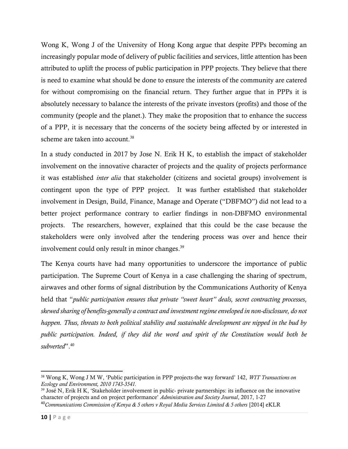Wong K, Wong J of the University of Hong Kong argue that despite PPPs becoming an increasingly popular mode of delivery of public facilities and services, little attention has been attributed to uplift the process of public participation in PPP projects. They believe that there is need to examine what should be done to ensure the interests of the community are catered for without compromising on the financial return. They further argue that in PPPs it is absolutely necessary to balance the interests of the private investors (profits) and those of the community (people and the planet.). They make the proposition that to enhance the success of a PPP, it is necessary that the concerns of the society being affected by or interested in scheme are taken into account.<sup>38</sup>

In a study conducted in 2017 by Jose N. Erik H K, to establish the impact of stakeholder involvement on the innovative character of projects and the quality of projects performance it was established *inter alia* that stakeholder (citizens and societal groups) involvement is contingent upon the type of PPP project. It was further established that stakeholder involvement in Design, Build, Finance, Manage and Operate ("DBFMO") did not lead to a better project performance contrary to earlier findings in non-DBFMO environmental projects. The researchers, however, explained that this could be the case because the stakeholders were only involved after the tendering process was over and hence their involvement could only result in minor changes.<sup>39</sup>

The Kenya courts have had many opportunities to underscore the importance of public participation. The Supreme Court of Kenya in a case challenging the sharing of spectrum, airwaves and other forms of signal distribution by the Communications Authority of Kenya held that "*public participation ensures that private "sweet heart" deals, secret contracting processes, skewed sharing of benefits-generally a contract and investment regime enveloped in non-disclosure, do not happen. Thus, threats to both political stability and sustainable development are nipped in the bud by public participation. Indeed, if they did the word and spirit of the Constitution would both be subverted*". 40

<sup>38</sup> Wong K, Wong J M W, 'Public participation in PPP projects-the way forward' 142, *WIT Transactions on Ecology and Environment, 2010 1743-3541.* 

<sup>39</sup> José N, Erik H K, 'Stakeholder involvement in public- private partnerships: its influence on the innovative character of projects and on project performance' *Administration and Society Journal*, 2017, 1-27 <sup>40</sup>*Communications Commission of Kenya & 5 others v Royal Media Services Limited & 5 others* [2014] eKLR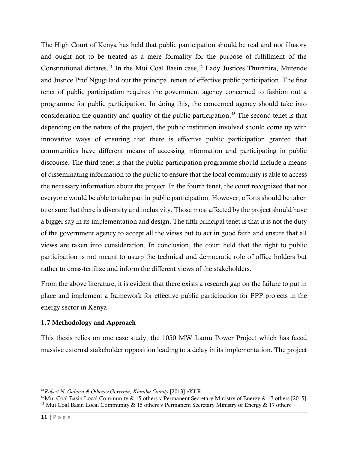The High Court of Kenya has held that public participation should be real and not illusory and ought not to be treated as a mere formality for the purpose of fulfillment of the Constitutional dictates.<sup>41</sup> In the Mui Coal Basin case,<sup>42</sup> Lady Justices Thuranira, Mutende and Justice Prof Ngugi laid out the principal tenets of effective public participation. The first tenet of public participation requires the government agency concerned to fashion out a programme for public participation. In doing this, the concerned agency should take into consideration the quantity and quality of the public participation. <sup>43</sup> The second tenet is that depending on the nature of the project, the public institution involved should come up with innovative ways of ensuring that there is effective public participation granted that communities have different means of accessing information and participating in public discourse. The third tenet is that the public participation programme should include a means of disseminating information to the public to ensure that the local community is able to access the necessary information about the project. In the fourth tenet, the court recognized that not everyone would be able to take part in public participation. However, efforts should be taken to ensure that there is diversity and inclusivity. Those most affected by the project should have a bigger say in its implementation and design. The fifth principal tenet is that it is not the duty of the government agency to accept all the views but to act in good faith and ensure that all views are taken into consideration. In conclusion, the court held that the right to public participation is not meant to usurp the technical and democratic role of office holders but rather to cross-fertilize and inform the different views of the stakeholders.

From the above literature, it is evident that there exists a research gap on the failure to put in place and implement a framework for effective public participation for PPP projects in the energy sector in Kenya.

# <span id="page-19-0"></span>1.7 Methodology and Approach

This thesis relies on one case study, the 1050 MW Lamu Power Project which has faced massive external stakeholder opposition leading to a delay in its implementation. The project

<sup>41</sup>*Robert N. Gakuru & Others v Governor, Kiambu County* [2013] eKLR

<sup>&</sup>lt;sup>42</sup>Mui Coal Basin Local Community & 15 others y Permanent Secretary Ministry of Energy & 17 others [2015] <sup>43</sup> Mui Coal Basin Local Community & 15 others v Permanent Secretary Ministry of Energy & 17 others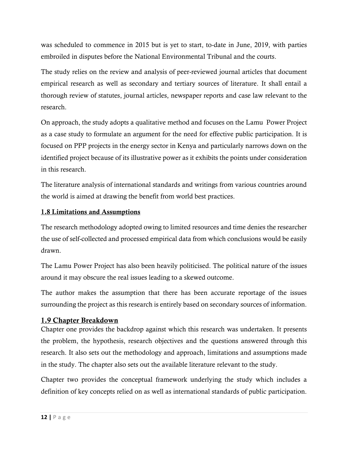was scheduled to commence in 2015 but is yet to start, to-date in June, 2019, with parties embroiled in disputes before the National Environmental Tribunal and the courts.

The study relies on the review and analysis of peer-reviewed journal articles that document empirical research as well as secondary and tertiary sources of literature. It shall entail a thorough review of statutes, journal articles, newspaper reports and case law relevant to the research.

On approach, the study adopts a qualitative method and focuses on the Lamu Power Project as a case study to formulate an argument for the need for effective public participation. It is focused on PPP projects in the energy sector in Kenya and particularly narrows down on the identified project because of its illustrative power as it exhibits the points under consideration in this research.

The literature analysis of international standards and writings from various countries around the world is aimed at drawing the benefit from world best practices.

### <span id="page-20-0"></span>1.8 Limitations and Assumptions

The research methodology adopted owing to limited resources and time denies the researcher the use of self-collected and processed empirical data from which conclusions would be easily drawn.

The Lamu Power Project has also been heavily politicised. The political nature of the issues around it may obscure the real issues leading to a skewed outcome.

The author makes the assumption that there has been accurate reportage of the issues surrounding the project as this research is entirely based on secondary sources of information.

### <span id="page-20-1"></span>1.9 Chapter Breakdown

Chapter one provides the backdrop against which this research was undertaken. It presents the problem, the hypothesis, research objectives and the questions answered through this research. It also sets out the methodology and approach, limitations and assumptions made in the study. The chapter also sets out the available literature relevant to the study.

Chapter two provides the conceptual framework underlying the study which includes a definition of key concepts relied on as well as international standards of public participation.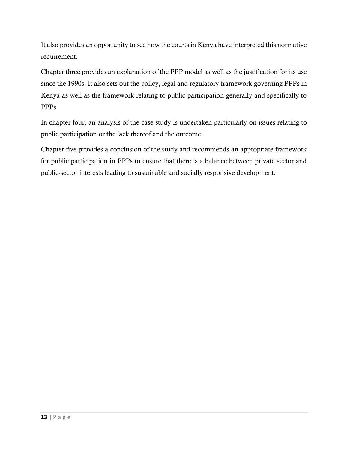It also provides an opportunity to see how the courts in Kenya have interpreted this normative requirement.

Chapter three provides an explanation of the PPP model as well as the justification for its use since the 1990s. It also sets out the policy, legal and regulatory framework governing PPPs in Kenya as well as the framework relating to public participation generally and specifically to PPPs.

In chapter four, an analysis of the case study is undertaken particularly on issues relating to public participation or the lack thereof and the outcome.

Chapter five provides a conclusion of the study and recommends an appropriate framework for public participation in PPPs to ensure that there is a balance between private sector and public-sector interests leading to sustainable and socially responsive development.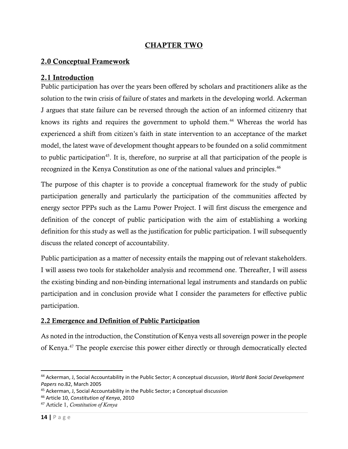# CHAPTER TWO

### <span id="page-22-1"></span><span id="page-22-0"></span>2.0 Conceptual Framework

### <span id="page-22-2"></span>2.1 Introduction

Public participation has over the years been offered by scholars and practitioners alike as the solution to the twin crisis of failure of states and markets in the developing world. Ackerman J argues that state failure can be reversed through the action of an informed citizenry that knows its rights and requires the government to uphold them. <sup>44</sup> Whereas the world has experienced a shift from citizen's faith in state intervention to an acceptance of the market model, the latest wave of development thought appears to be founded on a solid commitment to public participation<sup>45</sup>. It is, therefore, no surprise at all that participation of the people is recognized in the Kenya Constitution as one of the national values and principles. 46

The purpose of this chapter is to provide a conceptual framework for the study of public participation generally and particularly the participation of the communities affected by energy sector PPPs such as the Lamu Power Project. I will first discuss the emergence and definition of the concept of public participation with the aim of establishing a working definition for this study as well as the justification for public participation. I will subsequently discuss the related concept of accountability.

Public participation as a matter of necessity entails the mapping out of relevant stakeholders. I will assess two tools for stakeholder analysis and recommend one. Thereafter, I will assess the existing binding and non-binding international legal instruments and standards on public participation and in conclusion provide what I consider the parameters for effective public participation.

### <span id="page-22-3"></span>2.2 Emergence and Definition of Public Participation

As noted in the introduction, the Constitution of Kenya vests all sovereign power in the people of Kenya. <sup>47</sup> The people exercise this power either directly or through democratically elected

<sup>44</sup> Ackerman, J, Social Accountability in the Public Sector; A conceptual discussion*, World Bank Social Development Papers* no.82, March 2005

<sup>45</sup> Ackerman, J, Social Accountability in the Public Sector; a Conceptual discussion

<sup>46</sup> Article 10, *Constitution of Kenya*, 2010

<sup>47</sup> Article 1, *Constitution of Kenya*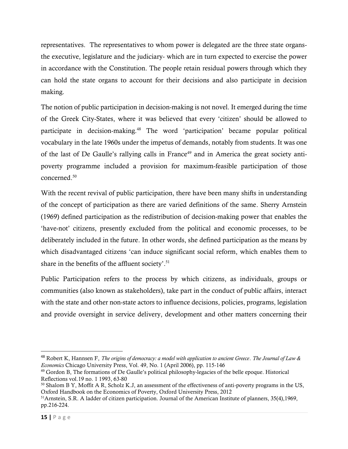representatives. The representatives to whom power is delegated are the three state organsthe executive, legislature and the judiciary- which are in turn expected to exercise the power in accordance with the Constitution. The people retain residual powers through which they can hold the state organs to account for their decisions and also participate in decision making.

The notion of public participation in decision-making is not novel. It emerged during the time of the Greek City-States, where it was believed that every 'citizen' should be allowed to participate in decision-making. <sup>48</sup> The word 'participation' became popular political vocabulary in the late 1960s under the impetus of demands, notably from students. It was one of the last of De Gaulle's rallying calls in France<sup>49</sup> and in America the great society antipoverty programme included a provision for maximum-feasible participation of those concerned.<sup>50</sup>

With the recent revival of public participation, there have been many shifts in understanding of the concept of participation as there are varied definitions of the same. Sherry Arnstein (1969) defined participation as the redistribution of decision-making power that enables the 'have-not' citizens, presently excluded from the political and economic processes, to be deliberately included in the future. In other words, she defined participation as the means by which disadvantaged citizens 'can induce significant social reform, which enables them to share in the benefits of the affluent society'.<sup>51</sup>

Public Participation refers to the process by which citizens, as individuals, groups or communities (also known as stakeholders), take part in the conduct of public affairs, interact with the state and other non-state actors to influence decisions, policies, programs, legislation and provide oversight in service delivery, development and other matters concerning their

<sup>48</sup> Robert K, Hannsen F, *The origins of democracy: a model with application to ancient Greece*. *The Journal of Law & Economics* Chicago University Press, Vol. 49, No. 1 (April 2006), pp. 115-146

<sup>49</sup> Gordon B, The formations of De Gaulle's political philosophy-legacies of the belle epoque. Historical Reflections vol.19 no. 1 1993, 63-80

<sup>&</sup>lt;sup>50</sup> Shalom B Y, Moffit A R, Scholz K.J, an assessment of the effectiveness of anti-poverty programs in the US, Oxford Handbook on the Economics of Poverty, Oxford University Press, 2012

<sup>&</sup>lt;sup>51</sup>Arnstein, S.R. A ladder of citizen participation. Journal of the American Institute of planners, 35(4),1969, pp.216-224.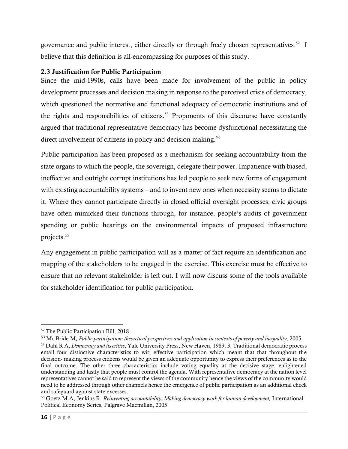governance and public interest, either directly or through freely chosen representatives.<sup>52</sup> I believe that this definition is all-encompassing for purposes of this study.

# <span id="page-24-0"></span>2.3 Justification for Public Participation

Since the mid-1990s, calls have been made for involvement of the public in policy development processes and decision making in response to the perceived crisis of democracy, which questioned the normative and functional adequacy of democratic institutions and of the rights and responsibilities of citizens. <sup>53</sup> Proponents of this discourse have constantly argued that traditional representative democracy has become dysfunctional necessitating the direct involvement of citizens in policy and decision making.<sup>54</sup>

Public participation has been proposed as a mechanism for seeking accountability from the state organs to which the people, the sovereign, delegate their power. Impatience with biased, ineffective and outright corrupt institutions has led people to seek new forms of engagement with existing accountability systems – and to invent new ones when necessity seems to dictate it. Where they cannot participate directly in closed official oversight processes, civic groups have often mimicked their functions through, for instance, people's audits of government spending or public hearings on the environmental impacts of proposed infrastructure projects. 55

Any engagement in public participation will as a matter of fact require an identification and mapping of the stakeholders to be engaged in the exercise. This exercise must be effective to ensure that no relevant stakeholder is left out. I will now discuss some of the tools available for stakeholder identification for public participation.

<sup>52</sup> The Public Participation Bill, 2018

<sup>53</sup> Mc Bride M, *Public participation: theoretical perspectives and application in contexts of poverty and inequality,* 2005

<sup>54</sup> Dahl R A, *Democracy and its critics*, Yale University Press, New Haven, 1989, 3. Traditional democratic process entail four distinctive characteristics to wit; effective participation which meant that that throughout the decision- making process citizens would be given an adequate opportunity to express their preferences as to the final outcome. The other three characteristics include voting equality at the decisive stage, enlightened understanding and lastly that people must control the agenda. With representative democracy at the nation level representatives cannot be said to represent the views of the community hence the views of the community would need to be addressed through other channels hence the emergence of public participation as an additional check and safeguard against state excesses.

<sup>55</sup> Goetz M.A, Jenkins R, *Reinventing accountability: Making democracy work for human development,* International Political Economy Series, Palgrave Macmillan, 2005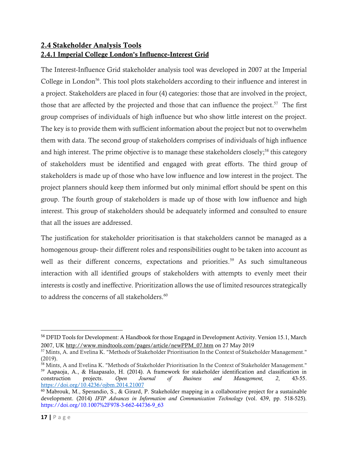# <span id="page-25-1"></span><span id="page-25-0"></span>2.4 Stakeholder Analysis Tools 2.4.1 Imperial College London's Influence-Interest Grid

The Interest-Influence Grid stakeholder analysis tool was developed in 2007 at the Imperial College in London<sup>56</sup>. This tool plots stakeholders according to their influence and interest in a project. Stakeholders are placed in four (4) categories: those that are involved in the project, those that are affected by the projected and those that can influence the project.<sup>57</sup> The first group comprises of individuals of high influence but who show little interest on the project. The key is to provide them with sufficient information about the project but not to overwhelm them with data. The second group of stakeholders comprises of individuals of high influence and high interest. The prime objective is to manage these stakeholders closely;<sup>58</sup> this category of stakeholders must be identified and engaged with great efforts. The third group of stakeholders is made up of those who have low influence and low interest in the project. The project planners should keep them informed but only minimal effort should be spent on this group. The fourth group of stakeholders is made up of those with low influence and high interest. This group of stakeholders should be adequately informed and consulted to ensure that all the issues are addressed.

The justification for stakeholder prioritisation is that stakeholders cannot be managed as a homogenous group- their different roles and responsibilities ought to be taken into account as well as their different concerns, expectations and priorities.<sup>59</sup> As such simultaneous interaction with all identified groups of stakeholders with attempts to evenly meet their interests is costly and ineffective. Prioritization allows the use of limited resources strategically to address the concerns of all stakeholders.<sup>60</sup>

<sup>56</sup> DFID Tools for Development: A Handbook for those Engaged in Development Activity. Version 15.1, March 2007, UK [http://www.mindtools.com/pages/article/newPPM\\_07.htm](http://www.mindtools.com/pages/article/newPPM_07.htm) on 27 May 2019

<sup>57</sup> Mints, A. and Evelina K. "Methods of Stakeholder Prioritisation In the Context of Stakeholder Management." (2019).

<sup>58</sup> Mints, A and Evelina K. "Methods of Stakeholder Prioritisation In the Context of Stakeholder Management." <sup>59</sup> Aapaoja, A., & Haapasalo, H. (2014). A framework for stakeholder identification and classification in construction projects. *Open Journal of Business and Management, 2*, 43-55. <https://doi.org/10.4236/ojbm.2014.21007>

<sup>60</sup> Mabrouk, M., Sperandio, S., & Girard, P. Stakeholder mapping in a collaborative project for a sustainable development. (2014) *IFIP Advances in Information and Communication Technology* (vol. 439, pp. 518-525). https://doi.org/10.1007%2F978-3-662-44736-9\_63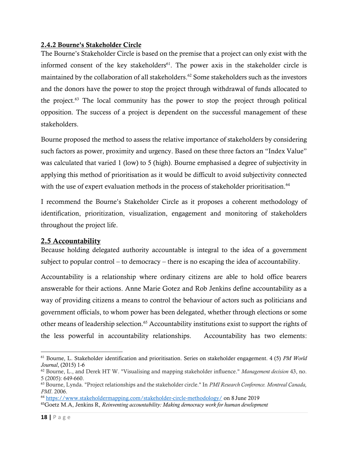### <span id="page-26-0"></span>2.4.2 Bourne's Stakeholder Circle

The Bourne's Stakeholder Circle is based on the premise that a project can only exist with the informed consent of the key stakeholders $61$ . The power axis in the stakeholder circle is maintained by the collaboration of all stakeholders. <sup>62</sup> Some stakeholders such as the investors and the donors have the power to stop the project through withdrawal of funds allocated to the project. <sup>63</sup> The local community has the power to stop the project through political opposition. The success of a project is dependent on the successful management of these stakeholders.

Bourne proposed the method to assess the relative importance of stakeholders by considering such factors as power, proximity and urgency. Based on these three factors an "Index Value" was calculated that varied 1 (low) to 5 (high). Bourne emphasised a degree of subjectivity in applying this method of prioritisation as it would be difficult to avoid subjectivity connected with the use of expert evaluation methods in the process of stakeholder prioritisation.<sup>64</sup>

I recommend the Bourne's Stakeholder Circle as it proposes a coherent methodology of identification, prioritization, visualization, engagement and monitoring of stakeholders throughout the project life.

### <span id="page-26-1"></span>2.5 Accountability

Because holding delegated authority accountable is integral to the idea of a government subject to popular control – to democracy – there is no escaping the idea of accountability.

Accountability is a relationship where ordinary citizens are able to hold office bearers answerable for their actions. Anne Marie Gotez and Rob Jenkins define accountability as a way of providing citizens a means to control the behaviour of actors such as politicians and government officials, to whom power has been delegated, whether through elections or some other means of leadership selection. <sup>65</sup> Accountability institutions exist to support the rights of the less powerful in accountability relationships. Accountability has two elements:

<sup>61</sup> Bourne, L. Stakeholder identification and prioritisation. Series on stakeholder engagement. 4 (5) *PM World Journal*, (2015) 1-6

<sup>62</sup> Bourne, L., and Derek HT W. "Visualising and mapping stakeholder influence." *Management decision* 43, no. 5 (2005): 649-660.

<sup>63</sup> Bourne, Lynda. "Project relationships and the stakeholder circle." In *PMI Research Conference. Montreal Canada, PMI*. 2006.

<sup>64</sup> <https://www.stakeholdermapping.com/stakeholder-circle-methodology/> on 8 June 2019

<sup>65</sup>Goetz M.A, Jenkins R, *Reinventing accountability: Making democracy work for human development*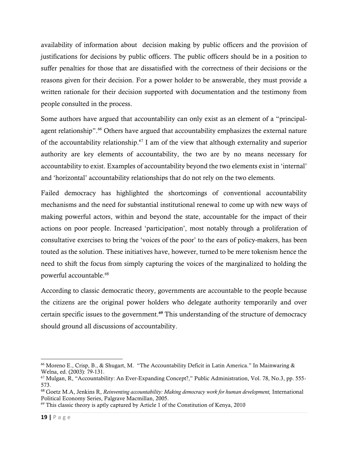availability of information about decision making by public officers and the provision of justifications for decisions by public officers. The public officers should be in a position to suffer penalties for those that are dissatisfied with the correctness of their decisions or the reasons given for their decision. For a power holder to be answerable, they must provide a written rationale for their decision supported with documentation and the testimony from people consulted in the process.

Some authors have argued that accountability can only exist as an element of a "principalagent relationship". <sup>66</sup> Others have argued that accountability emphasizes the external nature of the accountability relationship.<sup>67</sup> I am of the view that although externality and superior authority are key elements of accountability, the two are by no means necessary for accountability to exist. Examples of accountability beyond the two elements exist in 'internal' and 'horizontal' accountability relationships that do not rely on the two elements.

Failed democracy has highlighted the shortcomings of conventional accountability mechanisms and the need for substantial institutional renewal to come up with new ways of making powerful actors, within and beyond the state, accountable for the impact of their actions on poor people. Increased 'participation', most notably through a proliferation of consultative exercises to bring the 'voices of the poor' to the ears of policy-makers, has been touted as the solution. These initiatives have, however, turned to be mere tokenism hence the need to shift the focus from simply capturing the voices of the marginalized to holding the powerful accountable.<sup>68</sup>

According to classic democratic theory, governments are accountable to the people because the citizens are the original power holders who delegate authority temporarily and over certain specific issues to the government. <sup>69</sup> This understanding of the structure of democracy should ground all discussions of accountability.

<sup>66</sup> Moreno E., Crisp, B., & Shugart, M. "The Accountability Deficit in Latin America." In Mainwaring & Welna, ed. (2003): 79-131.

<sup>67</sup> Mulgan, R, "Accountability: An Ever-Expanding Concept?," Public Administration, Vol. 78, No.3, pp. 555- 573.

<sup>68</sup> Goetz M.A, Jenkins R, *Reinventing accountability: Making democracy work for human development,* International Political Economy Series, Palgrave Macmillan, 2005.

<sup>&</sup>lt;sup>69</sup> This classic theory is aptly captured by Article 1 of the Constitution of Kenya, 2010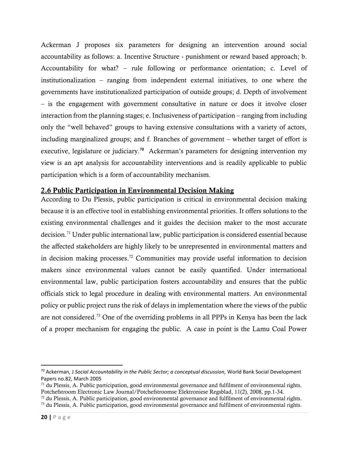Ackerman J proposes six parameters for designing an intervention around social accountability as follows: a. Incentive Structure - punishment or reward based approach; b. Accountability for what? – rule following or performance orientation; c. Level of institutionalization – ranging from independent external initiatives, to one where the governments have institutionalized participation of outside groups; d. Depth of involvement – is the engagement with government consultative in nature or does it involve closer interaction from the planning stages; e. Inclusiveness of participation – ranging from including only the "well behaved" groups to having extensive consultations with a variety of actors, including marginalized groups; and f. Branches of government – whether target of effort is executive, legislature or judiciary.<sup>70</sup> Ackerman's parameters for designing intervention my view is an apt analysis for accountability interventions and is readily applicable to public participation which is a form of accountability mechanism.

## <span id="page-28-0"></span>2.6 Public Participation in Environmental Decision Making

According to Du Plessis, public participation is critical in environmental decision making because it is an effective tool in establishing environmental priorities. It offers solutions to the existing environmental challenges and it guides the decision maker to the most accurate decision. <sup>71</sup> Under public international law, public participation is considered essential because the affected stakeholders are highly likely to be unrepresented in environmental matters and in decision making processes. <sup>72</sup> Communities may provide useful information to decision makers since environmental values cannot be easily quantified. Under international environmental law, public participation fosters accountability and ensures that the public officials stick to legal procedure in dealing with environmental matters. An environmental policy or public project runs the risk of delays in implementation where the views of the public are not considered. <sup>73</sup> One of the overriding problems in all PPPs in Kenya has been the lack of a proper mechanism for engaging the public. A case in point is the Lamu Coal Power

<sup>70</sup> Ackerman, J *Social Accountability in the Public Sector; a conceptual discussion,* World Bank Social Development Papers no.82, March 2005

 $71$  du Plessis, A. Public participation, good environmental governance and fulfilment of environmental rights. Potchefstroom Electronic Law Journal/Potchefstroomse Elektroniese Regsblad, 11(2), 2008, pp.1-34.

<sup>72</sup> du Plessis, A. Public participation, good environmental governance and fulfilment of environmental rights.

<sup>73</sup> du Plessis, A. Public participation, good environmental governance and fulfilment of environmental rights.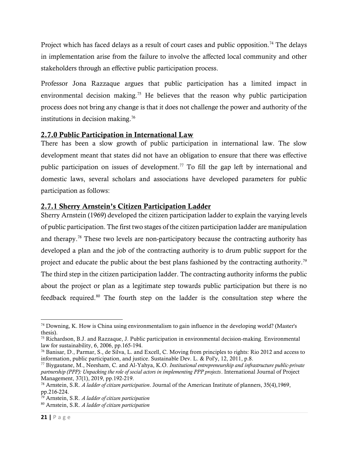Project which has faced delays as a result of court cases and public opposition.<sup>74</sup> The delays in implementation arise from the failure to involve the affected local community and other stakeholders through an effective public participation process.

Professor Jona Razzaque argues that public participation has a limited impact in environmental decision making.<sup>75</sup> He believes that the reason why public participation process does not bring any change is that it does not challenge the power and authority of the institutions in decision making. 76

# <span id="page-29-0"></span>2.7.0 Public Participation in International Law

There has been a slow growth of public participation in international law. The slow development meant that states did not have an obligation to ensure that there was effective public participation on issues of development. <sup>77</sup> To fill the gap left by international and domestic laws, several scholars and associations have developed parameters for public participation as follows:

# <span id="page-29-1"></span>2.7.1 Sherry Arnstein's Citizen Participation Ladder

Sherry Arnstein (1969) developed the citizen participation ladder to explain the varying levels of public participation. The first two stages of the citizen participation ladder are manipulation and therapy.<sup>78</sup> These two levels are non-participatory because the contracting authority has developed a plan and the job of the contracting authority is to drum public support for the project and educate the public about the best plans fashioned by the contracting authority.<sup>79</sup> The third step in the citizen participation ladder. The contracting authority informs the public about the project or plan as a legitimate step towards public participation but there is no feedback required.<sup>80</sup> The fourth step on the ladder is the consultation step where the

<sup>74</sup> Downing, K. How is China using environmentalism to gain influence in the developing world? (Master's thesis).

<sup>75</sup> Richardson, B.J. and Razzaque, J. Public participation in environmental decision-making. Environmental law for sustainability, 6, 2006, pp.165-194.

<sup>76</sup> Banisar, D., Parmar, S., de Silva, L. and Excell, C. Moving from principles to rights: Rio 2012 and access to information, public participation, and justice. Sustainable Dev. L. & Pol'y, 12, 2011, p.8.

<sup>77</sup> Biygautane, M., Neesham, C. and Al-Yahya, K.O. *Institutional entrepreneurship and infrastructure public-private partnership (PPP): Unpacking the role of social actors in implementing PPP projects*. International Journal of Project Management, 37(1), 2019, pp.192-219.

<sup>78</sup> Arnstein, S.R. *A ladder of citizen participation*. Journal of the American Institute of planners, 35(4),1969,  $pp.216-224.$ 

<sup>79</sup> Arnstein, S.R. *A ladder of citizen participation*

<sup>80</sup> Arnstein, S.R. *A ladder of citizen participation*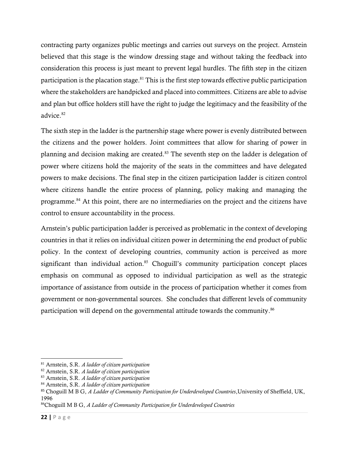contracting party organizes public meetings and carries out surveys on the project. Arnstein believed that this stage is the window dressing stage and without taking the feedback into consideration this process is just meant to prevent legal hurdles. The fifth step in the citizen participation is the placation stage.<sup>81</sup> This is the first step towards effective public participation where the stakeholders are handpicked and placed into committees. Citizens are able to advise and plan but office holders still have the right to judge the legitimacy and the feasibility of the advice. 82

The sixth step in the ladder is the partnership stage where power is evenly distributed between the citizens and the power holders. Joint committees that allow for sharing of power in planning and decision making are created.<sup>83</sup> The seventh step on the ladder is delegation of power where citizens hold the majority of the seats in the committees and have delegated powers to make decisions. The final step in the citizen participation ladder is citizen control where citizens handle the entire process of planning, policy making and managing the programme.<sup>84</sup> At this point, there are no intermediaries on the project and the citizens have control to ensure accountability in the process.

Arnstein's public participation ladder is perceived as problematic in the context of developing countries in that it relies on individual citizen power in determining the end product of public policy. In the context of developing countries, community action is perceived as more significant than individual action.<sup>85</sup> Choguill's community participation concept places emphasis on communal as opposed to individual participation as well as the strategic importance of assistance from outside in the process of participation whether it comes from government or non-governmental sources. She concludes that different levels of community participation will depend on the governmental attitude towards the community.<sup>86</sup>

<sup>81</sup> Arnstein, S.R. *A ladder of citizen participation*

<sup>82</sup> Arnstein, S.R. *A ladder of citizen participation*

<sup>83</sup> Arnstein, S.R. *A ladder of citizen participation*

<sup>84</sup> Arnstein, S.R. *A ladder of citizen participation*

<sup>85</sup> Choguill M B G, *A Ladder of Community Participation for Underdeveloped Countries*,University of Sheffield, UK, 1996

<sup>86</sup>Choguill M B G, *A Ladder of Community Participation for Underdeveloped Countries*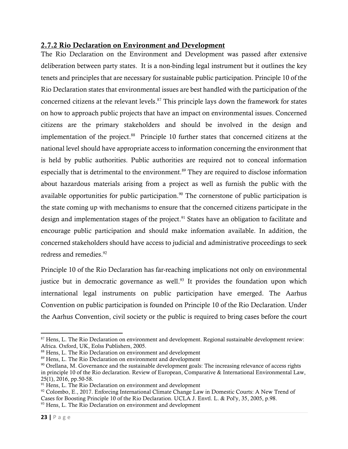# <span id="page-31-0"></span>2.7.2 Rio Declaration on Environment and Development

The Rio Declaration on the Environment and Development was passed after extensive deliberation between party states. It is a non-binding legal instrument but it outlines the key tenets and principles that are necessary for sustainable public participation. Principle 10 of the Rio Declaration states that environmental issues are best handled with the participation of the concerned citizens at the relevant levels.<sup>87</sup> This principle lays down the framework for states on how to approach public projects that have an impact on environmental issues. Concerned citizens are the primary stakeholders and should be involved in the design and implementation of the project. 88 Principle 10 further states that concerned citizens at the national level should have appropriate access to information concerning the environment that is held by public authorities. Public authorities are required not to conceal information especially that is detrimental to the environment.<sup>89</sup> They are required to disclose information about hazardous materials arising from a project as well as furnish the public with the available opportunities for public participation. <sup>90</sup> The cornerstone of public participation is the state coming up with mechanisms to ensure that the concerned citizens participate in the design and implementation stages of the project.<sup>91</sup> States have an obligation to facilitate and encourage public participation and should make information available. In addition, the concerned stakeholders should have access to judicial and administrative proceedings to seek redress and remedies. 92

Principle 10 of the Rio Declaration has far-reaching implications not only on environmental justice but in democratic governance as well.<sup>93</sup> It provides the foundation upon which international legal instruments on public participation have emerged. The Aarhus Convention on public participation is founded on Principle 10 of the Rio Declaration. Under the Aarhus Convention, civil society or the public is required to bring cases before the court

<sup>87</sup> Hens, L. The Rio Declaration on environment and development. Regional sustainable development review: Africa. Oxford, UK, Eolss Publishers, 2005.

<sup>88</sup> Hens, L. The Rio Declaration on environment and development

<sup>&</sup>lt;sup>89</sup> Hens, L. The Rio Declaration on environment and development

 $90$  Orellana, M. Governance and the sustainable development goals: The increasing relevance of access rights in principle 10 of the Rio declaration. Review of European, Comparative & International Environmental Law, 25(1), 2016, pp.50-58.

 $91$  Hens, L. The Rio Declaration on environment and development

<sup>92</sup> Colombo, E., 2017. Enforcing International Climate Change Law in Domestic Courts: A New Trend of Cases for Boosting Principle 10 of the Rio Declaration. UCLA J. Envtl. L. & Pol'y, 35, 2005, p.98.

<sup>&</sup>lt;sup>93</sup> Hens, L. The Rio Declaration on environment and development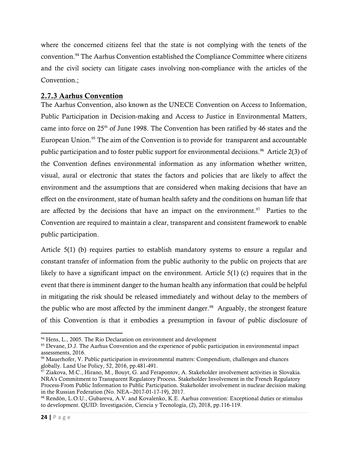where the concerned citizens feel that the state is not complying with the tenets of the convention. <sup>94</sup> The Aarhus Convention established the Compliance Committee where citizens and the civil society can litigate cases involving non-compliance with the articles of the Convention.;

# <span id="page-32-0"></span>2.7.3 Aarhus Convention

The Aarhus Convention, also known as the UNECE Convention on Access to Information, Public Participation in Decision-making and Access to Justice in Environmental Matters, came into force on 25<sup>th</sup> of June 1998. The Convention has been ratified by 46 states and the European Union.<sup>95</sup> The aim of the Convention is to provide for transparent and accountable public participation and to foster public support for environmental decisions.<sup>96</sup> Article 2(3) of the Convention defines environmental information as any information whether written, visual, aural or electronic that states the factors and policies that are likely to affect the environment and the assumptions that are considered when making decisions that have an effect on the environment, state of human health safety and the conditions on human life that are affected by the decisions that have an impact on the environment.<sup>97</sup> Parties to the Convention are required to maintain a clear, transparent and consistent framework to enable public participation.

Article 5(1) (b) requires parties to establish mandatory systems to ensure a regular and constant transfer of information from the public authority to the public on projects that are likely to have a significant impact on the environment. Article 5(1) (c) requires that in the event that there is imminent danger to the human health any information that could be helpful in mitigating the risk should be released immediately and without delay to the members of the public who are most affected by the imminent danger.<sup>98</sup> Arguably, the strongest feature of this Convention is that it embodies a presumption in favour of public disclosure of

 $94$  Hens, L., 2005. The Rio Declaration on environment and development

<sup>&</sup>lt;sup>95</sup> Devane, D.J. The Aarhus Convention and the experience of public participation in environmental impact assessments, 2016.

<sup>96</sup> Mauerhofer, V. Public participation in environmental matters: Compendium, challenges and chances globally. Land Use Policy, 52, 2016, pp.481-491.

 $^{97}$  Ziakova, M.C., Hirano, M., Bouyt, G. and Ferapontov, A. Stakeholder involvement activities in Slovakia. NRA's Commitment to Transparent Regulatory Process. Stakeholder Involvement in the French Regulatory Process-From Public Information to Public Participation. Stakeholder involvement in nuclear decision making in the Russian Federation (No. NEA--2017-01-17-19), 2017.

<sup>98</sup> Rendón, L.O.U., Gubareva, A.V. and Kovalenko, K.E. Aarhus convention: Exceptional duties or stimulus to development. QUID: Investigación, Ciencia y Tecnología, (2), 2018, pp.116-119.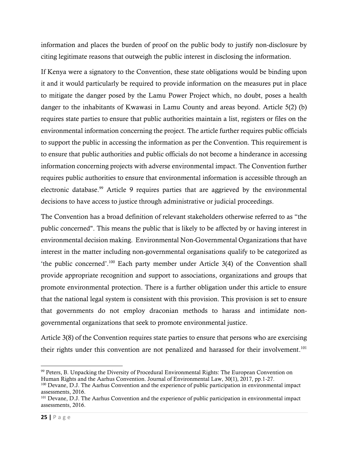information and places the burden of proof on the public body to justify non-disclosure by citing legitimate reasons that outweigh the public interest in disclosing the information.

If Kenya were a signatory to the Convention, these state obligations would be binding upon it and it would particularly be required to provide information on the measures put in place to mitigate the danger posed by the Lamu Power Project which, no doubt, poses a health danger to the inhabitants of Kwawasi in Lamu County and areas beyond. Article 5(2) (b) requires state parties to ensure that public authorities maintain a list, registers or files on the environmental information concerning the project. The article further requires public officials to support the public in accessing the information as per the Convention. This requirement is to ensure that public authorities and public officials do not become a hinderance in accessing information concerning projects with adverse environmental impact. The Convention further requires public authorities to ensure that environmental information is accessible through an electronic database.<sup>99</sup> Article 9 requires parties that are aggrieved by the environmental decisions to have access to justice through administrative or judicial proceedings.

The Convention has a broad definition of relevant stakeholders otherwise referred to as "the public concerned". This means the public that is likely to be affected by or having interest in environmental decision making. Environmental Non-Governmental Organizations that have interest in the matter including non-governmental organisations qualify to be categorized as 'the public concerned'. <sup>100</sup> Each party member under Article 3(4) of the Convention shall provide appropriate recognition and support to associations, organizations and groups that promote environmental protection. There is a further obligation under this article to ensure that the national legal system is consistent with this provision. This provision is set to ensure that governments do not employ draconian methods to harass and intimidate nongovernmental organizations that seek to promote environmental justice.

Article 3(8) of the Convention requires state parties to ensure that persons who are exercising their rights under this convention are not penalized and harassed for their involvement.<sup>101</sup>

<sup>99</sup> Peters, B. Unpacking the Diversity of Procedural Environmental Rights: The European Convention on Human Rights and the Aarhus Convention. Journal of Environmental Law, 30(1), 2017, pp.1-27.

<sup>&</sup>lt;sup>100</sup> Devane, D.J. The Aarhus Convention and the experience of public participation in environmental impact assessments, 2016.

<sup>101</sup> Devane, D.J. The Aarhus Convention and the experience of public participation in environmental impact assessments, 2016.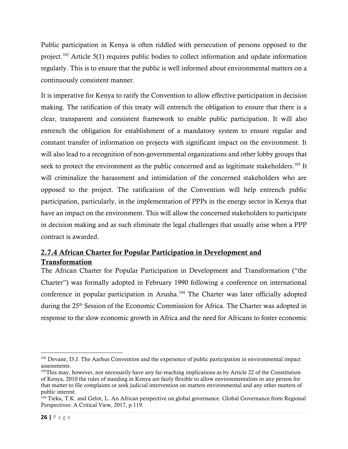Public participation in Kenya is often riddled with persecution of persons opposed to the project.<sup>102</sup> Article 5(1) requires public bodies to collect information and update information regularly. This is to ensure that the public is well informed about environmental matters on a continuously consistent manner.

It is imperative for Kenya to ratify the Convention to allow effective participation in decision making. The ratification of this treaty will entrench the obligation to ensure that there is a clear, transparent and consistent framework to enable public participation. It will also entrench the obligation for establishment of a mandatory system to ensure regular and constant transfer of information on projects with significant impact on the environment. It will also lead to a recognition of non-governmental organizations and other lobby groups that seek to protect the environment as the public concerned and as legitimate stakeholders.<sup>103</sup> It will criminalize the harassment and intimidation of the concerned stakeholders who are opposed to the project. The ratification of the Convention will help entrench public participation, particularly, in the implementation of PPPs in the energy sector in Kenya that have an impact on the environment. This will allow the concerned stakeholders to participate in decision making and as such eliminate the legal challenges that usually arise when a PPP contract is awarded.

# <span id="page-34-0"></span>2.7.4 African Charter for Popular Participation in Development and Transformation

The African Charter for Popular Participation in Development and Transformation ("the Charter") was formally adopted in February 1990 following a conference on international conference in popular participation in Arusha. <sup>104</sup> The Charter was later officially adopted during the 25<sup>th</sup> Session of the Economic Commission for Africa. The Charter was adopted in response to the slow economic growth in Africa and the need for Africans to foster economic

<sup>&</sup>lt;sup>102</sup> Devane, D.J. The Aarhus Convention and the experience of public participation in environmental impact assessments.

<sup>&</sup>lt;sup>103</sup>This may, however, not necessarily have any far-reaching implications as by Article 22 of the Constitution of Kenya, 2010 the rules of standing in Kenya are fairly flexible to allow environmentalists or any person for that matter to file complaints or seek judicial intervention on matters environmental and any other matters of public interest.

<sup>&</sup>lt;sup>104</sup> Tieku, T.K. and Gelot, L. An African perspective on global governance. Global Governance from Regional Perspectives: A Critical View, 2017, p.119.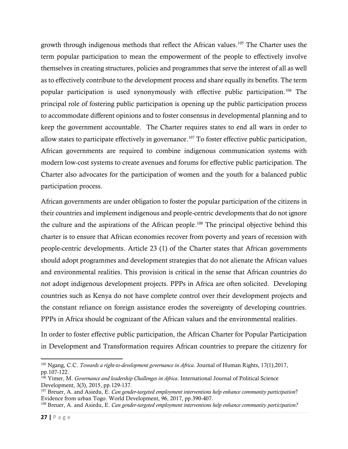growth through indigenous methods that reflect the African values. <sup>105</sup> The Charter uses the term popular participation to mean the empowerment of the people to effectively involve themselves in creating structures, policies and programmes that serve the interest of all as well as to effectively contribute to the development process and share equally its benefits. The term popular participation is used synonymously with effective public participation. <sup>106</sup> The principal role of fostering public participation is opening up the public participation process to accommodate different opinions and to foster consensus in developmental planning and to keep the government accountable. The Charter requires states to end all wars in order to allow states to participate effectively in governance. <sup>107</sup> To foster effective public participation, African governments are required to combine indigenous communication systems with modern low-cost systems to create avenues and forums for effective public participation. The Charter also advocates for the participation of women and the youth for a balanced public participation process.

African governments are under obligation to foster the popular participation of the citizens in their countries and implement indigenous and people-centric developments that do not ignore the culture and the aspirations of the African people. <sup>108</sup> The principal objective behind this charter is to ensure that African economies recover from poverty and years of recession with people-centric developments. Article 23 (1) of the Charter states that African governments should adopt programmes and development strategies that do not alienate the African values and environmental realities. This provision is critical in the sense that African countries do not adopt indigenous development projects. PPPs in Africa are often solicited. Developing countries such as Kenya do not have complete control over their development projects and the constant reliance on foreign assistance erodes the sovereignty of developing countries. PPPs in Africa should be cognizant of the African values and the environmental realities.

In order to foster effective public participation, the African Charter for Popular Participation in Development and Transformation requires African countries to prepare the citizenry for

<sup>105</sup> Ngang, C.C. *Towards a right-to-development governance in Africa*. Journal of Human Rights, 17(1),2017, pp.107-122.

<sup>106</sup> Yimer, M. *Governance and leadership Challenges in Africa*. International Journal of Political Science Development, 3(3), 2015, pp.129-137.

<sup>107</sup> Breuer, A. and Asiedu, E. *Can gender-targeted employment interventions help enhance community participation*? Evidence from urban Togo. World Development, 96, 2017, pp.390-407.

<sup>108</sup> Breuer, A. and Asiedu, E. *Can gender-targeted employment interventions help enhance community participation?*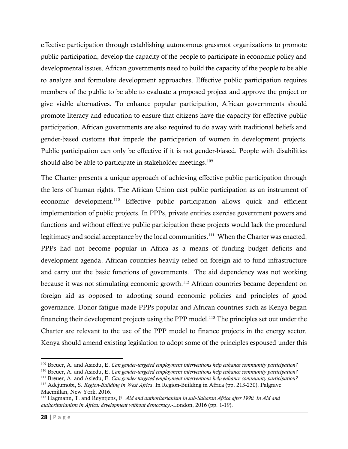effective participation through establishing autonomous grassroot organizations to promote public participation, develop the capacity of the people to participate in economic policy and developmental issues. African governments need to build the capacity of the people to be able to analyze and formulate development approaches. Effective public participation requires members of the public to be able to evaluate a proposed project and approve the project or give viable alternatives. To enhance popular participation, African governments should promote literacy and education to ensure that citizens have the capacity for effective public participation. African governments are also required to do away with traditional beliefs and gender-based customs that impede the participation of women in development projects. Public participation can only be effective if it is not gender-biased. People with disabilities should also be able to participate in stakeholder meetings.<sup>109</sup>

The Charter presents a unique approach of achieving effective public participation through the lens of human rights. The African Union cast public participation as an instrument of economic development.<sup>110</sup> Effective public participation allows quick and efficient implementation of public projects. In PPPs, private entities exercise government powers and functions and without effective public participation these projects would lack the procedural legitimacy and social acceptance by the local communities.<sup>111</sup> When the Charter was enacted, PPPs had not become popular in Africa as a means of funding budget deficits and development agenda. African countries heavily relied on foreign aid to fund infrastructure and carry out the basic functions of governments. The aid dependency was not working because it was not stimulating economic growth.<sup>112</sup> African countries became dependent on foreign aid as opposed to adopting sound economic policies and principles of good governance. Donor fatigue made PPPs popular and African countries such as Kenya began financing their development projects using the PPP model.<sup>113</sup> The principles set out under the Charter are relevant to the use of the PPP model to finance projects in the energy sector. Kenya should amend existing legislation to adopt some of the principles espoused under this

<sup>109</sup> Breuer, A. and Asiedu, E. *Can gender-targeted employment interventions help enhance community participation?*

<sup>110</sup> Breuer, A. and Asiedu, E. *Can gender-targeted employment interventions help enhance community participation?*

<sup>111</sup> Breuer, A. and Asiedu, E. *Can gender-targeted employment interventions help enhance community participation?*

<sup>112</sup> Adejumobi, S. *Region-Building in West Africa*. In Region-Building in Africa (pp. 213-230). Palgrave Macmillan, New York, 2016.

<sup>113</sup> Hagmann, T. and Reyntjens, F. *Aid and authoritarianism in sub-Saharan Africa after 1990. In Aid and authoritarianism in Africa: development without democracy*.-London, 2016 (pp. 1-19).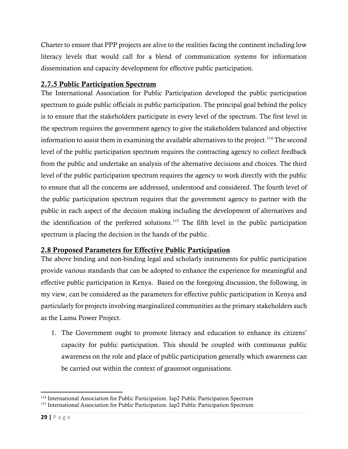Charter to ensure that PPP projects are alive to the realities facing the continent including low literacy levels that would call for a blend of communication systems for information dissemination and capacity development for effective public participation.

## 2.7.5 Public Participation Spectrum

The International Association for Public Participation developed the public participation spectrum to guide public officials in public participation. The principal goal behind the policy is to ensure that the stakeholders participate in every level of the spectrum. The first level in the spectrum requires the government agency to give the stakeholders balanced and objective information to assist them in examining the available alternatives to the project. <sup>114</sup> The second level of the public participation spectrum requires the contracting agency to collect feedback from the public and undertake an analysis of the alternative decisions and choices. The third level of the public participation spectrum requires the agency to work directly with the public to ensure that all the concerns are addressed, understood and considered. The fourth level of the public participation spectrum requires that the government agency to partner with the public in each aspect of the decision making including the development of alternatives and the identification of the preferred solutions. <sup>115</sup> The fifth level in the public participation spectrum is placing the decision in the hands of the public.

## 2.8 Proposed Parameters for Effective Public Participation

The above binding and non-binding legal and scholarly instruments for public participation provide various standards that can be adopted to enhance the experience for meaningful and effective public participation in Kenya. Based on the foregoing discussion, the following, in my view, can be considered as the parameters for effective public participation in Kenya and particularly for projects involving marginalized communities as the primary stakeholders such as the Lamu Power Project.

1. The Government ought to promote literacy and education to enhance its citizens' capacity for public participation. This should be coupled with continuous public awareness on the role and place of public participation generally which awareness can be carried out within the context of grassroot organisations.

<sup>&</sup>lt;sup>114</sup> International Association for Public Participation. Iap2 Public Participation Spectrum

<sup>115</sup> International Association for Public Participation. Iap2 Public Participation Spectrum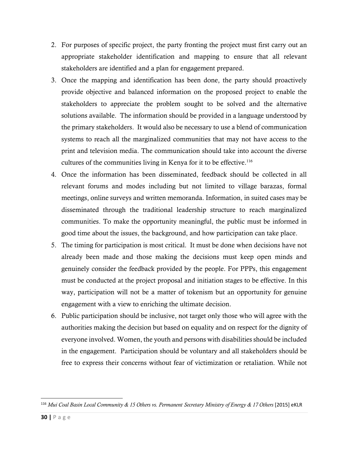- 2. For purposes of specific project, the party fronting the project must first carry out an appropriate stakeholder identification and mapping to ensure that all relevant stakeholders are identified and a plan for engagement prepared.
- 3. Once the mapping and identification has been done, the party should proactively provide objective and balanced information on the proposed project to enable the stakeholders to appreciate the problem sought to be solved and the alternative solutions available. The information should be provided in a language understood by the primary stakeholders. It would also be necessary to use a blend of communication systems to reach all the marginalized communities that may not have access to the print and television media. The communication should take into account the diverse cultures of the communities living in Kenya for it to be effective. 116
- 4. Once the information has been disseminated, feedback should be collected in all relevant forums and modes including but not limited to village barazas, formal meetings, online surveys and written memoranda. Information, in suited cases may be disseminated through the traditional leadership structure to reach marginalized communities. To make the opportunity meaningful, the public must be informed in good time about the issues, the background, and how participation can take place.
- 5. The timing for participation is most critical. It must be done when decisions have not already been made and those making the decisions must keep open minds and genuinely consider the feedback provided by the people. For PPPs, this engagement must be conducted at the project proposal and initiation stages to be effective. In this way, participation will not be a matter of tokenism but an opportunity for genuine engagement with a view to enriching the ultimate decision.
- 6. Public participation should be inclusive, not target only those who will agree with the authorities making the decision but based on equality and on respect for the dignity of everyone involved. Women, the youth and persons with disabilities should be included in the engagement. Participation should be voluntary and all stakeholders should be free to express their concerns without fear of victimization or retaliation. While not

<sup>116</sup> *Mui Coal Basin Local Community & 15 Others vs. Permanent Secretary Ministry of Energy & 17 Others* [2015] eKLR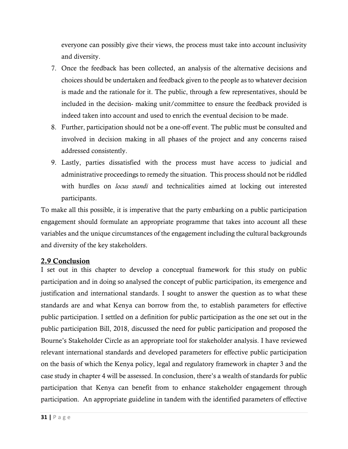everyone can possibly give their views, the process must take into account inclusivity and diversity.

- 7. Once the feedback has been collected, an analysis of the alternative decisions and choices should be undertaken and feedback given to the people as to whatever decision is made and the rationale for it. The public, through a few representatives, should be included in the decision- making unit/committee to ensure the feedback provided is indeed taken into account and used to enrich the eventual decision to be made.
- 8. Further, participation should not be a one-off event. The public must be consulted and involved in decision making in all phases of the project and any concerns raised addressed consistently.
- 9. Lastly, parties dissatisfied with the process must have access to judicial and administrative proceedings to remedy the situation. This process should not be riddled with hurdles on *locus standi* and technicalities aimed at locking out interested participants.

To make all this possible, it is imperative that the party embarking on a public participation engagement should formulate an appropriate programme that takes into account all these variables and the unique circumstances of the engagement including the cultural backgrounds and diversity of the key stakeholders.

## 2.9 Conclusion

I set out in this chapter to develop a conceptual framework for this study on public participation and in doing so analysed the concept of public participation, its emergence and justification and international standards. I sought to answer the question as to what these standards are and what Kenya can borrow from the, to establish parameters for effective public participation. I settled on a definition for public participation as the one set out in the public participation Bill, 2018, discussed the need for public participation and proposed the Bourne's Stakeholder Circle as an appropriate tool for stakeholder analysis. I have reviewed relevant international standards and developed parameters for effective public participation on the basis of which the Kenya policy, legal and regulatory framework in chapter 3 and the case study in chapter 4 will be assessed. In conclusion, there's a wealth of standards for public participation that Kenya can benefit from to enhance stakeholder engagement through participation. An appropriate guideline in tandem with the identified parameters of effective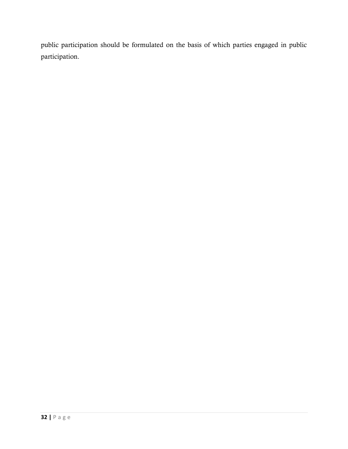public participation should be formulated on the basis of which parties engaged in public participation.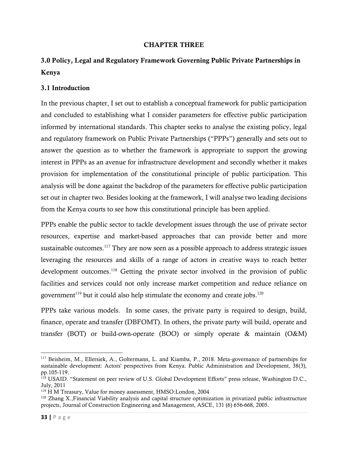#### CHAPTER THREE

# 3.0 Policy, Legal and Regulatory Framework Governing Public Private Partnerships in Kenya

## 3.1 Introduction

In the previous chapter, I set out to establish a conceptual framework for public participation and concluded to establishing what I consider parameters for effective public participation informed by international standards. This chapter seeks to analyse the existing policy, legal and regulatory framework on Public Private Partnerships ("PPPs") generally and sets out to answer the question as to whether the framework is appropriate to support the growing interest in PPPs as an avenue for infrastructure development and secondly whether it makes provision for implementation of the constitutional principle of public participation. This analysis will be done against the backdrop of the parameters for effective public participation set out in chapter two. Besides looking at the framework, I will analyse two leading decisions from the Kenya courts to see how this constitutional principle has been applied.

PPPs enable the public sector to tackle development issues through the use of private sector resources, expertise and market-based approaches that can provide better and more sustainable outcomes.<sup>117</sup> They are now seen as a possible approach to address strategic issues leveraging the resources and skills of a range of actors in creative ways to reach better development outcomes.<sup>118</sup> Getting the private sector involved in the provision of public facilities and services could not only increase market competition and reduce reliance on government<sup>119</sup> but it could also help stimulate the economy and create jobs.<sup>120</sup>

PPPs take various models. In some cases, the private party is required to design, build, finance, operate and transfer (DBFOMT). In others, the private party will build, operate and transfer (BOT) or build-own-operate (BOO) or simply operate & maintain (O&M)

<sup>117</sup> Beisheim, M., Ellersiek, A., Goltermann, L. and Kiamba, P., 2018. Meta‐governance of partnerships for sustainable development: Actors' perspectives from Kenya. Public Administration and Development, 38(3), pp.105-119.

<sup>118</sup> USAID. "Statement on peer review of U.S. Global Development Efforts" press release, Washington D.C., July, 2011

<sup>119</sup> H M Treasury, Value for money assessment, HMSO:London, 2004

 $120$  Zhang X., Financial Viability analysis and capital structure optimization in privatized public infrastructure projects, Journal of Construction Engineering and Management, ASCE, 131 (6) 656-668, 2005.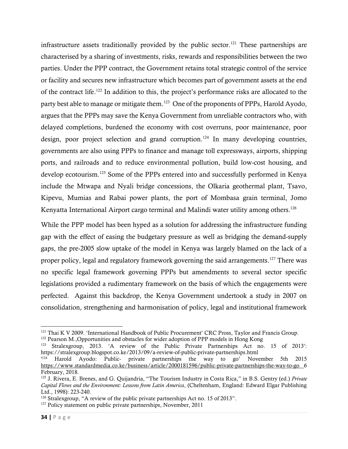infrastructure assets traditionally provided by the public sector. <sup>121</sup> These partnerships are characterised by a sharing of investments, risks, rewards and responsibilities between the two parties. Under the PPP contract, the Government retains total strategic control of the service or facility and secures new infrastructure which becomes part of government assets at the end of the contract life.<sup>122</sup> In addition to this, the project's performance risks are allocated to the party best able to manage or mitigate them.<sup>123</sup> One of the proponents of PPPs, Harold Ayodo, argues that the PPPs may save the Kenya Government from unreliable contractors who, with delayed completions, burdened the economy with cost overruns, poor maintenance, poor design, poor project selection and grand corruption.<sup>124</sup> In many developing countries, governments are also using PPPs to finance and manage toll expressways, airports, shipping ports, and railroads and to reduce environmental pollution, build low-cost housing, and develop ecotourism.<sup>125</sup> Some of the PPPs entered into and successfully performed in Kenya include the Mtwapa and Nyali bridge concessions, the Olkaria geothermal plant, Tsavo, Kipevu, Mumias and Rabai power plants, the port of Mombasa grain terminal, Jomo Kenyatta International Airport cargo terminal and Malindi water utility among others.<sup>126</sup>

While the PPP model has been hyped as a solution for addressing the infrastructure funding gap with the effect of easing the budgetary pressure as well as bridging the demand-supply gaps, the pre-2005 slow uptake of the model in Kenya was largely blamed on the lack of a proper policy, legal and regulatory framework governing the said arrangements.<sup>127</sup> There was no specific legal framework governing PPPs but amendments to several sector specific legislations provided a rudimentary framework on the basis of which the engagements were perfected. Against this backdrop, the Kenya Government undertook a study in 2007 on consolidation, strengthening and harmonisation of policy, legal and institutional framework

<sup>&</sup>lt;sup>121</sup> Thai K V 2009. 'International Handbook of Public Procurement' CRC Pross, Taylor and Francis Group.

<sup>&</sup>lt;sup>122</sup> Pearson M., Opportunities and obstacles for wider adoption of PPP models in Hong Kong

<sup>123</sup> Stralexgroup, 2013. 'A review of the Public Private Partnerships Act no. 15 of 2013': https://stralexgroup.blogspot.co.ke/2013/09/a-review-of-public-private-partnerships.html

<sup>&</sup>lt;sup>124</sup> Harold Ayodo: Public- private partnerships the way to go' November 5th 2015 <https://www.standardmedia.co.ke/business/article/2000181596/public-private-partnerships-the-way-to-go> 6 February, 2018.

<sup>125</sup> J. Rivera, E. Brenes, and G. Quijandria, "The Tourism Industry in Costa Rica," in B.S. Gentry (ed.) *Private Capital Flows and the Environment: Lessons from Latin America*, (Cheltenham, England: Edward Elgar Publishing Ltd., 1998): 223-240.

<sup>&</sup>lt;sup>126</sup> Stralexgroup, "A review of the public private partnerships Act no. 15 of 2013".

<sup>&</sup>lt;sup>127</sup> Policy statement on public private partnerships, November, 2011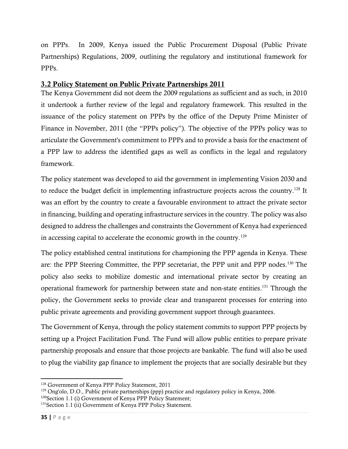on PPPs. In 2009, Kenya issued the Public Procurement Disposal (Public Private Partnerships) Regulations, 2009, outlining the regulatory and institutional framework for PPPs.

## 3.2 Policy Statement on Public Private Partnerships 2011

The Kenya Government did not deem the 2009 regulations as sufficient and as such, in 2010 it undertook a further review of the legal and regulatory framework. This resulted in the issuance of the policy statement on PPPs by the office of the Deputy Prime Minister of Finance in November, 2011 (the "PPPs policy"). The objective of the PPPs policy was to articulate the Government's commitment to PPPs and to provide a basis for the enactment of a PPP law to address the identified gaps as well as conflicts in the legal and regulatory framework.

The policy statement was developed to aid the government in implementing Vision 2030 and to reduce the budget deficit in implementing infrastructure projects across the country.<sup>128</sup> It was an effort by the country to create a favourable environment to attract the private sector in financing, building and operating infrastructure services in the country. The policy was also designed to address the challenges and constraints the Government of Kenya had experienced in accessing capital to accelerate the economic growth in the country.<sup>129</sup>

The policy established central institutions for championing the PPP agenda in Kenya. These are: the PPP Steering Committee, the PPP secretariat, the PPP unit and PPP nodes.<sup>130</sup> The policy also seeks to mobilize domestic and international private sector by creating an operational framework for partnership between state and non-state entities. <sup>131</sup> Through the policy, the Government seeks to provide clear and transparent processes for entering into public private agreements and providing government support through guarantees.

The Government of Kenya, through the policy statement commits to support PPP projects by setting up a Project Facilitation Fund. The Fund will allow public entities to prepare private partnership proposals and ensure that those projects are bankable. The fund will also be used to plug the viability gap finance to implement the projects that are socially desirable but they

<sup>128</sup> Government of Kenya PPP Policy Statement, 2011

<sup>&</sup>lt;sup>129</sup> Ong'olo, D.O., Public private partnerships (ppp) practice and regulatory policy in Kenya, 2006.

<sup>&</sup>lt;sup>130</sup>Section 1.1 (i) Government of Kenya PPP Policy Statement;

<sup>131</sup>Section 1.1 (ii) Government of Kenya PPP Policy Statement.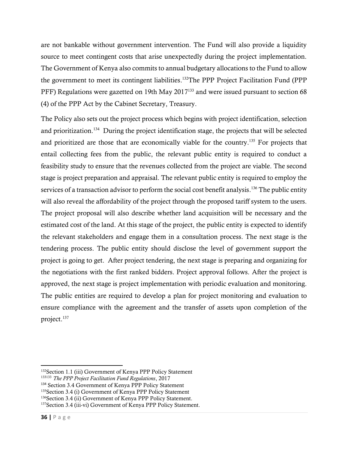are not bankable without government intervention. The Fund will also provide a liquidity source to meet contingent costs that arise unexpectedly during the project implementation. The Government of Kenya also commits to annual budgetary allocations to the Fund to allow the government to meet its contingent liabilities.<sup>132</sup>The PPP Project Facilitation Fund (PPP PFF) Regulations were gazetted on 19th May 2017<sup>133</sup> and were issued pursuant to section 68 (4) of the PPP Act by the Cabinet Secretary, Treasury.

The Policy also sets out the project process which begins with project identification, selection and prioritization. 134 During the project identification stage, the projects that will be selected and prioritized are those that are economically viable for the country.<sup>135</sup> For projects that entail collecting fees from the public, the relevant public entity is required to conduct a feasibility study to ensure that the revenues collected from the project are viable. The second stage is project preparation and appraisal. The relevant public entity is required to employ the services of a transaction advisor to perform the social cost benefit analysis.<sup>136</sup> The public entity will also reveal the affordability of the project through the proposed tariff system to the users. The project proposal will also describe whether land acquisition will be necessary and the estimated cost of the land. At this stage of the project, the public entity is expected to identify the relevant stakeholders and engage them in a consultation process. The next stage is the tendering process. The public entity should disclose the level of government support the project is going to get. After project tendering, the next stage is preparing and organizing for the negotiations with the first ranked bidders. Project approval follows. After the project is approved, the next stage is project implementation with periodic evaluation and monitoring. The public entities are required to develop a plan for project monitoring and evaluation to ensure compliance with the agreement and the transfer of assets upon completion of the project. 137

<sup>&</sup>lt;sup>132</sup>Section 1.1 (iii) Government of Kenya PPP Policy Statement

<sup>133133</sup> *The PPP Project Facilitation Fund Regulations*, 2017

<sup>134</sup> Section 3.4 Government of Kenya PPP Policy Statement

<sup>135</sup>Section 3.4 (i) Government of Kenya PPP Policy Statement

<sup>136</sup> Section 3.4 (ii) Government of Kenya PPP Policy Statement.

<sup>137</sup>Section 3.4 (iii-vi) Government of Kenya PPP Policy Statement.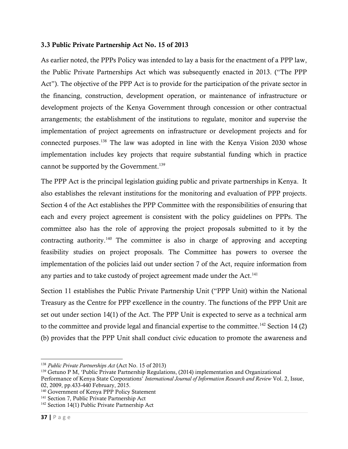#### 3.3 Public Private Partnership Act No. 15 of 2013

As earlier noted, the PPPs Policy was intended to lay a basis for the enactment of a PPP law, the Public Private Partnerships Act which was subsequently enacted in 2013. ("The PPP Act"). The objective of the PPP Act is to provide for the participation of the private sector in the financing, construction, development operation, or maintenance of infrastructure or development projects of the Kenya Government through concession or other contractual arrangements; the establishment of the institutions to regulate, monitor and supervise the implementation of project agreements on infrastructure or development projects and for connected purposes.<sup>138</sup> The law was adopted in line with the Kenya Vision 2030 whose implementation includes key projects that require substantial funding which in practice cannot be supported by the Government. 139

The PPP Act is the principal legislation guiding public and private partnerships in Kenya. It also establishes the relevant institutions for the monitoring and evaluation of PPP projects. Section 4 of the Act establishes the PPP Committee with the responsibilities of ensuring that each and every project agreement is consistent with the policy guidelines on PPPs. The committee also has the role of approving the project proposals submitted to it by the contracting authority.<sup>140</sup> The committee is also in charge of approving and accepting feasibility studies on project proposals. The Committee has powers to oversee the implementation of the policies laid out under section 7 of the Act, require information from any parties and to take custody of project agreement made under the Act.<sup>141</sup>

Section 11 establishes the Public Private Partnership Unit ("PPP Unit) within the National Treasury as the Centre for PPP excellence in the country. The functions of the PPP Unit are set out under section 14(1) of the Act. The PPP Unit is expected to serve as a technical arm to the committee and provide legal and financial expertise to the committee.<sup>142</sup> Section 14 (2) (b) provides that the PPP Unit shall conduct civic education to promote the awareness and

<sup>138</sup> *Public Private Partnerships Act* (Act No. 15 of 2013)

<sup>139</sup> Getuno P M, 'Public Private Partnership Regulations, (2014) implementation and Organizational

Performance of Kenya State Corporations' *International Journal of Information Research and Review* Vol. 2, Issue, 02, 2009, pp.433-440 February, 2015.

<sup>&</sup>lt;sup>140</sup> Government of Kenya PPP Policy Statement

<sup>&</sup>lt;sup>141</sup> Section 7, Public Private Partnership Act

<sup>142</sup> Section 14(1) Public Private Partnership Act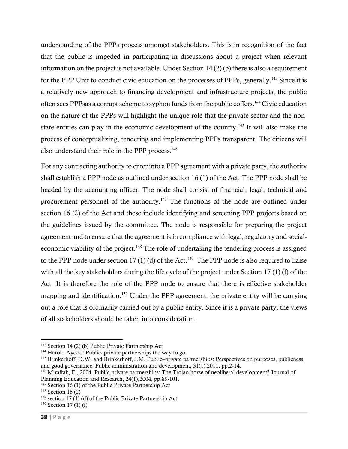understanding of the PPPs process amongst stakeholders. This is in recognition of the fact that the public is impeded in participating in discussions about a project when relevant information on the project is not available. Under Section 14 (2) (b) there is also a requirement for the PPP Unit to conduct civic education on the processes of PPPs, generally.<sup>143</sup> Since it is a relatively new approach to financing development and infrastructure projects, the public often sees PPPsas a corrupt scheme to syphon funds from the public coffers.<sup>144</sup> Civic education on the nature of the PPPs will highlight the unique role that the private sector and the nonstate entities can play in the economic development of the country.<sup>145</sup> It will also make the process of conceptualizing, tendering and implementing PPPs transparent. The citizens will also understand their role in the PPP process. 146

For any contracting authority to enter into a PPP agreement with a private party, the authority shall establish a PPP node as outlined under section 16 (1) of the Act. The PPP node shall be headed by the accounting officer. The node shall consist of financial, legal, technical and procurement personnel of the authority.<sup>147</sup> The functions of the node are outlined under section 16 (2) of the Act and these include identifying and screening PPP projects based on the guidelines issued by the committee. The node is responsible for preparing the project agreement and to ensure that the agreement is in compliance with legal, regulatory and socialeconomic viability of the project.<sup>148</sup> The role of undertaking the tendering process is assigned to the PPP node under section 17(1)(d) of the Act.<sup>149</sup> The PPP node is also required to liaise with all the key stakeholders during the life cycle of the project under Section 17 (1) (f) of the Act. It is therefore the role of the PPP node to ensure that there is effective stakeholder mapping and identification. <sup>150</sup> Under the PPP agreement, the private entity will be carrying out a role that is ordinarily carried out by a public entity. Since it is a private party, the views of all stakeholders should be taken into consideration.

<sup>143</sup> Section 14 (2) (b) Public Private Partnership Act

<sup>&</sup>lt;sup>144</sup> Harold Ayodo: Public- private partnerships the way to go.

<sup>&</sup>lt;sup>145</sup> Brinkerhoff, D.W. and Brinkerhoff, J.M. Public–private partnerships: Perspectives on purposes, publicness, and good governance. Public administration and development, 31(1),2011, pp.2-14.

<sup>146</sup> Miraftab, F., 2004. Public-private partnerships: The Trojan horse of neoliberal development? Journal of Planning Education and Research, 24(1),2004, pp.89-101.

<sup>&</sup>lt;sup>147</sup> Section 16 (1) of the Public Private Partnership Act

<sup>&</sup>lt;sup>148</sup> Section 16 (2)

 $149$  section 17 (1) (d) of the Public Private Partnership Act

 $150$  Section 17 (1) (f)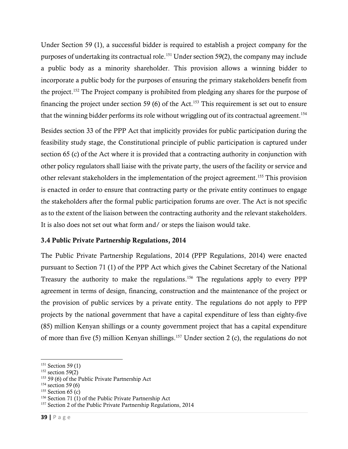Under Section 59 (1), a successful bidder is required to establish a project company for the purposes of undertaking its contractual role. <sup>151</sup> Under section 59(2), the company may include a public body as a minority shareholder. This provision allows a winning bidder to incorporate a public body for the purposes of ensuring the primary stakeholders benefit from the project.<sup>152</sup> The Project company is prohibited from pledging any shares for the purpose of financing the project under section 59 (6) of the Act.<sup>153</sup> This requirement is set out to ensure that the winning bidder performs its role without wriggling out of its contractual agreement. 154

Besides section 33 of the PPP Act that implicitly provides for public participation during the feasibility study stage, the Constitutional principle of public participation is captured under section 65 (c) of the Act where it is provided that a contracting authority in conjunction with other policy regulators shall liaise with the private party, the users of the facility or service and other relevant stakeholders in the implementation of the project agreement.<sup>155</sup> This provision is enacted in order to ensure that contracting party or the private entity continues to engage the stakeholders after the formal public participation forums are over. The Act is not specific as to the extent of the liaison between the contracting authority and the relevant stakeholders. It is also does not set out what form and/ or steps the liaison would take.

## 3.4 Public Private Partnership Regulations, 2014

The Public Private Partnership Regulations, 2014 (PPP Regulations, 2014) were enacted pursuant to Section 71 (1) of the PPP Act which gives the Cabinet Secretary of the National Treasury the authority to make the regulations. <sup>156</sup> The regulations apply to every PPP agreement in terms of design, financing, construction and the maintenance of the project or the provision of public services by a private entity. The regulations do not apply to PPP projects by the national government that have a capital expenditure of less than eighty-five (85) million Kenyan shillings or a county government project that has a capital expenditure of more than five (5) million Kenyan shillings. <sup>157</sup> Under section 2 (c), the regulations do not

<sup>&</sup>lt;sup>151</sup> Section 59 (1)

 $152$  section 59(2)

<sup>153</sup> 59 (6) of the Public Private Partnership Act

 $154$  section 59 (6)

 $155$  Section 65 (c)

<sup>156</sup> Section 71 (1) of the Public Private Partnership Act

<sup>157</sup> Section 2 of the Public Private Partnership Regulations, 2014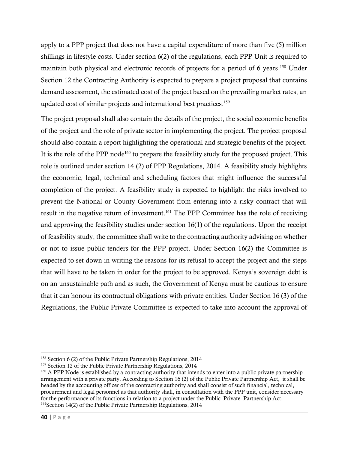apply to a PPP project that does not have a capital expenditure of more than five (5) million shillings in lifestyle costs. Under section 6(2) of the regulations, each PPP Unit is required to maintain both physical and electronic records of projects for a period of 6 years. <sup>158</sup> Under Section 12 the Contracting Authority is expected to prepare a project proposal that contains demand assessment, the estimated cost of the project based on the prevailing market rates, an updated cost of similar projects and international best practices. 159

The project proposal shall also contain the details of the project, the social economic benefits of the project and the role of private sector in implementing the project. The project proposal should also contain a report highlighting the operational and strategic benefits of the project. It is the role of the PPP node<sup>160</sup> to prepare the feasibility study for the proposed project. This role is outlined under section 14 (2) of PPP Regulations, 2014. A feasibility study highlights the economic, legal, technical and scheduling factors that might influence the successful completion of the project. A feasibility study is expected to highlight the risks involved to prevent the National or County Government from entering into a risky contract that will result in the negative return of investment.<sup>161</sup> The PPP Committee has the role of receiving and approving the feasibility studies under section 16(1) of the regulations. Upon the receipt of feasibility study, the committee shall write to the contracting authority advising on whether or not to issue public tenders for the PPP project. Under Section 16(2) the Committee is expected to set down in writing the reasons for its refusal to accept the project and the steps that will have to be taken in order for the project to be approved. Kenya's sovereign debt is on an unsustainable path and as such, the Government of Kenya must be cautious to ensure that it can honour its contractual obligations with private entities. Under Section 16 (3) of the Regulations, the Public Private Committee is expected to take into account the approval of

<sup>&</sup>lt;sup>158</sup> Section 6 (2) of the Public Private Partnership Regulations, 2014

<sup>&</sup>lt;sup>159</sup> Section 12 of the Public Private Partnership Regulations, 2014

<sup>&</sup>lt;sup>160</sup> A PPP Node is established by a contracting authority that intends to enter into a public private partnership arrangement with a private party. According to Section 16 (2) of the Public Private Partnership Act, it shall be headed by the accounting officer of the contracting authority and shall consist of such financial, technical, procurement and legal personnel as that authority shall, in consultation with the PPP unit, consider necessary for the performance of its functions in relation to a project under the Public Private Partnership Act. <sup>161</sup>Section 14(2) of the Public Private Partnership Regulations, 2014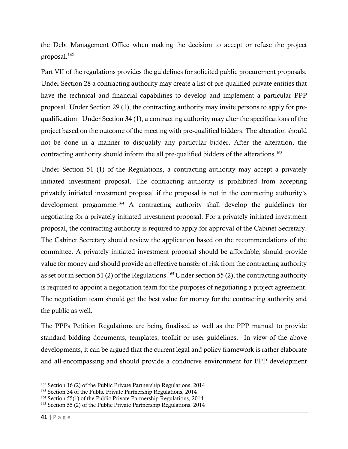the Debt Management Office when making the decision to accept or refuse the project proposal. 162

Part VII of the regulations provides the guidelines for solicited public procurement proposals. Under Section 28 a contracting authority may create a list of pre-qualified private entities that have the technical and financial capabilities to develop and implement a particular PPP proposal. Under Section 29 (1), the contracting authority may invite persons to apply for prequalification. Under Section 34 (1), a contracting authority may alter the specifications of the project based on the outcome of the meeting with pre-qualified bidders. The alteration should not be done in a manner to disqualify any particular bidder. After the alteration, the contracting authority should inform the all pre-qualified bidders of the alterations. 163

Under Section 51 (1) of the Regulations, a contracting authority may accept a privately initiated investment proposal. The contracting authority is prohibited from accepting privately initiated investment proposal if the proposal is not in the contracting authority's development programme. <sup>164</sup> A contracting authority shall develop the guidelines for negotiating for a privately initiated investment proposal. For a privately initiated investment proposal, the contracting authority is required to apply for approval of the Cabinet Secretary. The Cabinet Secretary should review the application based on the recommendations of the committee. A privately initiated investment proposal should be affordable, should provide value for money and should provide an effective transfer of risk from the contracting authority as set out in section 51 (2) of the Regulations.<sup>165</sup> Under section 55 (2), the contracting authority is required to appoint a negotiation team for the purposes of negotiating a project agreement. The negotiation team should get the best value for money for the contracting authority and the public as well.

The PPPs Petition Regulations are being finalised as well as the PPP manual to provide standard bidding documents, templates, toolkit or user guidelines. In view of the above developments, it can be argued that the current legal and policy framework is rather elaborate and all-encompassing and should provide a conducive environment for PPP development

<sup>162</sup> Section 16 (2) of the Public Private Partnership Regulations, 2014

<sup>163</sup> Section 34 of the Public Private Partnership Regulations, 2014

<sup>&</sup>lt;sup>164</sup> Section 55(1) of the Public Private Partnership Regulations, 2014

<sup>165</sup> Section 55 (2) of the Public Private Partnership Regulations, 2014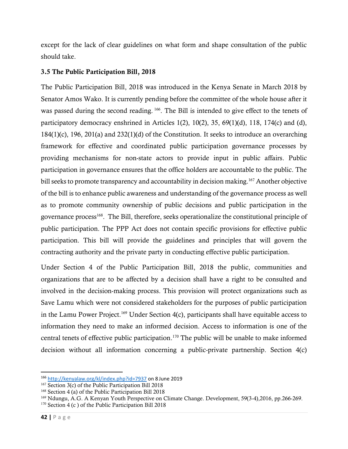except for the lack of clear guidelines on what form and shape consultation of the public should take.

## 3.5 The Public Participation Bill, 2018

The Public Participation Bill, 2018 was introduced in the Kenya Senate in March 2018 by Senator Amos Wako. It is currently pending before the committee of the whole house after it was passed during the second reading. <sup>166</sup>. The Bill is intended to give effect to the tenets of participatory democracy enshrined in Articles 1(2), 10(2), 35, 69(1)(d), 118, 174(c) and (d), 184(1)(c), 196, 201(a) and 232(1)(d) of the Constitution. It seeks to introduce an overarching framework for effective and coordinated public participation governance processes by providing mechanisms for non-state actors to provide input in public affairs. Public participation in governance ensures that the office holders are accountable to the public. The bill seeks to promote transparency and accountability in decision making. <sup>167</sup> Another objective of the bill is to enhance public awareness and understanding of the governance process as well as to promote community ownership of public decisions and public participation in the governance process<sup>168</sup>. The Bill, therefore, seeks operationalize the constitutional principle of public participation. The PPP Act does not contain specific provisions for effective public participation. This bill will provide the guidelines and principles that will govern the contracting authority and the private party in conducting effective public participation.

Under Section 4 of the Public Participation Bill, 2018 the public, communities and organizations that are to be affected by a decision shall have a right to be consulted and involved in the decision-making process. This provision will protect organizations such as Save Lamu which were not considered stakeholders for the purposes of public participation in the Lamu Power Project. <sup>169</sup> Under Section 4(c), participants shall have equitable access to information they need to make an informed decision. Access to information is one of the central tenets of effective public participation.<sup>170</sup> The public will be unable to make informed decision without all information concerning a public-private partnership. Section 4(c)

<sup>166</sup> <http://kenyalaw.org/kl/index.php?id=7937> on 8 June 2019

<sup>167</sup> Section 3(c) of the Public Participation Bill 2018

<sup>168</sup> Section 4 (a) of the Public Participation Bill 2018

<sup>&</sup>lt;sup>169</sup> Ndungu, A.G. A Kenyan Youth Perspective on Climate Change. Development, 59(3-4),2016, pp.266-269.

 $170$  Section 4 (c) of the Public Participation Bill 2018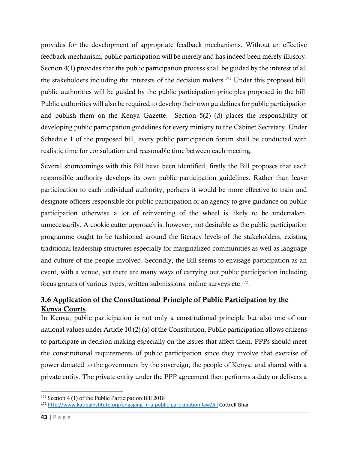provides for the development of appropriate feedback mechanisms. Without an effective feedback mechanism, public participation will be merely and has indeed been merely illusory. Section 4(1) provides that the public participation process shall be guided by the interest of all the stakeholders including the interests of the decision makers. <sup>171</sup> Under this proposed bill, public authorities will be guided by the public participation principles proposed in the bill. Public authorities will also be required to develop their own guidelines for public participation and publish them on the Kenya Gazette. Section 5(2) (d) places the responsibility of developing public participation guidelines for every ministry to the Cabinet Secretary. Under Schedule 1 of the proposed bill, every public participation forum shall be conducted with realistic time for consultation and reasonable time between each meeting.

Several shortcomings with this Bill have been identified, firstly the Bill proposes that each responsible authority develops its own public participation guidelines. Rather than leave participation to each individual authority, perhaps it would be more effective to train and designate officers responsible for public participation or an agency to give guidance on public participation otherwise a lot of reinventing of the wheel is likely to be undertaken, unnecessarily. A cookie cutter approach is, however, not desirable as the public participation programme ought to be fashioned around the literacy levels of the stakeholders, existing traditional leadership structures especially for marginalized communities as well as language and culture of the people involved. Secondly, the Bill seems to envisage participation as an event, with a venue, yet there are many ways of carrying out public participation including focus groups of various types, written submissions, online surveys etc.<sup>172</sup>.

## 3.6 Application of the Constitutional Principle of Public Participation by the Kenya Courts

In Kenya, public participation is not only a constitutional principle but also one of our national values under Article 10 (2) (a) of the Constitution. Public participation allows citizens to participate in decision making especially on the issues that affect them. PPPs should meet the constitutional requirements of public participation since they involve that exercise of power donated to the government by the sovereign, the people of Kenya, and shared with a private entity. The private entity under the PPP agreement then performs a duty or delivers a

<sup>&</sup>lt;sup>171</sup> Section 4 (1) of the Public Participation Bill 2018

<sup>172</sup> <http://www.katibainstitute.org/engaging-in-a-public-participation-law/Jill> Cottrell Ghai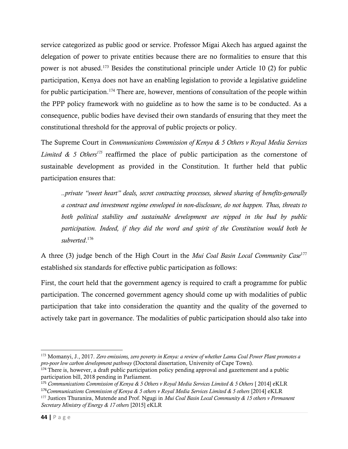service categorized as public good or service. Professor Migai Akech has argued against the delegation of power to private entities because there are no formalities to ensure that this power is not abused.<sup>173</sup> Besides the constitutional principle under Article 10 (2) for public participation, Kenya does not have an enabling legislation to provide a legislative guideline for public participation.<sup>174</sup> There are, however, mentions of consultation of the people within the PPP policy framework with no guideline as to how the same is to be conducted. As a consequence, public bodies have devised their own standards of ensuring that they meet the constitutional threshold for the approval of public projects or policy.

The Supreme Court in *Communications Commission of Kenya & 5 Others v Royal Media Services Limited & 5 Others<sup>175</sup>* reaffirmed the place of public participation as the cornerstone of sustainable development as provided in the Constitution. It further held that public participation ensures that:

*..private "sweet heart" deals, secret contracting processes, skewed sharing of benefits-generally a contract and investment regime enveloped in non-disclosure, do not happen. Thus, threats to both political stability and sustainable development are nipped in the bud by public participation. Indeed, if they did the word and spirit of the Constitution would both be subverted*. 176

A three (3) judge bench of the High Court in the *Mui Coal Basin Local Community Case*<sup>177</sup> established six standards for effective public participation as follows:

First, the court held that the government agency is required to craft a programme for public participation. The concerned government agency should come up with modalities of public participation that take into consideration the quantity and the quality of the governed to actively take part in governance. The modalities of public participation should also take into

<sup>173</sup> Momanyi, J., 2017. *Zero emissions, zero poverty in Kenya: a review of whether Lamu Coal Power Plant promotes a pro-poor low carbon development pathway* (Doctoral dissertation, University of Cape Town).

<sup>&</sup>lt;sup>174</sup> There is, however, a draft public participation policy pending approval and gazettement and a public participation bill, 2018 pending in Parliament.

<sup>&</sup>lt;sup>175</sup> Communications Commission of Kenya & 5 Others v Royal Media Services Limited & 5 Others [ 2014] eKLR

<sup>176</sup>*Communications Commission of Kenya & 5 others v Royal Media Services Limited & 5 others* [2014] eKLR

<sup>177</sup> Justices Thuranira, Mutende and Prof. Ngugi in *Mui Coal Basin Local Community & 15 others v Permanent Secretary Ministry of Energy & 17 others* [2015] eKLR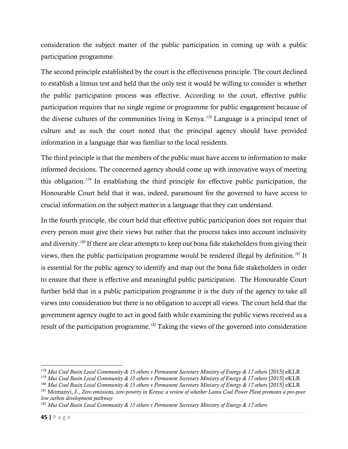consideration the subject matter of the public participation in coming up with a public participation programme.

The second principle established by the court is the effectiveness principle. The court declined to establish a litmus test and held that the only test it would be willing to consider is whether the public participation process was effective. According to the court, effective public participation requires that no single regime or programme for public engagement because of the diverse cultures of the communities living in Kenya. *<sup>178</sup>* Language is a principal tenet of culture and as such the court noted that the principal agency should have provided information in a language that was familiar to the local residents.

The third principle is that the members of the public must have access to information to make informed decisions. The concerned agency should come up with innovative ways of meeting this obligation. <sup>179</sup> In establishing the third principle for effective public participation, the Honourable Court held that it was, indeed, paramount for the governed to have access to crucial information on the subject matter in a language that they can understand*.* 

In the fourth principle, the court held that effective public participation does not require that every person must give their views but rather that the process takes into account inclusivity and diversity. *<sup>180</sup>* If there are clear attempts to keep out bona fide stakeholders from giving their views, then the public participation programme would be rendered illegal by definition. *<sup>181</sup>* It is essential for the public agency to identify and map out the bona fide stakeholders in order to ensure that there is effective and meaningful public participation. The Honourable Court further held that in a public participation programme it is the duty of the agency to take all views into consideration but there is no obligation to accept all views. The court held that the government agency ought to act in good faith while examining the public views received as a result of the participation programme. *<sup>182</sup>* Taking the views of the governed into consideration

<sup>178</sup> *Mui Coal Basin Local Community & 15 others v Permanent Secretary Ministry of Energy & 17 others* [2015] eKLR

<sup>179</sup> *Mui Coal Basin Local Community & 15 others v Permanent Secretary Ministry of Energy & 17 others* [2015] eKLR

<sup>180</sup> *Mui Coal Basin Local Community & 15 others v Permanent Secretary Ministry of Energy & 17 others* [2015] eKLR

<sup>181</sup> Momanyi, J., *Zero emissions, zero poverty in Kenya: a review of whether Lamu Coal Power Plant promotes a pro-poor low carbon development pathway*

<sup>182</sup> *Mui Coal Basin Local Community & 15 others v Permanent Secretary Ministry of Energy & 17 others*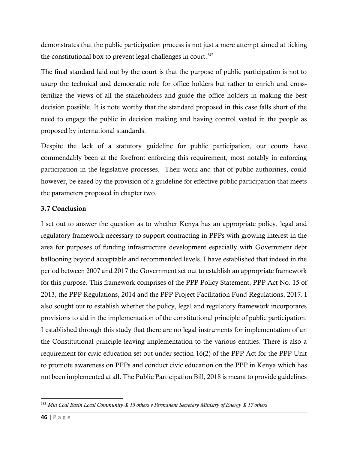demonstrates that the public participation process is not just a mere attempt aimed at ticking the constitutional box to prevent legal challenges in court. *183*

The final standard laid out by the court is that the purpose of public participation is not to usurp the technical and democratic role for office holders but rather to enrich and crossfertilize the views of all the stakeholders and guide the office holders in making the best decision possible. It is note worthy that the standard proposed in this case falls short of the need to engage the public in decision making and having control vested in the people as proposed by international standards.

Despite the lack of a statutory guideline for public participation, our courts have commendably been at the forefront enforcing this requirement, most notably in enforcing participation in the legislative processes. Their work and that of public authorities, could however, be eased by the provision of a guideline for effective public participation that meets the parameters proposed in chapter two.

## 3.7 Conclusion

I set out to answer the question as to whether Kenya has an appropriate policy, legal and regulatory framework necessary to support contracting in PPPs with growing interest in the area for purposes of funding infrastructure development especially with Government debt ballooning beyond acceptable and recommended levels. I have established that indeed in the period between 2007 and 2017 the Government set out to establish an appropriate framework for this purpose. This framework comprises of the PPP Policy Statement, PPP Act No. 15 of 2013, the PPP Regulations, 2014 and the PPP Project Facilitation Fund Regulations, 2017. I also sought out to establish whether the policy, legal and regulatory framework incorporates provisions to aid in the implementation of the constitutional principle of public participation. I established through this study that there are no legal instruments for implementation of an the Constitutional principle leaving implementation to the various entities. There is also a requirement for civic education set out under section 16(2) of the PPP Act for the PPP Unit to promote awareness on PPPs and conduct civic education on the PPP in Kenya which has not been implemented at all. The Public Participation Bill, 2018 is meant to provide guidelines

<sup>183</sup> *Mui Coal Basin Local Community & 15 others v Permanent Secretary Ministry of Energy & 17 others*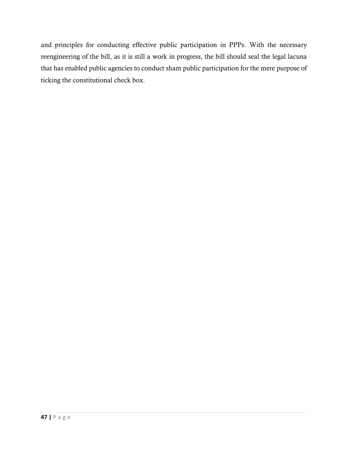and principles for conducting effective public participation in PPPs. With the necessary reengineering of the bill, as it is still a work in progress, the bill should seal the legal lacuna that has enabled public agencies to conduct sham public participation for the mere purpose of ticking the constitutional check box.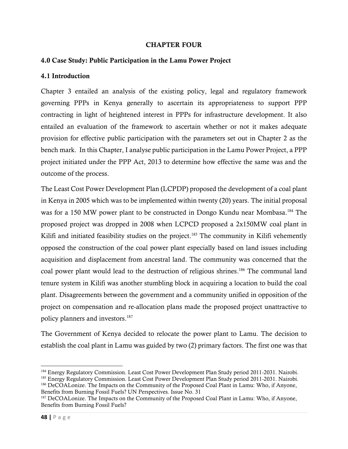#### CHAPTER FOUR

## 4.0 Case Study: Public Participation in the Lamu Power Project

#### 4.1 Introduction

Chapter 3 entailed an analysis of the existing policy, legal and regulatory framework governing PPPs in Kenya generally to ascertain its appropriateness to support PPP contracting in light of heightened interest in PPPs for infrastructure development. It also entailed an evaluation of the framework to ascertain whether or not it makes adequate provision for effective public participation with the parameters set out in Chapter 2 as the bench mark. In this Chapter, I analyse public participation in the Lamu Power Project, a PPP project initiated under the PPP Act, 2013 to determine how effective the same was and the outcome of the process.

The Least Cost Power Development Plan (LCPDP) proposed the development of a coal plant in Kenya in 2005 which was to be implemented within twenty (20) years. The initial proposal was for a 150 MW power plant to be constructed in Dongo Kundu near Mombasa.<sup>184</sup> The proposed project was dropped in 2008 when LCPCD proposed a 2x150MW coal plant in Kilifi and initiated feasibility studies on the project.<sup>185</sup> The community in Kilifi vehemently opposed the construction of the coal power plant especially based on land issues including acquisition and displacement from ancestral land. The community was concerned that the coal power plant would lead to the destruction of religious shrines. <sup>186</sup> The communal land tenure system in Kilifi was another stumbling block in acquiring a location to build the coal plant. Disagreements between the government and a community unified in opposition of the project on compensation and re-allocation plans made the proposed project unattractive to policy planners and investors. 187

The Government of Kenya decided to relocate the power plant to Lamu. The decision to establish the coal plant in Lamu was guided by two (2) primary factors. The first one was that

<sup>&</sup>lt;sup>184</sup> Energy Regulatory Commission. Least Cost Power Development Plan Study period 2011-2031. Nairobi.

<sup>185</sup> Energy Regulatory Commission. Least Cost Power Development Plan Study period 2011-2031. Nairobi.

<sup>186</sup> DeCOALonize. The Impacts on the Community of the Proposed Coal Plant in Lamu: Who, if Anyone, Benefits from Burning Fossil Fuels? UN Perspectives. Issue No. 31

<sup>&</sup>lt;sup>187</sup> DeCOALonize. The Impacts on the Community of the Proposed Coal Plant in Lamu: Who, if Anyone, Benefits from Burning Fossil Fuels?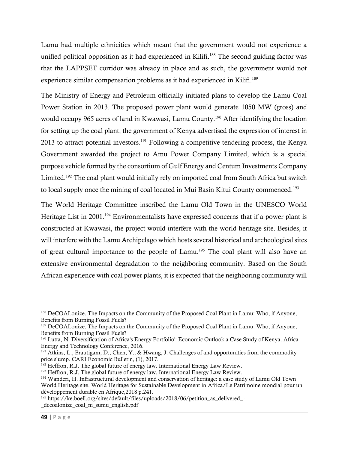Lamu had multiple ethnicities which meant that the government would not experience a unified political opposition as it had experienced in Kilifi. <sup>188</sup> The second guiding factor was that the LAPPSET corridor was already in place and as such, the government would not experience similar compensation problems as it had experienced in Kilifi.<sup>189</sup>

The Ministry of Energy and Petroleum officially initiated plans to develop the Lamu Coal Power Station in 2013. The proposed power plant would generate 1050 MW (gross) and would occupy 965 acres of land in Kwawasi, Lamu County.<sup>190</sup> After identifying the location for setting up the coal plant, the government of Kenya advertised the expression of interest in 2013 to attract potential investors.<sup>191</sup> Following a competitive tendering process, the Kenya Government awarded the project to Amu Power Company Limited, which is a special purpose vehicle formed by the consortium of Gulf Energy and Centum Investments Company Limited.<sup>192</sup> The coal plant would initially rely on imported coal from South Africa but switch to local supply once the mining of coal located in Mui Basin Kitui County commenced.<sup>193</sup>

The World Heritage Committee inscribed the Lamu Old Town in the UNESCO World Heritage List in 2001.<sup>194</sup> Environmentalists have expressed concerns that if a power plant is constructed at Kwawasi, the project would interfere with the world heritage site. Besides, it will interfere with the Lamu Archipelago which hosts several historical and archeological sites of great cultural importance to the people of Lamu.<sup>195</sup> The coal plant will also have an extensive environmental degradation to the neighboring community. Based on the South African experience with coal power plants, it is expected that the neighboring community will

<sup>188</sup> DeCOALonize. The Impacts on the Community of the Proposed Coal Plant in Lamu: Who, if Anyone, Benefits from Burning Fossil Fuels?

<sup>189</sup> DeCOALonize. The Impacts on the Community of the Proposed Coal Plant in Lamu: Who, if Anyone, Benefits from Burning Fossil Fuels?

<sup>190</sup> Lutta, N. Diversification of Africa's Energy Portfolio': Economic Outlook a Case Study of Kenya. Africa Energy and Technology Conference, 2016.

<sup>&</sup>lt;sup>191</sup> Atkins, L., Brautigam, D., Chen, Y., & Hwang, J. Challenges of and opportunities from the commodity price slump. CARI Economic Bulletin, (1), 2017.

 $192$  Heffron, R.J. The global future of energy law. International Energy Law Review.

<sup>&</sup>lt;sup>193</sup> Heffron, R.J. The global future of energy law. International Energy Law Review.

<sup>194</sup> Wanderi, H. Infrastructural development and conservation of heritage: a case study of Lamu Old Town World Heritage site. World Heritage for Sustainable Development in Africa/Le Patrimoine mondial pour un développement durable en Afrique,2018 p.241.

<sup>&</sup>lt;sup>195</sup> https://ke.boell.org/sites/default/files/uploads/2018/06/petition\_as\_delivered\_-\_decoalonize\_coal\_ni\_sumu\_english.pdf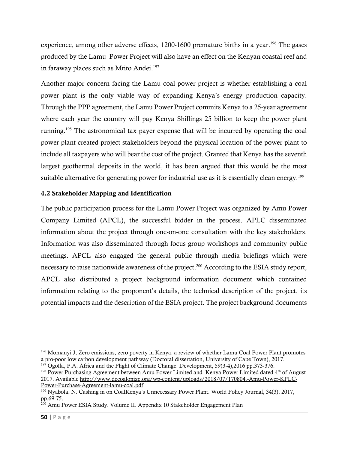experience, among other adverse effects, 1200-1600 premature births in a year.<sup>196</sup> The gases produced by the Lamu Power Project will also have an effect on the Kenyan coastal reef and in faraway places such as Mtito Andei.<sup>197</sup>

Another major concern facing the Lamu coal power project is whether establishing a coal power plant is the only viable way of expanding Kenya's energy production capacity. Through the PPP agreement, the Lamu Power Project commits Kenya to a 25-year agreement where each year the country will pay Kenya Shillings 25 billion to keep the power plant running. <sup>198</sup> The astronomical tax payer expense that will be incurred by operating the coal power plant created project stakeholders beyond the physical location of the power plant to include all taxpayers who will bear the cost of the project. Granted that Kenya has the seventh largest geothermal deposits in the world, it has been argued that this would be the most suitable alternative for generating power for industrial use as it is essentially clean energy.<sup>199</sup>

## 4.2 Stakeholder Mapping and Identification

The public participation process for the Lamu Power Project was organized by Amu Power Company Limited (APCL), the successful bidder in the process. APLC disseminated information about the project through one-on-one consultation with the key stakeholders. Information was also disseminated through focus group workshops and community public meetings. APCL also engaged the general public through media briefings which were necessary to raise nationwide awareness of the project. <sup>200</sup> According to the ESIA study report, APCL also distributed a project background information document which contained information relating to the proponent's details, the technical description of the project, its potential impacts and the description of the ESIA project. The project background documents

<sup>&</sup>lt;sup>196</sup> Momanyi J, Zero emissions, zero poverty in Kenya: a review of whether Lamu Coal Power Plant promotes a pro-poor low carbon development pathway (Doctoral dissertation, University of Cape Town), 2017.

 $197$  Ogolla, P.A. Africa and the Plight of Climate Change. Development, 59(3-4), 2016 pp.373-376.

<sup>&</sup>lt;sup>198</sup> Power Purchasing Agreement between Amu Power Limited and Kenya Power Limited dated 4<sup>th</sup> of August 2017. Availabl[e http://www.decoalonize.org/wp-content/uploads/2018/07/170804.-Amu-Power-KPLC-](http://www.decoalonize.org/wp-content/uploads/2018/07/170804.-Amu-Power-KPLC-Power-Purchase-Agreement-lamu-coal.pdf)[Power-Purchase-Agreement-lamu-coal.pdf](http://www.decoalonize.org/wp-content/uploads/2018/07/170804.-Amu-Power-KPLC-Power-Purchase-Agreement-lamu-coal.pdf)

<sup>199</sup> Nyabola, N. Cashing in on CoalKenya's Unnecessary Power Plant. World Policy Journal, 34(3), 2017, pp.69-75.

<sup>200</sup> Amu Power ESIA Study. Volume II. Appendix 10 Stakeholder Engagement Plan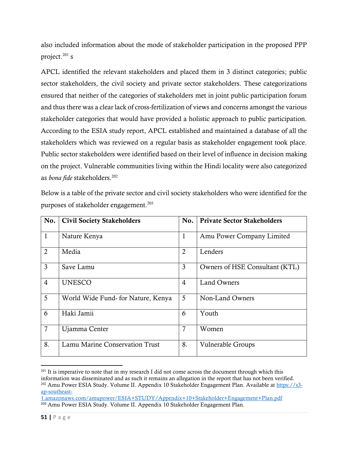also included information about the mode of stakeholder participation in the proposed PPP project. <sup>201</sup> s

APCL identified the relevant stakeholders and placed them in 3 distinct categories; public sector stakeholders, the civil society and private sector stakeholders. These categorizations ensured that neither of the categories of stakeholders met in joint public participation forum and thus there was a clear lack of cross-fertilization of views and concerns amongst the various stakeholder categories that would have provided a holistic approach to public participation. According to the ESIA study report, APCL established and maintained a database of all the stakeholders which was reviewed on a regular basis as stakeholder engagement took place. Public sector stakeholders were identified based on their level of influence in decision making on the project. Vulnerable communities living within the Hindi locality were also categorized as *bona fide* stakeholders.<sup>202</sup>

Below is a table of the private sector and civil society stakeholders who were identified for the purposes of stakeholder engagement.<sup>203</sup>

| No.            | <b>Civil Society Stakeholders</b>     | No.            | <b>Private Sector Stakeholders</b> |
|----------------|---------------------------------------|----------------|------------------------------------|
| $\mathbf{1}$   | Nature Kenya                          | $\mathbf{1}$   | Amu Power Company Limited          |
| $\overline{2}$ | Media                                 | $\overline{2}$ | Lenders                            |
| 3              | Save Lamu                             | 3              | Owners of HSE Consultant (KTL)     |
| $\overline{4}$ | <b>UNESCO</b>                         | 4              | Land Owners                        |
| 5              | World Wide Fund- for Nature, Kenya    | 5              | Non-Land Owners                    |
| 6              | Haki Jamii                            | 6              | Youth                              |
| $\overline{7}$ | Ujamma Center                         | 7              | Women                              |
| 8.             | <b>Lamu Marine Conservation Trust</b> | 8.             | <b>Vulnerable Groups</b>           |

<sup>&</sup>lt;sup>201</sup> It is imperative to note that in my research I did not come across the document through which this information was disseminated and as such it remains an allegation in the report that has not been verified. <sup>202</sup> Amu Power ESIA Study. Volume II. Appendix 10 Stakeholder Engagement Plan. Available at [https://s3](https://s3-ap-southeast-1.amazonaws.com/amupower/ESIA+STUDY/Appendix+10+Stakeholder+Engagement+Plan.pdf) [ap-southeast-](https://s3-ap-southeast-1.amazonaws.com/amupower/ESIA+STUDY/Appendix+10+Stakeholder+Engagement+Plan.pdf)

[<sup>1.</sup>amazonaws.com/amupower/ESIA+STUDY/Appendix+10+Stakeholder+Engagement+Plan.pdf](https://s3-ap-southeast-1.amazonaws.com/amupower/ESIA+STUDY/Appendix+10+Stakeholder+Engagement+Plan.pdf) <sup>203</sup> Amu Power ESIA Study. Volume II. Appendix 10 Stakeholder Engagement Plan.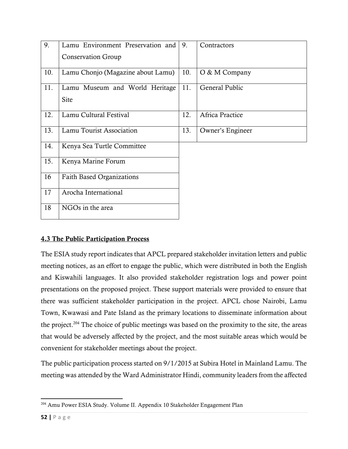| 9.  | Lamu Environment Preservation and | 9.  | Contractors      |
|-----|-----------------------------------|-----|------------------|
|     | <b>Conservation Group</b>         |     |                  |
| 10. | Lamu Chonjo (Magazine about Lamu) | 10. | O & M Company    |
| 11. | Lamu Museum and World Heritage    | 11. | General Public   |
|     | Site                              |     |                  |
| 12. | Lamu Cultural Festival            | 12. | Africa Practice  |
| 13. | Lamu Tourist Association          | 13. | Owner's Engineer |
| 14. | Kenya Sea Turtle Committee        |     |                  |
| 15. | Kenya Marine Forum                |     |                  |
| 16  | <b>Faith Based Organizations</b>  |     |                  |
| 17  | Arocha International              |     |                  |
| 18  | NGOs in the area                  |     |                  |

## 4.3 The Public Participation Process

The ESIA study report indicates that APCL prepared stakeholder invitation letters and public meeting notices, as an effort to engage the public, which were distributed in both the English and Kiswahili languages. It also provided stakeholder registration logs and power point presentations on the proposed project. These support materials were provided to ensure that there was sufficient stakeholder participation in the project. APCL chose Nairobi, Lamu Town, Kwawasi and Pate Island as the primary locations to disseminate information about the project.<sup>204</sup> The choice of public meetings was based on the proximity to the site, the areas that would be adversely affected by the project, and the most suitable areas which would be convenient for stakeholder meetings about the project.

The public participation process started on 9/1/2015 at Subira Hotel in Mainland Lamu. The meeting was attended by the Ward Administrator Hindi, community leaders from the affected

<sup>204</sup> Amu Power ESIA Study. Volume II. Appendix 10 Stakeholder Engagement Plan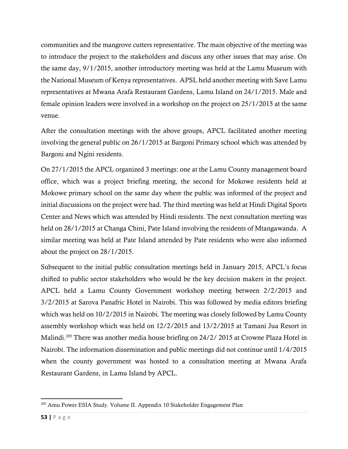communities and the mangrove cutters representative. The main objective of the meeting was to introduce the project to the stakeholders and discuss any other issues that may arise. On the same day, 9/1/2015, another introductory meeting was held at the Lamu Museum with the National Museum of Kenya representatives. APSL held another meeting with Save Lamu representatives at Mwana Arafa Restaurant Gardens, Lamu Island on 24/1/2015. Male and female opinion leaders were involved in a workshop on the project on 25/1/2015 at the same venue.

After the consultation meetings with the above groups, APCL facilitated another meeting involving the general public on 26/1/2015 at Bargoni Primary school which was attended by Bargoni and Ngini residents.

On 27/1/2015 the APCL organized 3 meetings: one at the Lamu County management board office, which was a project briefing meeting, the second for Mokowe residents held at Mokowe primary school on the same day where the public was informed of the project and initial discussions on the project were had. The third meeting was held at Hindi Digital Sports Center and News which was attended by Hindi residents. The next consultation meeting was held on 28/1/2015 at Changa Chini, Pate Island involving the residents of Mtangawanda. A similar meeting was held at Pate Island attended by Pate residents who were also informed about the project on 28/1/2015.

Subsequent to the initial public consultation meetings held in January 2015, APCL's focus shifted to public sector stakeholders who would be the key decision makers in the project. APCL held a Lamu County Government workshop meeting between 2/2/2015 and 3/2/2015 at Sarova Panafric Hotel in Nairobi. This was followed by media editors briefing which was held on 10/2/2015 in Nairobi. The meeting was closely followed by Lamu County assembly workshop which was held on 12/2/2015 and 13/2/2015 at Tamani Jua Resort in Malindi. <sup>205</sup> There was another media house briefing on 24/2/ 2015 at Crowne Plaza Hotel in Nairobi. The information dissemination and public meetings did not continue until 1/4/2015 when the county government was hosted to a consultation meeting at Mwana Arafa Restaurant Gardens, in Lamu Island by APCL.

<sup>205</sup> Amu Power ESIA Study. Volume II. Appendix 10 Stakeholder Engagement Plan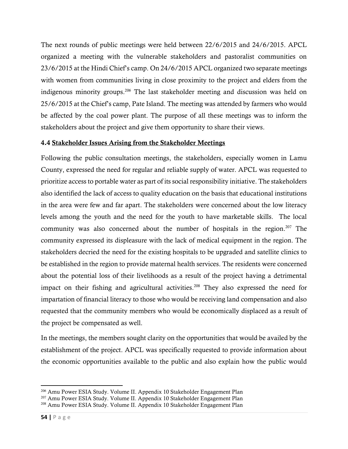The next rounds of public meetings were held between 22/6/2015 and 24/6/2015. APCL organized a meeting with the vulnerable stakeholders and pastoralist communities on 23/6/2015 at the Hindi Chief's camp. On 24/6/2015 APCL organized two separate meetings with women from communities living in close proximity to the project and elders from the indigenous minority groups. <sup>206</sup> The last stakeholder meeting and discussion was held on 25/6/2015 at the Chief's camp, Pate Island. The meeting was attended by farmers who would be affected by the coal power plant. The purpose of all these meetings was to inform the stakeholders about the project and give them opportunity to share their views.

## 4.4 Stakeholder Issues Arising from the Stakeholder Meetings

Following the public consultation meetings, the stakeholders, especially women in Lamu County, expressed the need for regular and reliable supply of water. APCL was requested to prioritize access to portable water as part of its social responsibility initiative. The stakeholders also identified the lack of access to quality education on the basis that educational institutions in the area were few and far apart. The stakeholders were concerned about the low literacy levels among the youth and the need for the youth to have marketable skills. The local community was also concerned about the number of hospitals in the region. <sup>207</sup> The community expressed its displeasure with the lack of medical equipment in the region. The stakeholders decried the need for the existing hospitals to be upgraded and satellite clinics to be established in the region to provide maternal health services. The residents were concerned about the potential loss of their livelihoods as a result of the project having a detrimental impact on their fishing and agricultural activities. <sup>208</sup> They also expressed the need for impartation of financial literacy to those who would be receiving land compensation and also requested that the community members who would be economically displaced as a result of the project be compensated as well.

In the meetings, the members sought clarity on the opportunities that would be availed by the establishment of the project. APCL was specifically requested to provide information about the economic opportunities available to the public and also explain how the public would

<sup>206</sup> Amu Power ESIA Study. Volume II. Appendix 10 Stakeholder Engagement Plan

<sup>207</sup> Amu Power ESIA Study. Volume II. Appendix 10 Stakeholder Engagement Plan

<sup>208</sup> Amu Power ESIA Study. Volume II. Appendix 10 Stakeholder Engagement Plan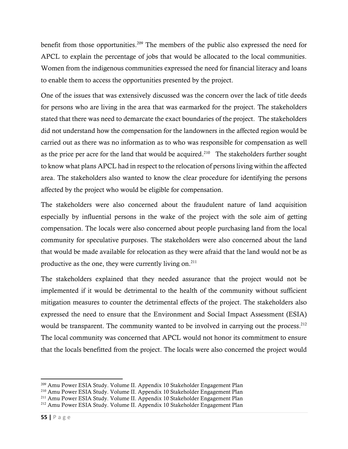benefit from those opportunities.<sup>209</sup> The members of the public also expressed the need for APCL to explain the percentage of jobs that would be allocated to the local communities. Women from the indigenous communities expressed the need for financial literacy and loans to enable them to access the opportunities presented by the project.

One of the issues that was extensively discussed was the concern over the lack of title deeds for persons who are living in the area that was earmarked for the project. The stakeholders stated that there was need to demarcate the exact boundaries of the project. The stakeholders did not understand how the compensation for the landowners in the affected region would be carried out as there was no information as to who was responsible for compensation as well as the price per acre for the land that would be acquired.<sup>210</sup> The stakeholders further sought to know what plans APCL had in respect to the relocation of persons living within the affected area. The stakeholders also wanted to know the clear procedure for identifying the persons affected by the project who would be eligible for compensation.

The stakeholders were also concerned about the fraudulent nature of land acquisition especially by influential persons in the wake of the project with the sole aim of getting compensation. The locals were also concerned about people purchasing land from the local community for speculative purposes. The stakeholders were also concerned about the land that would be made available for relocation as they were afraid that the land would not be as productive as the one, they were currently living on. 211

The stakeholders explained that they needed assurance that the project would not be implemented if it would be detrimental to the health of the community without sufficient mitigation measures to counter the detrimental effects of the project. The stakeholders also expressed the need to ensure that the Environment and Social Impact Assessment (ESIA) would be transparent. The community wanted to be involved in carrying out the process.<sup>212</sup> The local community was concerned that APCL would not honor its commitment to ensure that the locals benefitted from the project. The locals were also concerned the project would

<sup>209</sup> Amu Power ESIA Study. Volume II. Appendix 10 Stakeholder Engagement Plan

<sup>210</sup> Amu Power ESIA Study. Volume II. Appendix 10 Stakeholder Engagement Plan

<sup>211</sup> Amu Power ESIA Study. Volume II. Appendix 10 Stakeholder Engagement Plan

<sup>212</sup> Amu Power ESIA Study. Volume II. Appendix 10 Stakeholder Engagement Plan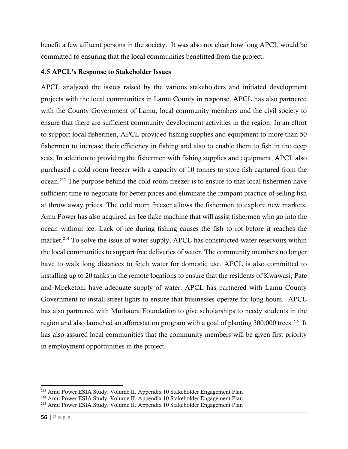benefit a few affluent persons in the society. It was also not clear how long APCL would be committed to ensuring that the local communities benefitted from the project.

#### 4.5 APCL's Response to Stakeholder Issues

APCL analyzed the issues raised by the various stakeholders and initiated development projects with the local communities in Lamu County in response. APCL has also partnered with the County Government of Lamu, local community members and the civil society to ensure that there are sufficient community development activities in the region. In an effort to support local fishermen, APCL provided fishing supplies and equipment to more than 50 fishermen to increase their efficiency in fishing and also to enable them to fish in the deep seas. In addition to providing the fishermen with fishing supplies and equipment, APCL also purchased a cold room freezer with a capacity of 10 tonnes to store fish captured from the ocean.<sup>213</sup> The purpose behind the cold room freezer is to ensure to that local fishermen have sufficient time to negotiate for better prices and eliminate the rampant practice of selling fish at throw away prices. The cold room freezer allows the fishermen to explore new markets. Amu Power has also acquired an Ice flake machine that will assist fishermen who go into the ocean without ice. Lack of ice during fishing causes the fish to rot before it reaches the market.<sup>214</sup> To solve the issue of water supply, APCL has constructed water reservoirs within the local communities to support free deliveries of water. The community members no longer have to walk long distances to fetch water for domestic use. APCL is also committed to installing up to 20 tanks in the remote locations to ensure that the residents of Kwawasi, Pate and Mpeketoni have adequate supply of water. APCL has partnered with Lamu County Government to install street lights to ensure that businesses operate for long hours. APCL has also partnered with Muthaura Foundation to give scholarships to needy students in the region and also launched an afforestation program with a goal of planting 300,000 trees.<sup>215</sup> It has also assured local communities that the community members will be given first priority in employment opportunities in the project.

<sup>213</sup> Amu Power ESIA Study. Volume II. Appendix 10 Stakeholder Engagement Plan

<sup>214</sup> Amu Power ESIA Study. Volume II. Appendix 10 Stakeholder Engagement Plan

<sup>215</sup> Amu Power ESIA Study. Volume II. Appendix 10 Stakeholder Engagement Plan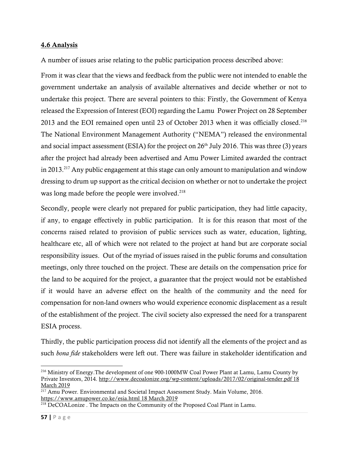#### 4.6 Analysis

A number of issues arise relating to the public participation process described above:

From it was clear that the views and feedback from the public were not intended to enable the government undertake an analysis of available alternatives and decide whether or not to undertake this project. There are several pointers to this: Firstly, the Government of Kenya released the Expression of Interest (EOI) regarding the Lamu Power Project on 28 September 2013 and the EOI remained open until 23 of October 2013 when it was officially closed.<sup>216</sup> The National Environment Management Authority ("NEMA") released the environmental and social impact assessment (ESIA) for the project on  $26<sup>th</sup>$  July 2016. This was three (3) years after the project had already been advertised and Amu Power Limited awarded the contract in 2013.<sup>217</sup> Any public engagement at this stage can only amount to manipulation and window dressing to drum up support as the critical decision on whether or not to undertake the project was long made before the people were involved.<sup>218</sup>

Secondly, people were clearly not prepared for public participation, they had little capacity, if any, to engage effectively in public participation. It is for this reason that most of the concerns raised related to provision of public services such as water, education, lighting, healthcare etc, all of which were not related to the project at hand but are corporate social responsibility issues. Out of the myriad of issues raised in the public forums and consultation meetings, only three touched on the project. These are details on the compensation price for the land to be acquired for the project, a guarantee that the project would not be established if it would have an adverse effect on the health of the community and the need for compensation for non-land owners who would experience economic displacement as a result of the establishment of the project. The civil society also expressed the need for a transparent ESIA process.

Thirdly, the public participation process did not identify all the elements of the project and as such *bona fide* stakeholders were left out. There was failure in stakeholder identification and

<sup>216</sup> Ministry of Energy.The development of one 900-1000MW Coal Power Plant at Lamu, Lamu County by Private Investors, 2014.<http://www.decoalonize.org/wp-content/uploads/2017/02/original-tender.pdf> 18 March 2019

<sup>&</sup>lt;sup>217</sup> Amu Power. Environmental and Societal Impact Assessment Study. Main Volume, 2016. <https://www.amupower.co.ke/esia.html> 18 March 2019

<sup>&</sup>lt;sup>218</sup> DeCOALonize . The Impacts on the Community of the Proposed Coal Plant in Lamu.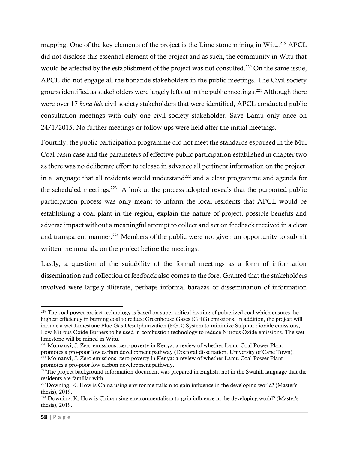mapping. One of the key elements of the project is the Lime stone mining in Witu.<sup>219</sup> APCL did not disclose this essential element of the project and as such, the community in Witu that would be affected by the establishment of the project was not consulted.<sup>220</sup> On the same issue, APCL did not engage all the bonafide stakeholders in the public meetings. The Civil society groups identified as stakeholders were largely left out in the public meetings.<sup>221</sup> Although there were over 17 *bona fide* civil society stakeholders that were identified, APCL conducted public consultation meetings with only one civil society stakeholder, Save Lamu only once on 24/1/2015. No further meetings or follow ups were held after the initial meetings.

Fourthly, the public participation programme did not meet the standards espoused in the Mui Coal basin case and the parameters of effective public participation established in chapter two as there was no deliberate effort to release in advance all pertinent information on the project, in a language that all residents would understand<sup>222</sup> and a clear programme and agenda for the scheduled meetings. $223$  A look at the process adopted reveals that the purported public participation process was only meant to inform the local residents that APCL would be establishing a coal plant in the region, explain the nature of project, possible benefits and adverse impact without a meaningful attempt to collect and act on feedback received in a clear and transparent manner.<sup>224</sup> Members of the public were not given an opportunity to submit written memoranda on the project before the meetings.

Lastly, a question of the suitability of the formal meetings as a form of information dissemination and collection of feedback also comes to the fore. Granted that the stakeholders involved were largely illiterate, perhaps informal barazas or dissemination of information

<sup>&</sup>lt;sup>219</sup> The coal power project technology is based on super-critical heating of pulverized coal which ensures the highest efficiency in burning coal to reduce Greenhouse Gases (GHG) emissions. In addition, the project will include a wet Limestone Flue Gas Desulphurization (FGD) System to minimize Sulphur dioxide emissions, Low Nitrous Oxide Burners to be used in combustion technology to reduce Nitrous Oxide emissions. The wet limestone will be mined in Witu.

<sup>220</sup> Momanyi, J. Zero emissions, zero poverty in Kenya: a review of whether Lamu Coal Power Plant promotes a pro-poor low carbon development pathway (Doctoral dissertation, University of Cape Town). <sup>221</sup> Momanyi, J. Zero emissions, zero poverty in Kenya: a review of whether Lamu Coal Power Plant promotes a pro-poor low carbon development pathway.

<sup>&</sup>lt;sup>222</sup>The project background information document was prepared in English, not in the Swahili language that the residents are familiar with.

<sup>&</sup>lt;sup>223</sup>Downing, K. How is China using environmentalism to gain influence in the developing world? (Master's thesis), 2019.

 $^{224}$  Downing, K. How is China using environmentalism to gain influence in the developing world? (Master's thesis), 2019.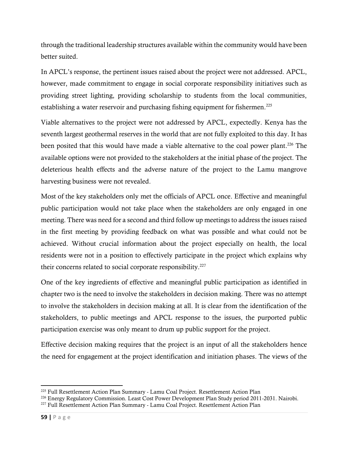through the traditional leadership structures available within the community would have been better suited.

In APCL's response, the pertinent issues raised about the project were not addressed. APCL, however, made commitment to engage in social corporate responsibility initiatives such as providing street lighting, providing scholarship to students from the local communities, establishing a water reservoir and purchasing fishing equipment for fishermen.<sup>225</sup>

Viable alternatives to the project were not addressed by APCL, expectedly. Kenya has the seventh largest geothermal reserves in the world that are not fully exploited to this day. It has been posited that this would have made a viable alternative to the coal power plant.<sup>226</sup> The available options were not provided to the stakeholders at the initial phase of the project. The deleterious health effects and the adverse nature of the project to the Lamu mangrove harvesting business were not revealed.

Most of the key stakeholders only met the officials of APCL once. Effective and meaningful public participation would not take place when the stakeholders are only engaged in one meeting. There was need for a second and third follow up meetings to address the issues raised in the first meeting by providing feedback on what was possible and what could not be achieved. Without crucial information about the project especially on health, the local residents were not in a position to effectively participate in the project which explains why their concerns related to social corporate responsibility.<sup>227</sup>

One of the key ingredients of effective and meaningful public participation as identified in chapter two is the need to involve the stakeholders in decision making. There was no attempt to involve the stakeholders in decision making at all. It is clear from the identification of the stakeholders, to public meetings and APCL response to the issues, the purported public participation exercise was only meant to drum up public support for the project.

Effective decision making requires that the project is an input of all the stakeholders hence the need for engagement at the project identification and initiation phases. The views of the

<sup>225</sup> Full Resettlement Action Plan Summary - Lamu Coal Project. Resettlement Action Plan

<sup>&</sup>lt;sup>226</sup> Energy Regulatory Commission. Least Cost Power Development Plan Study period 2011-2031. Nairobi.

<sup>227</sup> Full Resettlement Action Plan Summary - Lamu Coal Project. Resettlement Action Plan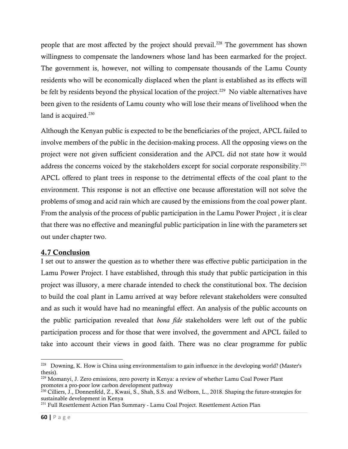people that are most affected by the project should prevail.<sup>228</sup> The government has shown willingness to compensate the landowners whose land has been earmarked for the project. The government is, however, not willing to compensate thousands of the Lamu County residents who will be economically displaced when the plant is established as its effects will be felt by residents beyond the physical location of the project.<sup>229</sup> No viable alternatives have been given to the residents of Lamu county who will lose their means of livelihood when the land is acquired.<sup>230</sup>

Although the Kenyan public is expected to be the beneficiaries of the project, APCL failed to involve members of the public in the decision-making process. All the opposing views on the project were not given sufficient consideration and the APCL did not state how it would address the concerns voiced by the stakeholders except for social corporate responsibility.<sup>231</sup> APCL offered to plant trees in response to the detrimental effects of the coal plant to the environment. This response is not an effective one because afforestation will not solve the problems of smog and acid rain which are caused by the emissions from the coal power plant. From the analysis of the process of public participation in the Lamu Power Project , it is clear that there was no effective and meaningful public participation in line with the parameters set out under chapter two.

## 4.7 Conclusion

I set out to answer the question as to whether there was effective public participation in the Lamu Power Project. I have established, through this study that public participation in this project was illusory, a mere charade intended to check the constitutional box. The decision to build the coal plant in Lamu arrived at way before relevant stakeholders were consulted and as such it would have had no meaningful effect. An analysis of the public accounts on the public participation revealed that *bona fide* stakeholders were left out of the public participation process and for those that were involved, the government and APCL failed to take into account their views in good faith. There was no clear programme for public

<sup>&</sup>lt;sup>228</sup> Downing, K. How is China using environmentalism to gain influence in the developing world? (Master's thesis).

<sup>229</sup> Momanyi, J. Zero emissions, zero poverty in Kenya: a review of whether Lamu Coal Power Plant promotes a pro-poor low carbon development pathway

<sup>&</sup>lt;sup>230</sup> Cilliers, J., Donnenfeld, Z., Kwasi, S., Shah, S.S. and Welborn, L., 2018. Shaping the future-strategies for sustainable development in Kenya

<sup>231</sup> Full Resettlement Action Plan Summary - Lamu Coal Project. Resettlement Action Plan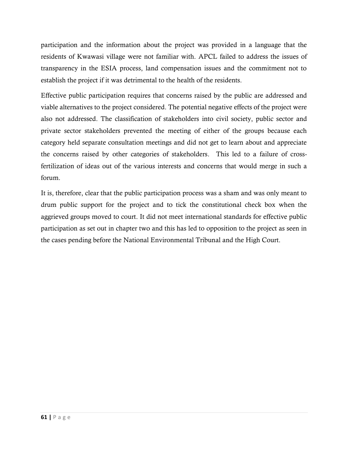participation and the information about the project was provided in a language that the residents of Kwawasi village were not familiar with. APCL failed to address the issues of transparency in the ESIA process, land compensation issues and the commitment not to establish the project if it was detrimental to the health of the residents.

Effective public participation requires that concerns raised by the public are addressed and viable alternatives to the project considered. The potential negative effects of the project were also not addressed. The classification of stakeholders into civil society, public sector and private sector stakeholders prevented the meeting of either of the groups because each category held separate consultation meetings and did not get to learn about and appreciate the concerns raised by other categories of stakeholders. This led to a failure of crossfertilization of ideas out of the various interests and concerns that would merge in such a forum.

It is, therefore, clear that the public participation process was a sham and was only meant to drum public support for the project and to tick the constitutional check box when the aggrieved groups moved to court. It did not meet international standards for effective public participation as set out in chapter two and this has led to opposition to the project as seen in the cases pending before the National Environmental Tribunal and the High Court.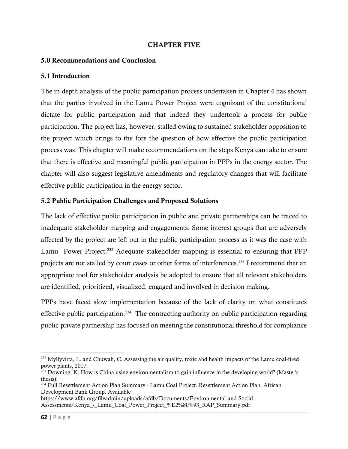#### CHAPTER FIVE

#### 5.0 Recommendations and Conclusion

#### 5.1 Introduction

The in-depth analysis of the public participation process undertaken in Chapter 4 has shown that the parties involved in the Lamu Power Project were cognizant of the constitutional dictate for public participation and that indeed they undertook a process for public participation. The project has, however, stalled owing to sustained stakeholder opposition to the project which brings to the fore the question of how effective the public participation process was. This chapter will make recommendations on the steps Kenya can take to ensure that there is effective and meaningful public participation in PPPs in the energy sector. The chapter will also suggest legislative amendments and regulatory changes that will facilitate effective public participation in the energy sector.

#### 5.2 Public Participation Challenges and Proposed Solutions

The lack of effective public participation in public and private partnerships can be traced to inadequate stakeholder mapping and engagements. Some interest groups that are adversely affected by the project are left out in the public participation process as it was the case with Lamu Power Project.<sup>232</sup> Adequate stakeholder mapping is essential to ensuring that PPP projects are not stalled by court cases or other forms of interferences.<sup>233</sup> I recommend that an appropriate tool for stakeholder analysis be adopted to ensure that all relevant stakeholders are identified, prioritized, visualized, engaged and involved in decision making.

PPPs have faced slow implementation because of the lack of clarity on what constitutes effective public participation.<sup>234</sup> The contracting authority on public participation regarding public-private partnership has focused on meeting the constitutional threshold for compliance

<sup>&</sup>lt;sup>232</sup> Myllyvirta, L. and Chuwah, C. Assessing the air quality, toxic and health impacts of the Lamu coal-fired power plants, 2017.

<sup>&</sup>lt;sup>233</sup> Downing, K. How is China using environmentalism to gain influence in the developing world? (Master's thesis).

<sup>234</sup> Full Resettlement Action Plan Summary - Lamu Coal Project. Resettlement Action Plan. African Development Bank Group. Available

https://www.afdb.org/fileadmin/uploads/afdb/Documents/Environmental-and-Social-Assessments/Kenya\_-\_Lamu\_Coal\_Power\_Project\_%E2%80%93\_RAP\_Summary.pdf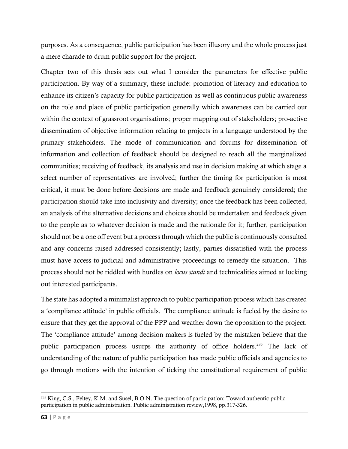purposes. As a consequence, public participation has been illusory and the whole process just a mere charade to drum public support for the project.

Chapter two of this thesis sets out what I consider the parameters for effective public participation. By way of a summary, these include: promotion of literacy and education to enhance its citizen's capacity for public participation as well as continuous public awareness on the role and place of public participation generally which awareness can be carried out within the context of grassroot organisations; proper mapping out of stakeholders; pro-active dissemination of objective information relating to projects in a language understood by the primary stakeholders. The mode of communication and forums for dissemination of information and collection of feedback should be designed to reach all the marginalized communities; receiving of feedback, its analysis and use in decision making at which stage a select number of representatives are involved; further the timing for participation is most critical, it must be done before decisions are made and feedback genuinely considered; the participation should take into inclusivity and diversity; once the feedback has been collected, an analysis of the alternative decisions and choices should be undertaken and feedback given to the people as to whatever decision is made and the rationale for it; further, participation should not be a one off event but a process through which the public is continuously consulted and any concerns raised addressed consistently; lastly, parties dissatisfied with the process must have access to judicial and administrative proceedings to remedy the situation. This process should not be riddled with hurdles on *locus standi* and technicalities aimed at locking out interested participants.

The state has adopted a minimalist approach to public participation process which has created a 'compliance attitude' in public officials. The compliance attitude is fueled by the desire to ensure that they get the approval of the PPP and weather down the opposition to the project. The 'compliance attitude' among decision makers is fueled by the mistaken believe that the public participation process usurps the authority of office holders.<sup>235</sup> The lack of understanding of the nature of public participation has made public officials and agencies to go through motions with the intention of ticking the constitutional requirement of public

<sup>&</sup>lt;sup>235</sup> King, C.S., Feltey, K.M. and Susel, B.O.N. The question of participation: Toward authentic public participation in public administration. Public administration review,1998, pp.317-326.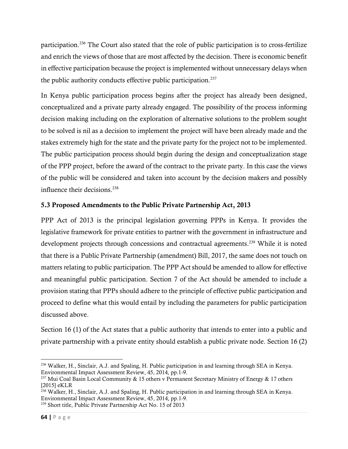participation.<sup>236</sup> The Court also stated that the role of public participation is to cross-fertilize and enrich the views of those that are most affected by the decision. There is economic benefit in effective participation because the project is implemented without unnecessary delays when the public authority conducts effective public participation.<sup>237</sup>

In Kenya public participation process begins after the project has already been designed, conceptualized and a private party already engaged. The possibility of the process informing decision making including on the exploration of alternative solutions to the problem sought to be solved is nil as a decision to implement the project will have been already made and the stakes extremely high for the state and the private party for the project not to be implemented. The public participation process should begin during the design and conceptualization stage of the PPP project, before the award of the contract to the private party. In this case the views of the public will be considered and taken into account by the decision makers and possibly influence their decisions. 238

### 5.3 Proposed Amendments to the Public Private Partnership Act, 2013

PPP Act of 2013 is the principal legislation governing PPPs in Kenya. It provides the legislative framework for private entities to partner with the government in infrastructure and development projects through concessions and contractual agreements. <sup>239</sup> While it is noted that there is a Public Private Partnership (amendment) Bill, 2017, the same does not touch on matters relating to public participation. The PPP Act should be amended to allow for effective and meaningful public participation. Section 7 of the Act should be amended to include a provision stating that PPPs should adhere to the principle of effective public participation and proceed to define what this would entail by including the parameters for public participation discussed above.

Section 16 (1) of the Act states that a public authority that intends to enter into a public and private partnership with a private entity should establish a public private node. Section 16 (2)

<sup>236</sup> Walker, H., Sinclair, A.J. and Spaling, H. Public participation in and learning through SEA in Kenya. Environmental Impact Assessment Review, 45, 2014, pp.1-9.

<sup>&</sup>lt;sup>237</sup> Mui Coal Basin Local Community & 15 others v Permanent Secretary Ministry of Energy & 17 others [2015] eKLR

<sup>&</sup>lt;sup>238</sup> Walker, H., Sinclair, A.J. and Spaling, H. Public participation in and learning through SEA in Kenya. Environmental Impact Assessment Review, 45, 2014, pp.1-9. <sup>239</sup> Short title, Public Private Partnership Act No. 15 of 2013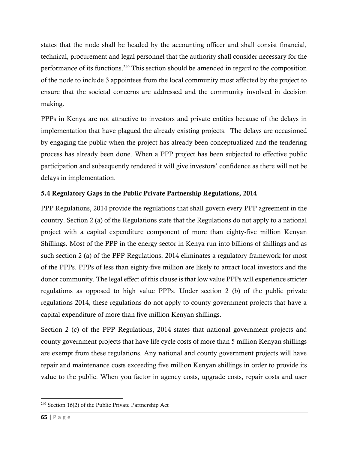states that the node shall be headed by the accounting officer and shall consist financial, technical, procurement and legal personnel that the authority shall consider necessary for the performance of its functions. <sup>240</sup> This section should be amended in regard to the composition of the node to include 3 appointees from the local community most affected by the project to ensure that the societal concerns are addressed and the community involved in decision making.

PPPs in Kenya are not attractive to investors and private entities because of the delays in implementation that have plagued the already existing projects. The delays are occasioned by engaging the public when the project has already been conceptualized and the tendering process has already been done. When a PPP project has been subjected to effective public participation and subsequently tendered it will give investors' confidence as there will not be delays in implementation.

# 5.4 Regulatory Gaps in the Public Private Partnership Regulations, 2014

PPP Regulations, 2014 provide the regulations that shall govern every PPP agreement in the country. Section 2 (a) of the Regulations state that the Regulations do not apply to a national project with a capital expenditure component of more than eighty-five million Kenyan Shillings. Most of the PPP in the energy sector in Kenya run into billions of shillings and as such section 2 (a) of the PPP Regulations, 2014 eliminates a regulatory framework for most of the PPPs. PPPs of less than eighty-five million are likely to attract local investors and the donor community. The legal effect of this clause is that low value PPPs will experience stricter regulations as opposed to high value PPPs. Under section 2 (b) of the public private regulations 2014, these regulations do not apply to county government projects that have a capital expenditure of more than five million Kenyan shillings.

Section 2 (c) of the PPP Regulations, 2014 states that national government projects and county government projects that have life cycle costs of more than 5 million Kenyan shillings are exempt from these regulations. Any national and county government projects will have repair and maintenance costs exceeding five million Kenyan shillings in order to provide its value to the public. When you factor in agency costs, upgrade costs, repair costs and user

<sup>240</sup> Section 16(2) of the Public Private Partnership Act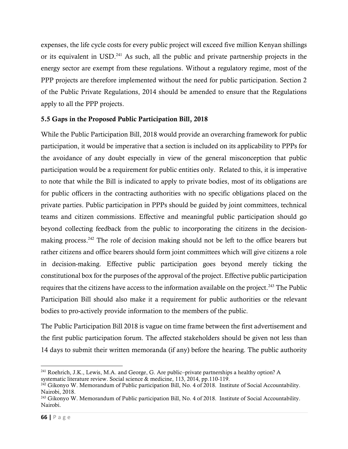expenses, the life cycle costs for every public project will exceed five million Kenyan shillings or its equivalent in USD.<sup>241</sup> As such, all the public and private partnership projects in the energy sector are exempt from these regulations. Without a regulatory regime, most of the PPP projects are therefore implemented without the need for public participation. Section 2 of the Public Private Regulations, 2014 should be amended to ensure that the Regulations apply to all the PPP projects.

## 5.5 Gaps in the Proposed Public Participation Bill, 2018

While the Public Participation Bill, 2018 would provide an overarching framework for public participation, it would be imperative that a section is included on its applicability to PPPs for the avoidance of any doubt especially in view of the general misconception that public participation would be a requirement for public entities only. Related to this, it is imperative to note that while the Bill is indicated to apply to private bodies, most of its obligations are for public officers in the contracting authorities with no specific obligations placed on the private parties. Public participation in PPPs should be guided by joint committees, technical teams and citizen commissions. Effective and meaningful public participation should go beyond collecting feedback from the public to incorporating the citizens in the decisionmaking process.<sup>242</sup> The role of decision making should not be left to the office bearers but rather citizens and office bearers should form joint committees which will give citizens a role in decision-making. Effective public participation goes beyond merely ticking the constitutional box for the purposes of the approval of the project. Effective public participation requires that the citizens have access to the information available on the project.<sup>243</sup> The Public Participation Bill should also make it a requirement for public authorities or the relevant bodies to pro-actively provide information to the members of the public.

The Public Participation Bill 2018 is vague on time frame between the first advertisement and the first public participation forum. The affected stakeholders should be given not less than 14 days to submit their written memoranda (if any) before the hearing. The public authority

<sup>241</sup> Roehrich, J.K., Lewis, M.A. and George, G. Are public–private partnerships a healthy option? A systematic literature review. Social science & medicine, 113, 2014, pp.110-119.

 $^{242}$  Gikonyo W. Memorandum of Public participation Bill, No. 4 of 2018. Institute of Social Accountability. Nairobi, 2018.

<sup>&</sup>lt;sup>243</sup> Gikonyo W. Memorandum of Public participation Bill, No. 4 of 2018. Institute of Social Accountability. Nairobi.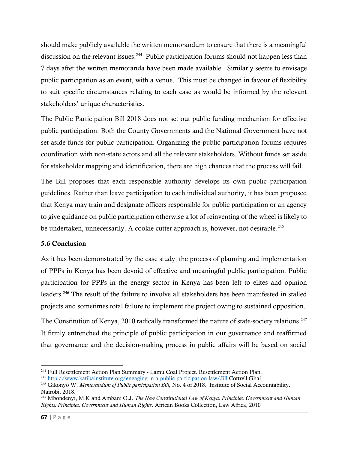should make publicly available the written memorandum to ensure that there is a meaningful discussion on the relevant issues.<sup>244</sup> Public participation forums should not happen less than 7 days after the written memoranda have been made available. Similarly seems to envisage public participation as an event, with a venue. This must be changed in favour of flexibility to suit specific circumstances relating to each case as would be informed by the relevant stakeholders' unique characteristics.

The Public Participation Bill 2018 does not set out public funding mechanism for effective public participation. Both the County Governments and the National Government have not set aside funds for public participation. Organizing the public participation forums requires coordination with non-state actors and all the relevant stakeholders. Without funds set aside for stakeholder mapping and identification, there are high chances that the process will fail.

The Bill proposes that each responsible authority develops its own public participation guidelines. Rather than leave participation to each individual authority, it has been proposed that Kenya may train and designate officers responsible for public participation or an agency to give guidance on public participation otherwise a lot of reinventing of the wheel is likely to be undertaken, unnecessarily. A cookie cutter approach is, however, not desirable.<sup>245</sup>

## 5.6 Conclusion

As it has been demonstrated by the case study, the process of planning and implementation of PPPs in Kenya has been devoid of effective and meaningful public participation. Public participation for PPPs in the energy sector in Kenya has been left to elites and opinion leaders. <sup>246</sup> The result of the failure to involve all stakeholders has been manifested in stalled projects and sometimes total failure to implement the project owing to sustained opposition.

The Constitution of Kenya, 2010 radically transformed the nature of state-society relations.<sup>247</sup> It firmly entrenched the principle of public participation in our governance and reaffirmed that governance and the decision-making process in public affairs will be based on social

<sup>244</sup> Full Resettlement Action Plan Summary - Lamu Coal Project. Resettlement Action Plan.

<sup>&</sup>lt;sup>245</sup> <http://www.katibainstitute.org/engaging-in-a-public-participation-law/Jill> Cottrell Ghai

<sup>246</sup> Gikonyo W. *Memorandum of Public participation Bill,* No. 4 of 2018. Institute of Social Accountability. Nairobi, 2018.

<sup>247</sup> Mbondenyi, M.K and Ambani O.J. *The New Constitutional Law of Kenya. Principles, Government and Human Rights: Principles, Government and Human Rights*. African Books Collection, Law Africa, 2010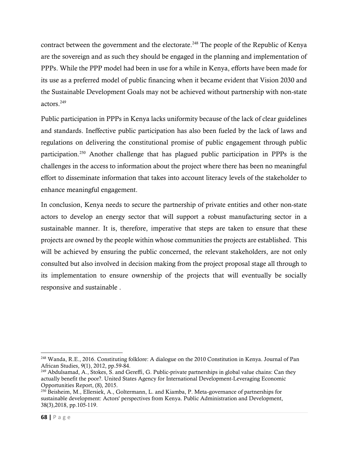contract between the government and the electorate.<sup>248</sup> The people of the Republic of Kenya are the sovereign and as such they should be engaged in the planning and implementation of PPPs. While the PPP model had been in use for a while in Kenya, efforts have been made for its use as a preferred model of public financing when it became evident that Vision 2030 and the Sustainable Development Goals may not be achieved without partnership with non-state actors. 249

Public participation in PPPs in Kenya lacks uniformity because of the lack of clear guidelines and standards. Ineffective public participation has also been fueled by the lack of laws and regulations on delivering the constitutional promise of public engagement through public participation. <sup>250</sup> Another challenge that has plagued public participation in PPPs is the challenges in the access to information about the project where there has been no meaningful effort to disseminate information that takes into account literacy levels of the stakeholder to enhance meaningful engagement.

In conclusion, Kenya needs to secure the partnership of private entities and other non-state actors to develop an energy sector that will support a robust manufacturing sector in a sustainable manner. It is, therefore, imperative that steps are taken to ensure that these projects are owned by the people within whose communities the projects are established. This will be achieved by ensuring the public concerned, the relevant stakeholders, are not only consulted but also involved in decision making from the project proposal stage all through to its implementation to ensure ownership of the projects that will eventually be socially responsive and sustainable .

<sup>248</sup> Wanda, R.E., 2016. Constituting folklore: A dialogue on the 2010 Constitution in Kenya. Journal of Pan African Studies, 9(1), 2012, pp.59-84.

<sup>249</sup> Abdulsamad, A., Stokes, S. and Gereffi, G. Public-private partnerships in global value chains: Can they actually benefit the poor?. United States Agency for International Development-Leveraging Economic Opportunities Report, (8), 2015.

<sup>&</sup>lt;sup>250</sup> Beisheim, M., Ellersiek, A., Goltermann, L. and Kiamba, P. Meta-governance of partnerships for sustainable development: Actors' perspectives from Kenya. Public Administration and Development, 38(3),2018, pp.105-119.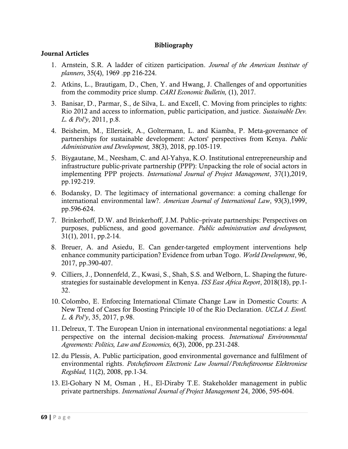#### Bibliography

#### Journal Articles

- 1. Arnstein, S.R. A ladder of citizen participation. *Journal of the American Institute of planners*, 35(4), 1969 .pp 216-224.
- 2. Atkins, L., Brautigam, D., Chen, Y. and Hwang, J. Challenges of and opportunities from the commodity price slump. *CARI Economic Bulletin,* (1), 2017.
- 3. Banisar, D., Parmar, S., de Silva, L. and Excell, C. Moving from principles to rights: Rio 2012 and access to information, public participation, and justice. *Sustainable Dev. L. & Pol'y*, 2011, p.8.
- 4. Beisheim, M., Ellersiek, A., Goltermann, L. and Kiamba, P. Meta‐governance of partnerships for sustainable development: Actors' perspectives from Kenya. *Public Administration and Development,* 38(3), 2018, pp.105-119.
- 5. Biygautane, M., Neesham, C. and Al-Yahya, K.O. Institutional entrepreneurship and infrastructure public-private partnership (PPP): Unpacking the role of social actors in implementing PPP projects. *International Journal of Project Management*, 37(1),2019, pp.192-219.
- 6. Bodansky, D. The legitimacy of international governance: a coming challenge for international environmental law?. *American Journal of International Law*, 93(3),1999, pp.596-624.
- 7. Brinkerhoff, D.W. and Brinkerhoff, J.M. Public–private partnerships: Perspectives on purposes, publicness, and good governance. *Public administration and development,* 31(1), 2011, pp.2-14.
- 8. Breuer, A. and Asiedu, E. Can gender-targeted employment interventions help enhance community participation? Evidence from urban Togo. *World Development*, 96, 2017, pp.390-407.
- 9. Cilliers, J., Donnenfeld, Z., Kwasi, S., Shah, S.S. and Welborn, L. Shaping the futurestrategies for sustainable development in Kenya. *ISS East Africa Report*, 2018(18), pp.1- 32.
- 10. Colombo, E. Enforcing International Climate Change Law in Domestic Courts: A New Trend of Cases for Boosting Principle 10 of the Rio Declaration. *UCLA J. Envtl. L. & Pol'y*, 35, 2017, p.98.
- 11. Delreux, T. The European Union in international environmental negotiations: a legal perspective on the internal decision-making process*. International Environmental Agreements: Politics, Law and Economics,* 6(3), 2006, pp.231-248.
- 12. du Plessis, A. Public participation, good environmental governance and fulfilment of environmental rights. *Potchefstroom Electronic Law Journal/Potchefstroomse Elektroniese Regsblad,* 11(2), 2008, pp.1-34.
- 13. El-Gohary N M, Osman , H., El-Diraby T.E. Stakeholder management in public private partnerships. *International Journal of Project Management* 24, 2006, 595-604.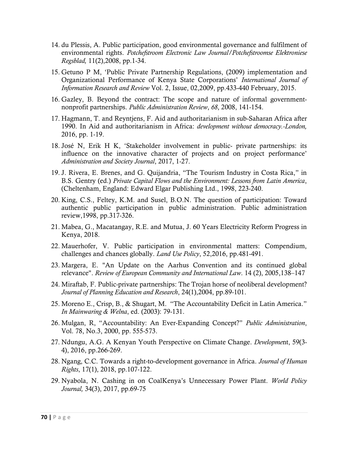- 14. du Plessis, A. Public participation, good environmental governance and fulfilment of environmental rights. *Potchefstroom Electronic Law Journal/Potchefstroomse Elektroniese Regsblad,* 11(2),2008, pp.1-34.
- 15. Getuno P M, 'Public Private Partnership Regulations, (2009) implementation and Organizational Performance of Kenya State Corporations' *International Journal of Information Research and Review* Vol. 2, Issue, 02,2009, pp.433-440 February, 2015.
- 16. Gazley, B. Beyond the contract: The scope and nature of informal governmentnonprofit partnerships. *Public Administration Review*, *68*, 2008, 141-154.
- 17. Hagmann, T. and Reyntjens, F. Aid and authoritarianism in sub-Saharan Africa after 1990. In Aid and authoritarianism in Africa: *development without democracy.-London,* 2016, pp. 1-19.
- 18. José N, Erik H K, 'Stakeholder involvement in public- private partnerships: its influence on the innovative character of projects and on project performance' *Administration and Society Journal*, 2017, 1-27.
- 19. J. Rivera, E. Brenes, and G. Quijandria, "The Tourism Industry in Costa Rica," in B.S. Gentry (ed.) *Private Capital Flows and the Environment: Lessons from Latin America*, (Cheltenham, England: Edward Elgar Publishing Ltd., 1998, 223-240.
- 20. King, C.S., Feltey, K.M. and Susel, B.O.N. The question of participation: Toward authentic public participation in public administration. Public administration review,1998, pp.317-326.
- 21. Mabea, G., Macatangay, R.E. and Mutua, J. 60 Years Electricity Reform Progress in Kenya, 2018.
- 22. Mauerhofer, V. Public participation in environmental matters: Compendium, challenges and chances globally. *Land Use Policy*, 52,2016, pp.481-491.
- 23. Margera, E. "An Update on the Aarhus Convention and its continued global relevance". *Review of European Community and International Law*. 14 (2), 2005,138–147
- 24. Miraftab, F. Public-private partnerships: The Trojan horse of neoliberal development? *Journal of Planning Education and Research*, 24(1),2004, pp.89-101.
- 25. Moreno E., Crisp, B., & Shugart, M. "The Accountability Deficit in Latin America." *In Mainwaring & Welna*, ed. (2003): 79-131.
- 26. Mulgan, R, "Accountability: An Ever-Expanding Concept?" *Public Administration*, Vol. 78, No.3, 2000, pp. 555-573.
- 27. Ndungu, A.G. A Kenyan Youth Perspective on Climate Change. *Developme*nt, 59(3- 4), 2016, pp.266-269.
- 28. Ngang, C.C. Towards a right-to-development governance in Africa. *Journal of Human Rights*, 17(1), 2018, pp.107-122.
- 29. Nyabola, N. Cashing in on CoalKenya's Unnecessary Power Plant. *World Policy Journal,* 34(3), 2017, pp.69-75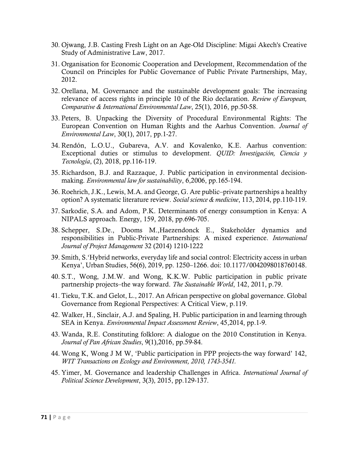- 30. Ojwang, J.B. Casting Fresh Light on an Age-Old Discipline: Migai Akech's Creative Study of Administrative Law, 2017.
- 31. Organisation for Economic Cooperation and Development, Recommendation of the Council on Principles for Public Governance of Public Private Partnerships, May, 2012.
- 32. Orellana, M. Governance and the sustainable development goals: The increasing relevance of access rights in principle 10 of the Rio declaration. *Review of European, Comparative & International Environmental Law*, 25(1), 2016, pp.50-58.
- 33. Peters, B. Unpacking the Diversity of Procedural Environmental Rights: The European Convention on Human Rights and the Aarhus Convention. *Journal of Environmental Law*, 30(1), 2017, pp.1-27.
- 34. Rendón, L.O.U., Gubareva, A.V. and Kovalenko, K.E. Aarhus convention: Exceptional duties or stimulus to development. *QUID: Investigación, Ciencia y Tecnología*, (2), 2018, pp.116-119.
- 35. Richardson, B.J. and Razzaque, J. Public participation in environmental decisionmaking. *Environmental law for sustainability*, 6,2006, pp.165-194.
- 36. Roehrich, J.K., Lewis, M.A. and George, G. Are public–private partnerships a healthy option? A systematic literature review. *Social science & medicine*, 113, 2014, pp.110-119.
- 37. Sarkodie, S.A. and Adom, P.K. Determinants of energy consumption in Kenya: A NIPALS approach. Energy, 159, 2018, pp.696-705.
- 38. Schepper, S.De., Dooms M.,Haezendonck E., Stakeholder dynamics and responsibilities in Public-Private Partnerships: A mixed experience. *International Journal of Project Management* 32 (2014) 1210-1222
- 39. Smith, S.'Hybrid networks, everyday life and social control: Electricity access in urban Kenya', Urban Studies, 56(6), 2019, pp. 1250–1266. doi: 10.1177/0042098018760148.
- 40. S.T., Wong, J.M.W. and Wong, K.K.W. Public participation in public private partnership projects–the way forward. *The Sustainable World*, 142, 2011, p.79.
- 41. Tieku, T.K. and Gelot, L., 2017. An African perspective on global governance. Global Governance from Regional Perspectives: A Critical View, p.119.
- 42. Walker, H., Sinclair, A.J. and Spaling, H. Public participation in and learning through SEA in Kenya. *Environmental Impact Assessment Review*, 45,2014, pp.1-9.
- 43. Wanda, R.E. Constituting folklore: A dialogue on the 2010 Constitution in Kenya. *Journal of Pan African Studies*, 9(1),2016, pp.59-84.
- 44. Wong K, Wong J M W, 'Public participation in PPP projects-the way forward' 142, *WIT Transactions on Ecology and Environment, 2010, 1743-3541.*
- 45. Yimer, M. Governance and leadership Challenges in Africa. *International Journal of Political Science Development*, 3(3), 2015, pp.129-137.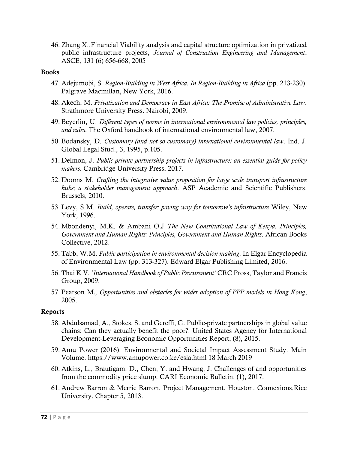46. Zhang X.,Financial Viability analysis and capital structure optimization in privatized public infrastructure projects, *Journal of Construction Engineering and Management*, ASCE, 131 (6) 656-668, 2005

#### Books

- 47. Adejumobi, S. *Region-Building in West Africa. In Region-Building in Africa* (pp. 213-230). Palgrave Macmillan, New York, 2016.
- 48. Akech, M. *Privatization and Democracy in East Africa: The Promise of Administrative Law*. Strathmore University Press. Nairobi, 2009.
- 49. Beyerlin, U. *Different types of norms in international environmental law policies, principles, and rules*. The Oxford handbook of international environmental law, 2007.
- 50. Bodansky, D. *Customary (and not so customary) international environmental law*. Ind. J. Global Legal Stud., 3, 1995, p.105.
- 51. Delmon, J. *Public-private partnership projects in infrastructure: an essential guide for policy makers*. Cambridge University Press, 2017.
- 52. Dooms M. *Crafting the integrative value proposition for large scale transport infrastructure hubs; a stakeholder management approach*. ASP Academic and Scientific Publishers, Brussels, 2010.
- 53. Levy, S M. *Build, operate, transfer: paving way for tomorrow's infrastructure* Wiley, New York, 1996.
- 54. Mbondenyi, M.K. & Ambani O.J *The New Constitutional Law of Kenya. Principles, Government and Human Rights: Principles, Government and Human Rights*. African Books Collective, 2012.
- 55. Tabb, W.M. *Public participation in environmental decision making*. In Elgar Encyclopedia of Environmental Law (pp. 313-327). Edward Elgar Publishing Limited, 2016.
- 56. Thai K V. '*International Handbook of Public Procurement'* CRC Pross, Taylor and Francis Group, 2009.
- 57. Pearson M*., Opportunities and obstacles for wider adoption of PPP models in Hong Kong*, 2005.

#### Reports

- 58. Abdulsamad, A., Stokes, S. and Gereffi, G. Public-private partnerships in global value chains: Can they actually benefit the poor?. United States Agency for International Development-Leveraging Economic Opportunities Report, (8), 2015.
- 59. Amu Power (2016). Environmental and Societal Impact Assessment Study. Main Volume. https://www.amupower.co.ke/esia.html 18 March 2019
- 60. Atkins, L., Brautigam, D., Chen, Y. and Hwang, J. Challenges of and opportunities from the commodity price slump. CARI Economic Bulletin, (1), 2017.
- 61. Andrew Barron & Merrie Barron. Project Management. Houston. Connexions,Rice University. Chapter 5, 2013.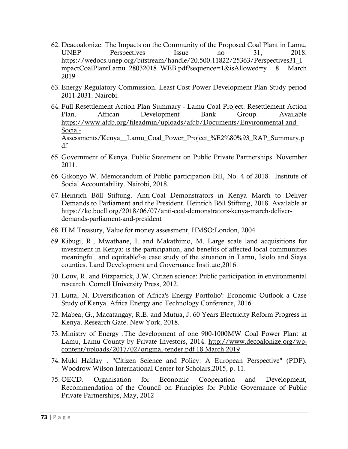- 62. Deacoalonize. The Impacts on the Community of the Proposed Coal Plant in Lamu. UNEP Perspectives Issue no 31, 2018, https://wedocs.unep.org/bitstream/handle/20.500.11822/25363/Perspectives31\_I mpactCoalPlantLamu\_28032018\_WEB.pdf?sequence=1&isAllowed=y 8 March 2019
- 63. Energy Regulatory Commission. Least Cost Power Development Plan Study period 2011-2031. Nairobi.
- 64. Full Resettlement Action Plan Summary Lamu Coal Project. Resettlement Action Plan. African Development Bank Group. Available [https://www.afdb.org/fileadmin/uploads/afdb/Documents/Environmental-and-](https://www.afdb.org/fileadmin/uploads/afdb/Documents/Environmental-and-Social-Assessments/Kenya__Lamu_Coal_Power_Project_%E2%80%93_RAP_Summary.pdf)[Social-](https://www.afdb.org/fileadmin/uploads/afdb/Documents/Environmental-and-Social-Assessments/Kenya__Lamu_Coal_Power_Project_%E2%80%93_RAP_Summary.pdf)Assessments/Kenya\_Lamu\_Coal\_Power\_Project\_%E2%80%93\_RAP\_Summary.p [df](https://www.afdb.org/fileadmin/uploads/afdb/Documents/Environmental-and-Social-Assessments/Kenya__Lamu_Coal_Power_Project_%E2%80%93_RAP_Summary.pdf)
- 65. Government of Kenya. Public Statement on Public Private Partnerships. November 2011.
- 66. Gikonyo W. Memorandum of Public participation Bill, No. 4 of 2018. Institute of Social Accountability. Nairobi, 2018.
- 67. Heinrich Böll Stiftung. Anti-Coal Demonstrators in Kenya March to Deliver Demands to Parliament and the President. Heinrich Böll Stiftung, 2018. Available at https://ke.boell.org/2018/06/07/anti-coal-demonstrators-kenya-march-deliverdemands-parliament-and-president
- 68. H M Treasury, Value for money assessment, HMSO:London, 2004
- 69. Kibugi, R., Mwathane, I. and Makathimo, M. Large scale land acquisitions for investment in Kenya: is the participation, and benefits of affected local communities meaningful, and equitable?-a case study of the situation in Lamu, Isiolo and Siaya counties. Land Development and Governance Institute,2016.
- 70. Louv, R. and Fitzpatrick, J.W. Citizen science: Public participation in environmental research. Cornell University Press, 2012.
- 71. Lutta, N. Diversification of Africa's Energy Portfolio': Economic Outlook a Case Study of Kenya. Africa Energy and Technology Conference, 2016.
- 72. Mabea, G., Macatangay, R.E. and Mutua, J. 60 Years Electricity Reform Progress in Kenya. Research Gate. New York, 2018.
- 73. Ministry of Energy .The development of one 900-1000MW Coal Power Plant at Lamu, Lamu County by Private Investors, 2014. [http://www.decoalonize.org/wp](http://www.decoalonize.org/wp-content/uploads/2017/02/original-tender.pdf%2018%20March%202019)[content/uploads/2017/02/original-tender.pdf 18 March 2019](http://www.decoalonize.org/wp-content/uploads/2017/02/original-tender.pdf%2018%20March%202019)
- 74. Muki Haklay . "Citizen Science and Policy: A European Perspective" (PDF). Woodrow Wilson International Center for Scholars,2015, p. 11.
- 75. OECD. Organisation for Economic Cooperation and Development, Recommendation of the Council on Principles for Public Governance of Public Private Partnerships, May, 2012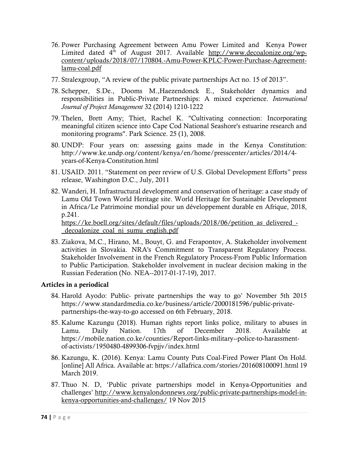- 76. Power Purchasing Agreement between Amu Power Limited and Kenya Power Limited dated 4<sup>th</sup> of August 2017. Available [http://www.decoalonize.org/wp](http://www.decoalonize.org/wp-content/uploads/2018/07/170804.-Amu-Power-KPLC-Power-Purchase-Agreement-lamu-coal.pdf)[content/uploads/2018/07/170804.-Amu-Power-KPLC-Power-Purchase-Agreement](http://www.decoalonize.org/wp-content/uploads/2018/07/170804.-Amu-Power-KPLC-Power-Purchase-Agreement-lamu-coal.pdf)[lamu-coal.pdf](http://www.decoalonize.org/wp-content/uploads/2018/07/170804.-Amu-Power-KPLC-Power-Purchase-Agreement-lamu-coal.pdf)
- 77. Stralexgroup, "A review of the public private partnerships Act no. 15 of 2013".
- 78. Schepper, S.De., Dooms M.,Haezendonck E., Stakeholder dynamics and responsibilities in Public-Private Partnerships: A mixed experience. *International Journal of Project Management* 32 (2014) 1210-1222
- 79. Thelen, Brett Amy; Thiet, Rachel K. "Cultivating connection: Incorporating meaningful citizen science into Cape Cod National Seashore's estuarine research and monitoring programs". Park Science. 25 (1), 2008.
- 80. UNDP: Four years on: assessing gains made in the Kenya Constitution: http://www.ke.undp.org/content/kenya/en/home/presscenter/articles/2014/4 years-of-Kenya-Constitution.html
- 81. USAID. 2011. "Statement on peer review of U.S. Global Development Efforts" press release, Washington D.C., July, 2011
- 82. Wanderi, H. Infrastructural development and conservation of heritage: a case study of Lamu Old Town World Heritage site. World Heritage for Sustainable Development in Africa/Le Patrimoine mondial pour un développement durable en Afrique, 2018, p.241. https://ke.boell.org/sites/default/files/uploads/2018/06/petition as delivered -

[\\_decoalonize\\_coal\\_ni\\_sumu\\_english.pdf](https://ke.boell.org/sites/default/files/uploads/2018/06/petition_as_delivered_-_decoalonize_coal_ni_sumu_english.pdf)

83. Ziakova, M.C., Hirano, M., Bouyt, G. and Ferapontov, A. Stakeholder involvement activities in Slovakia. NRA's Commitment to Transparent Regulatory Process. Stakeholder Involvement in the French Regulatory Process-From Public Information to Public Participation. Stakeholder involvement in nuclear decision making in the Russian Federation (No. NEA--2017-01-17-19), 2017.

### Articles in a periodical

- 84. Harold Ayodo: Public- private partnerships the way to go' November 5th 2015 https://www.standardmedia.co.ke/business/article/2000181596/public-privatepartnerships-the-way-to-go accessed on 6th February, 2018.
- 85. Kalume Kazungu (2018). Human rights report links police, military to abuses in Lamu. Daily Nation. 17th of December 2018. Available at https://mobile.nation.co.ke/counties/Report-links-military--police-to-harassmentof-activists/1950480-4899306-fvpjjv/index.html
- 86. Kazungu, K. (2016). Kenya: Lamu County Puts Coal-Fired Power Plant On Hold. [online] All Africa. Available at: https://allafrica.com/stories/201608100091.html 19 March 2019.
- 87. Thuo N. D, 'Public private partnerships model in Kenya-Opportunities and challenges' [http://www.kenyalondonnews.org/public-private-partnerships-model-in](http://www.kenyalondonnews.org/public-private-partnerships-model-in-kenya-opportunities-and-challenges/)[kenya-opportunities-and-challenges/](http://www.kenyalondonnews.org/public-private-partnerships-model-in-kenya-opportunities-and-challenges/) 19 Nov 2015